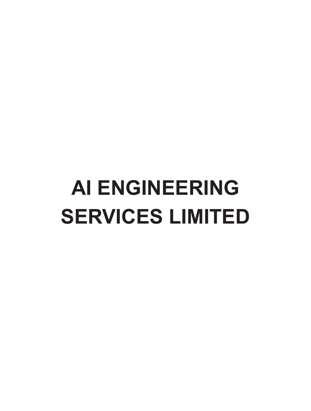# **AI ENGINEERING SERVICES LIMITED**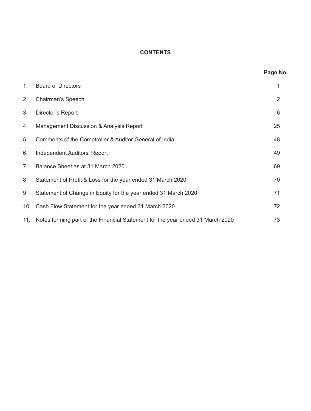# **CONTENTS**

# **Page No.**

| 1.  | <b>Board of Directors</b>                                                      | 1  |
|-----|--------------------------------------------------------------------------------|----|
| 2.  | Chairman's Speech                                                              | 2  |
| 3.  | Director's Report                                                              | 6  |
| 4.  | Management Discussion & Analysis Report                                        | 25 |
| 5.  | Comments of the Comptroller & Auditor General of India                         | 48 |
| 6.  | Independent Auditors' Report                                                   | 49 |
| 7.  | Balance Sheet as at 31 March 2020                                              | 69 |
| 8.  | Statement of Profit & Loss for the year ended 31 March 2020                    | 70 |
| 9.  | Statement of Change in Equity for the year ended 31 March 2020                 | 71 |
|     | 10. Cash Flow Statement for the year ended 31 March 2020                       | 72 |
| 11. | Notes forming part of the Financial Statement for the year ended 31 March 2020 | 73 |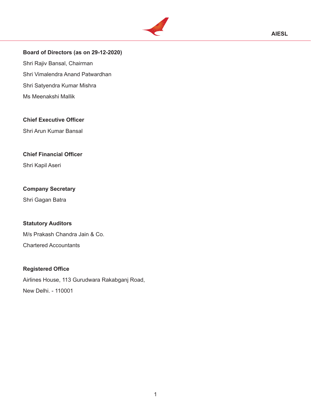

# **Board of Directors (as on 29-12-2020)**

Shri Rajiv Bansal, Chairman Shri Vimalendra Anand Patwardhan Shri Satyendra Kumar Mishra Ms Meenakshi Mallik

# **Chief Executive Officer**

Shri Arun Kumar Bansal

# **Chief Financial Officer**

Shri Kapil Aseri

# **Company Secretary**

Shri Gagan Batra

# **Statutory Auditors**

M/s Prakash Chandra Jain & Co. Chartered Accountants

# **Registered Office**

Airlines House, 113 Gurudwara Rakabganj Road, New Delhi. - 110001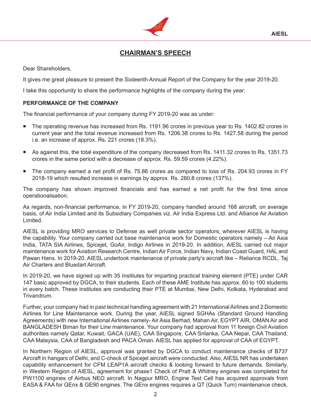

# **CHAIRMAN'S SPEECH**

Dear Shareholders,

It gives me great pleasure to present the Sixteenth Annual Report of the Company for the year 2019-20.

I take this opportunity to share the performance highlights of the company during the year:

# **PERFORMANCE OF THE COMPANY**

The financial performance of your company during FY 2019-20 was as under:

- The operating revenue has increased from Rs. 1191.96 crores in previous year to Rs. 1402.82 crores in current year and the total revenue increased from Rs. 1206.38 crores to Rs. 1427.58 during the period i.e. an increase of approx. Rs. 221 crores (18.3%).
- As against this, the total expenditure of the company decreased from Rs. 1411.32 crores to Rs. 1351.73 crores in the same period with a decrease of approx. Rs. 59.59 crores (4.22%).
- The company earned a net profit of Rs. 75.86 crores as compared to loss of Rs. 204.93 crores in FY 2018-19 which resulted increase in earnings by approx. Rs. 280.8 crores (137%).

The company has shown improved financials and has earned a net profit for the first time since operationalisation.

As regards, non-financial performance, in FY 2019-20, company handled around 168 aircraft, on average basis, of Air India Limited and its Subsidiary Companies viz. Air India Express Ltd. and Alliance Air Aviation Limited.

AIESL is providing MRO services to Defense as well private sector operators, wherever AIESL is having the capability. Your company carried out base maintenance work for Domestic operators namely – Air Asia India, TATA SIA Airlines, Spicejet, GoAir, Indigo Airlines in 2019-20. In addition, AIESL carried out major maintenance work for Aviation Research Centre, Indian Air Force, Indian Navy, Indian Coast Guard, HAL and Pawan Hans. In 2019-20, AIESL undertook maintenance of private party's aircraft like – Reliance RCDL, Taj Air Charters and Bluedart Aircraft.

In 2019-20, we have signed up with 35 Institutes for imparting practical training element (PTE) under CAR 147 basic approved by DGCA, to their students. Each of these AME Institute has approx. 60 to 100 students in every batch. These institutes are conducting their PTE at Mumbai, New Delhi, Kolkata, Hyderabad and Trivandrum.

Further, your company had in past technical handling agreement with 21 International Airlines and 2 Domestic Airlines for Line Maintenance work. During the year, AIESL signed SGHAs (Standard Ground Handling Agreements) with new International Airlines namely- Air Asia Berhad, Mahan Air, EGYPT AIR, OMAN Air and BANGLADESH Biman for their Line maintenance. Your company had approval from 11 foreign Civil Aviation authorities namely Qatar, Kuwait, GACA (UAE), CAA Singapore, CAA Srilanka, CAA Nepal, CAA Thailand, CAA Malaysia, CAA of Bangladesh and PACA Oman. AIESL has applied for approval of CAA of EGYPT.

In Northern Region of AIESL, approval was granted by DGCA to conduct maintenance checks of B737 Aircraft in hangars of Delhi, and C-check of Spicejet aircraft were conducted. Also, AIESL NR has undertaken capability enhancement for CFM LEAP1A aircraft checks & looking forward to future demands. Similarly, in Western Region of AIESL, agreement for phase1 Check of Pratt & Whitney engines was completed for PW1100 engines of Airbus NEO aircraft. In Nagpur MRO, Engine Test Cell has acquired approvals from EASA & FAA for GEnx & GE90 engines. The GEnx engines requires a QT (Quick Turn) maintenance check,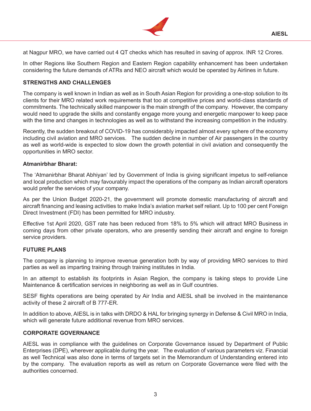

at Nagpur MRO, we have carried out 4 QT checks which has resulted in saving of approx. INR 12 Crores.

In other Regions like Southern Region and Eastern Region capability enhancement has been undertaken considering the future demands of ATRs and NEO aircraft which would be operated by Airlines in future.

# **STRENGTHS AND CHALLENGES**

The company is well known in Indian as well as in South Asian Region for providing a one-stop solution to its clients for their MRO related work requirements that too at competitive prices and world-class standards of commitments. The technically skilled manpower is the main strength of the company. However, the company would need to upgrade the skills and constantly engage more young and energetic manpower to keep pace with the time and changes in technologies as well as to withstand the increasing competition in the industry.

Recently, the sudden breakout of COVID-19 has considerably impacted almost every sphere of the economy including civil aviation and MRO services. The sudden decline in number of Air passengers in the country as well as world-wide is expected to slow down the growth potential in civil aviation and consequently the opportunities in MRO sector.

# **Atmanirbhar Bharat:**

The 'Atmanirbhar Bharat Abhiyan' led by Government of India is giving significant impetus to self-reliance and local production which may favourably impact the operations of the company as Indian aircraft operators would prefer the services of your company.

As per the Union Budget 2020-21, the government will promote domestic manufacturing of aircraft and aircraft financing and leasing activities to make India's aviation market self reliant. Up to 100 per cent Foreign Direct Investment (FDI) has been permitted for MRO industry.

Effective 1st April 2020, GST rate has been reduced from 18% to 5% which will attract MRO Business in coming days from other private operators, who are presently sending their aircraft and engine to foreign service providers.

# **FUTURE PLANS**

The company is planning to improve revenue generation both by way of providing MRO services to third parties as well as imparting training through training institutes in India.

In an attempt to establish its footprints in Asian Region, the company is taking steps to provide Line Maintenance & certification services in neighboring as well as in Gulf countries.

SESF flights operations are being operated by Air India and AIESL shall be involved in the maintenance activity of these 2 aircraft of B 777-ER.

In addition to above, AIESL is in talks with DRDO & HAL for bringing synergy in Defense & Civil MRO in India, which will generate future additional revenue from MRO services.

# **CORPORATE GOVERNANCE**

AIESL was in compliance with the guidelines on Corporate Governance issued by Department of Public Enterprises (DPE), wherever applicable during the year. The evaluation of various parameters viz. Financial as well Technical was also done in terms of targets set in the Memorandum of Understanding entered into by the company. The evaluation reports as well as return on Corporate Governance were filed with the authorities concerned.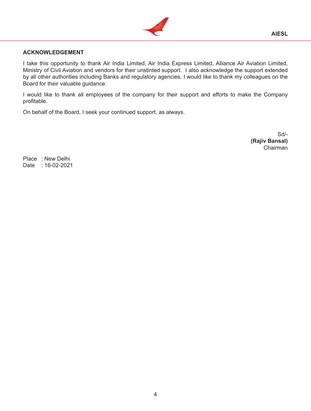

#### **ACKNOWLEDGEMENT**

I take this opportunity to thank Air India Limited, Air India Express Limited, Alliance Air Aviation Limited, Ministry of Civil Aviation and vendors for their unstinted support. I also acknowledge the support extended by all other authorities including Banks and regulatory agencies. I would like to thank my colleagues on the Board for their valuable guidance.

I would like to thank all employees of the company for their support and efforts to make the Company profitable.

On behalf of the Board, I seek your continued support, as always.

Sd/- **(Rajiv Bansal)** Chairman

Place : New Delhi Date : 16-02-2021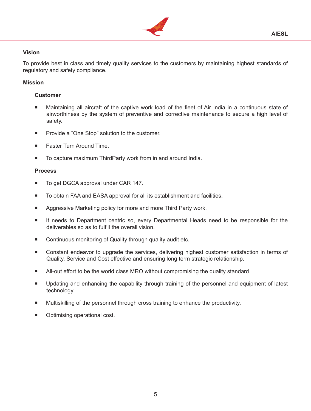

# **Vision**

To provide best in class and timely quality services to the customers by maintaining highest standards of regulatory and safety compliance.

# **Mission**

# **Customer**

- Maintaining all aircraft of the captive work load of the fleet of Air India in a continuous state of airworthiness by the system of preventive and corrective maintenance to secure a high level of safety.
- **Provide a "One Stop" solution to the customer.**
- Faster Turn Around Time.
- To capture maximum ThirdParty work from in and around India.

#### **Process**

- To get DGCA approval under CAR 147.
- To obtain FAA and EASA approval for all its establishment and facilities.
- Aggressive Marketing policy for more and more Third Party work.
- It needs to Department centric so, every Departmental Heads need to be responsible for the deliverables so as to fulfill the overall vision.
- Continuous monitoring of Quality through quality audit etc.
- Constant endeavor to upgrade the services, delivering highest customer satisfaction in terms of Quality, Service and Cost effective and ensuring long term strategic relationship.
- All-out effort to be the world class MRO without compromising the quality standard.
- Updating and enhancing the capability through training of the personnel and equipment of latest technology.
- Multiskilling of the personnel through cross training to enhance the productivity.
- Optimising operational cost.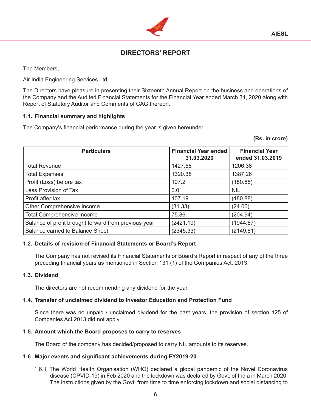

# **DIRECTORS' REPORT**

The Members,

Air India Engineering Services Ltd.

The Directors have pleasure in presenting their Sixteenth Annual Report on the business and operations of the Company and the Audited Financial Statements for the Financial Year ended March 31, 2020 along with Report of Statutory Auditor and Comments of CAG thereon.

# **1.1. Financial summary and highlights**

The Company's financial performance during the year is given hereunder:

**(Rs. in crore)**

| <b>Particulars</b>                                   | <b>Financial Year ended</b><br>31.03.2020 | <b>Financial Year</b><br>ended 31.03.2019 |
|------------------------------------------------------|-------------------------------------------|-------------------------------------------|
| <b>Total Revenue</b>                                 | 1427.58                                   | 1206.38                                   |
| <b>Total Expenses</b>                                | 1320.38                                   | 1387.26                                   |
| Profit (Loss) before tax                             | 107.2                                     | (180.88)                                  |
| Less Provision of Tax                                | 0.01                                      | NIL.                                      |
| Profit after tax                                     | 107.19                                    | (180.88)                                  |
| Other Comprehensive Income                           | (31.33)                                   | (24.06)                                   |
| <b>Total Comprehensive Income</b>                    | 75.86                                     | (204.94)                                  |
| Balance of profit brought forward from previous year | (2421.19)                                 | (1944.87)                                 |
| <b>Balance carried to Balance Sheet</b>              | (2345.33)                                 | (2149.81)                                 |

#### **1.2. Details of revision of Financial Statements or Board's Report**

The Company has not revised its Financial Statements or Board's Report in respect of any of the three preceding financial years as mentioned in Section 131 (1) of the Companies Act, 2013.

#### **1.3. Dividend**

The directors are not recommending any dividend for the year.

#### **1.4. Transfer of unclaimed dividend to Investor Education and Protection Fund**

Since there was no unpaid / unclaimed dividend for the past years, the provision of section 125 of Companies Act 2013 did not apply

#### **1.5. Amount which the Board proposes to carry to reserves**

 The Board of the company has decided/proposed to carry NIL amounts to its reserves.

# **1.6 Major events and significant achievements during FY2019-20 :**

1.6.1 The World Health Organisation (WHO) declared a global pandemic of the Novel Coronavirus disease (CPVID-19) in Feb 2020 and the lockdown was declared by Govt. of India in March 2020. The instructions given by the Govt. from time to time enforcing lockdown and social distancing to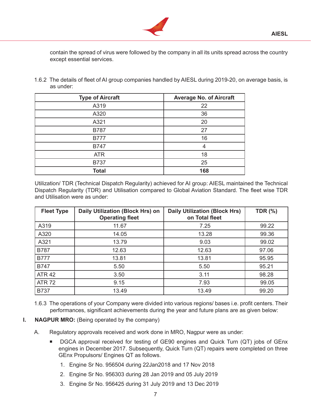

contain the spread of virus were followed by the company in all its units spread across the country except essential services.

| as under:               |                                |
|-------------------------|--------------------------------|
| <b>Type of Aircraft</b> | <b>Average No. of Aircraft</b> |
| A319                    |                                |
| A320                    | 36                             |
| A321                    |                                |

B787 27 B777 16 B747 (and a set of the set of the set of the set of the set of the set of the set of the set of the set of the ATR  $\qquad \qquad \vert$  18 B737 25 **Total 168**

1.6.2 The details of fleet of AI group companies handled by AIESL during 2019-20, on average basis, is as under:

 Utilization/ TDR (Technical Dispatch Regularity) achieved for AI group: AIESL maintained the Technical Dispatch Regularity (TDR) and Utilisation compared to Global Aviation Standard. The fleet wise TDR and Utilisation were as under:

| <b>Fleet Type</b> | <b>Daily Utilization (Block Hrs) on</b><br><b>Operating fleet</b> | <b>Daily Utilization (Block Hrs)</b><br>on Total fleet | <b>TDR (%)</b> |
|-------------------|-------------------------------------------------------------------|--------------------------------------------------------|----------------|
| A319              | 11.67                                                             | 7.25                                                   | 99.22          |
| A320              | 14.05                                                             | 13.28                                                  | 99.36          |
| A321              | 13.79                                                             | 9.03                                                   | 99.02          |
| <b>B787</b>       | 12.63                                                             | 12.63                                                  | 97.06          |
| <b>B777</b>       | 13.81                                                             | 13.81                                                  | 95.95          |
| <b>B747</b>       | 5.50                                                              | 5.50                                                   | 95.21          |
| <b>ATR 42</b>     | 3.50                                                              | 3.11                                                   | 98.28          |
| <b>ATR 72</b>     | 9.15                                                              | 7.93                                                   | 99.05          |
| <b>B737</b>       | 13.49                                                             | 13.49                                                  | 99.20          |

1.6.3 The operations of your Company were divided into various regions/ bases i.e. profit centers. Their performances, significant achievements during the year and future plans are as given below:

- **I. NAGPUR MRO:** (Being operated by the company)
	- A. Regulatory approvals received and work done in MRO, Nagpur were as under:
		- DGCA approval received for testing of GE90 engines and Quick Turn (QT) jobs of GEnx engines in December 2017. Subsequently, Quick Turn (QT) repairs were completed on three GEnx Propulsors/ Engines QT as follows.
			- 1. Engine Sr No. 956504 during 22Jan2018 and 17 Nov 2018
			- 2. Engine Sr No. 956303 during 28 Jan 2019 and 05 July 2019
			- 3. Engine Sr No. 956425 during 31 July 2019 and 13 Dec 2019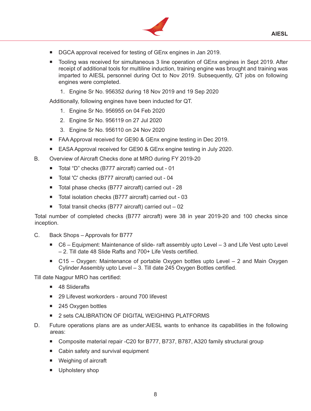- DGCA approval received for testing of GEnx engines in Jan 2019.
- Tooling was received for simultaneous 3 line operation of GEnx engines in Sept 2019. After receipt of additional tools for multiline induction, training engine was brought and training was imparted to AIESL personnel during Oct to Nov 2019. Subsequently, QT jobs on following engines were completed.
	- 1. Engine Sr No. 956352 during 18 Nov 2019 and 19 Sep 2020

Additionally, following engines have been inducted for QT.

- 1. Engine Sr No. 956955 on 04 Feb 2020
- 2. Engine Sr No. 956119 on 27 Jul 2020
- 3. Engine Sr No. 956110 on 24 Nov 2020
- FAA Approval received for GE90 & GEnx engine testing in Dec 2019.
- EASA Approval received for GE90 & GEnx engine testing in July 2020.
- B. Overview of Aircraft Checks done at MRO during FY 2019-20
	- Total "D" checks (B777 aircraft) carried out 01
	- Total 'C' checks (B777 aircraft) carried out 04
	- Total phase checks (B777 aircraft) carried out 28
	- Total isolation checks (B777 aircraft) carried out 03
	- $\blacksquare$  Total transit checks (B777 aircraft) carried out  $-02$

Total number of completed checks (B777 aircraft) were 38 in year 2019-20 and 100 checks since inception.

- C. Back Shops Approvals for B777
	- C6 Equipment: Maintenance of slide- raft assembly upto Level 3 and Life Vest upto Level – 2. Till date 48 Slide Rafts and 700+ Life Vests certified.
	- C15 Oxygen: Maintenance of portable Oxygen bottles upto Level 2 and Main Oxygen Cylinder Assembly upto Level – 3. Till date 245 Oxygen Bottles certified.

Till date Nagpur MRO has certified:

- 48 Sliderafts
- 29 Lifevest workorders around 700 lifevest
- 245 Oxygen bottles
- **2** sets CALIBRATION OF DIGITAL WEIGHING PLATFORMS
- D. Future operations plans are as under:AIESL wants to enhance its capabilities in the following areas:
	- Composite material repair -C20 for B777, B737, B787, A320 family structural group
	- Cabin safety and survival equipment
	- Weighing of aircraft
	- **Upholstery shop**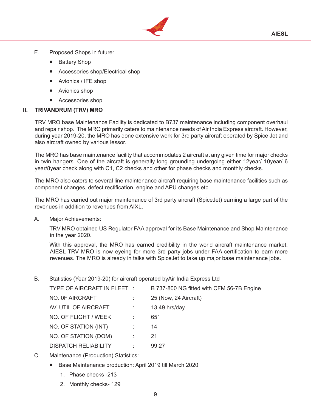

- E. Proposed Shops in future:
	- Battery Shop
	- Accessories shop/Electrical shop
	- **Avionics / IFE shop**
	- Avionics shop
	- Accessories shop

# **II. TRIVANDRUM (TRV) MRO**

 TRV MRO base Maintenance Facility is dedicated to B737 maintenance including component overhaul and repair shop. The MRO primarily caters to maintenance needs of Air India Express aircraft. However, during year 2019-20, the MRO has done extensive work for 3rd party aircraft operated by Spice Jet and also aircraft owned by various lessor.

 The MRO has base maintenance facility that accommodates 2 aircraft at any given time for major checks in twin hangers. One of the aircraft is generally long grounding undergoing either 12year/ 10year/ 6 year/8year check along with C1, C2 checks and other for phase checks and monthly checks.

 The MRO also caters to several line maintenance aircraft requiring base maintenance facilities such as component changes, defect rectification, engine and APU changes etc.

 The MRO has carried out major maintenance of 3rd party aircraft (SpiceJet) earning a large part of the revenues in addition to revenues from AIXL.

A. Major Achievements:

 TRV MRO obtained US Regulator FAA approval for its Base Maintenance and Shop Maintenance in the year 2020.

 With this approval, the MRO has earned credibility in the world aircraft maintenance market. AIESL TRV MRO is now eyeing for more 3rd party jobs under FAA certification to earn more revenues. The MRO is already in talks with SpiceJet to take up major base maintenance jobs.

B. Statistics (Year 2019-20) for aircraft operated byAir India Express Ltd

| TYPE OF AIRCRAFT IN FLEET : |                                                             | B 737-800 NG fitted with CFM 56-7B Engine |
|-----------------------------|-------------------------------------------------------------|-------------------------------------------|
| NO. 0F AIRCRAFT             | $\mathcal{I}^{\mathcal{I}}$ and $\mathcal{I}^{\mathcal{I}}$ | 25 (Now, 24 Aircraft)                     |
| AV. UTIL OF AIRCRAFT        |                                                             | $\frac{1}{2}$ 13.49 hrs/day               |
| NO. OF FLIGHT / WEEK        | ÷                                                           | 651                                       |
| NO. OF STATION (INT)        | diam.                                                       | 14                                        |
| NO. OF STATION (DOM)        | $\mathcal{I}^{\mathcal{I}}$ , $\mathcal{I}^{\mathcal{I}}$   | -21                                       |
| <b>DISPATCH RELIABILITY</b> | ÷                                                           | 99.27                                     |

- C. Maintenance (Production) Statistics:
	- Base Maintenance production: April 2019 till March 2020
		- 1. Phase checks -213
		- 2. Monthly checks- 129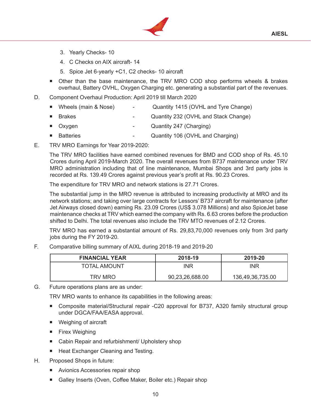**AIESL**

- 3. Yearly Checks- 10
- 4. C Checks on AIX aircraft- 14
- 5. Spice Jet 6-yearly +C1, C2 checks- 10 aircraft
- Other than the base maintenance, the TRV MRO COD shop performs wheels & brakes overhaul, Battery OVHL, Oxygen Charging etc. generating a substantial part of the revenues.
- D. Component Overhaul Production: April 2019 till March 2020
	- Wheels (main & Nose) Quantity 1415 (OVHL and Tyre Change)
	- Brakes **Brakes Cuantity 232 (OVHL and Stack Change)**
	- Oxygen Quantity 247 (Charging)
	- Batteries Quantity 106 (OVHL and Charging)
- E. TRV MRO Earnings for Year 2019-2020:

 The TRV MRO facilities have earned combined revenues for BMD and COD shop of Rs. 45.10 Crores during April 2019-March 2020. The overall revenues from B737 maintenance under TRV MRO administration including that of line maintenance, Mumbai Shops and 3rd party jobs is recorded at Rs. 139.49 Crores against previous year's profit at Rs. 90.23 Crores.

 The expenditure for TRV MRO and network stations is 27.71 Crores.

 The substantial jump in the MRO revenue is attributed to increasing productivity at MRO and its network stations; and taking over large contracts for Lessors' B737 aircraft for maintenance (after Jet Airways closed down) earning Rs. 23.09 Crores (US\$ 3.078 Millions) and also SpiceJet base maintenance checks at TRV which earned the company with Rs. 6.63 crores before the production shifted to Delhi. The total revenues also include the TRV MTO revenues of 2.12 Crores.

 TRV MRO has earned a substantial amount of Rs. 29,83,70,000 revenues only from 3rd party jobs during the FY 2019-20.

F. Comparative billing summary of AIXL during 2018-19 and 2019-20

| <b>FINANCIAL YEAR</b> | 2018-19         | 2019-20          |
|-----------------------|-----------------|------------------|
| <b>TOTAL AMOUNT</b>   | <b>INR</b>      | <b>INR</b>       |
| TRV MRO               | 90,23,26,688.00 | 136,49,36,735.00 |

G. Future operations plans are as under:

 TRV MRO wants to enhance its capabilities in the following areas:

- Composite material/Structural repair -C20 approval for B737, A320 family structural group under DGCA/FAA/EASA approval.
- Weighing of aircraft
- **Firex Weighing**
- Cabin Repair and refurbishment/ Upholstery shop
- Heat Exchanger Cleaning and Testing.
- H. Proposed Shops in future:
	- **Avionics Accessories repair shop**
	- Galley Inserts (Oven, Coffee Maker, Boiler etc.) Repair shop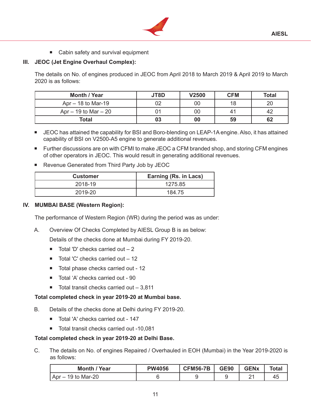

■ Cabin safety and survival equipment

## **III. JEOC (Jet Engine Overhaul Complex):**

 The details on No. of engines produced in JEOC from April 2018 to March 2019 & April 2019 to March 2020 is as follows:

| Month / Year           | <b>JT8D</b> | V2500 | <b>CFM</b> | <b>Total</b> |
|------------------------|-------------|-------|------------|--------------|
| Apr $-18$ to Mar-19    | 02          | 00    | 18         |              |
| Apr $-19$ to Mar $-20$ | 01          | 00    | 41         | 42           |
| Total                  | 03          | 00    | 59         | 62           |

- JEOC has attained the capability for BSI and Boro-blending on LEAP-1A engine. Also, it has attained capability of BSI on V2500-A5 engine to generate additional revenues.
- Further discussions are on with CFMI to make JEOC a CFM branded shop, and storing CFM engines of other operators in JEOC. This would result in generating additional revenues.
- Revenue Generated from Third Party Job by JEOC

| <b>Customer</b> | Earning (Rs. in Lacs) |
|-----------------|-----------------------|
| 2018-19         | 1275.85               |
| 2019-20         | 184.75                |

## **IV. MUMBAI BASE (Western Region):**

The performance of Western Region (WR) during the period was as under:

A. Overview Of Checks Completed by AIESL Group B is as below:

 Details of the checks done at Mumbai during FY 2019-20.

- $\blacksquare$  Total 'D' checks carried out  $-2$
- $\blacksquare$  Total 'C' checks carried out  $-12$
- Total phase checks carried out 12
- Total 'A' checks carried out 90
- $\blacksquare$  Total transit checks carried out  $-3,811$

#### **Total completed check in year 2019-20 at Mumbai base.**

- B. Details of the checks done at Delhi during FY 2019-20.
	- Total 'A' checks carried out 147
	- Total transit checks carried out -10,081

#### **Total completed check in year 2019-20 at Delhi Base.**

C. The details on No. of engines Repaired / Overhauled in EOH (Mumbai) in the Year 2019-2020 is as follows:

| Month / Year       | <b>PW4056</b> | <b>CFM56-7B</b> | <b>GE90</b> | <b>GEN<sub>x</sub></b> | Total     |
|--------------------|---------------|-----------------|-------------|------------------------|-----------|
| Apr – 19 to Mar-20 |               |                 |             |                        | $\Lambda$ |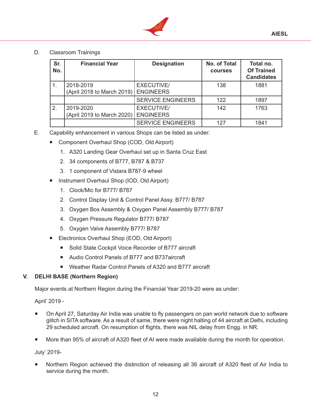

D. Classroom Trainings

| Sr.<br>No.     | <b>Financial Year</b>                   | <b>Designation</b>                    | No. of Total<br><b>courses</b> | Total no.<br><b>Of Trained</b><br><b>Candidates</b> |
|----------------|-----------------------------------------|---------------------------------------|--------------------------------|-----------------------------------------------------|
| $\mathbf{1}$ . | 2018-2019<br>(April 2018 to March 2019) | <b>EXECUTIVE/</b><br><b>ENGINEERS</b> | 138                            | 1881                                                |
|                |                                         | <b>SERVICE ENGINEERS</b>              | 122                            | 1897                                                |
| 2.             | 2019-2020<br>(April 2019 to March 2020) | <b>EXECUTIVE/</b><br><b>ENGINEERS</b> | 142                            | 1763                                                |
|                |                                         | <b>SERVICE ENGINEERS</b>              | 127                            | 1841                                                |

- E. Capability enhancement in various Shops can be listed as under:
	- Component Overhaul Shop (COD, Old Airport)
		- 1. A320 Landing Gear Overhaul set up in Santa Cruz East
		- 2. 34 components of B777, B787 & B737
		- 3. 1 component of Vistara B787-9 wheel
	- Instrument Overhaul Shop (IOD, Old Airport)
		- 1. Clock/Mic for B777/ B787
		- 2. Control Display Unit & Control Panel Assy. B777/ B787
		- 3. Oxygen Box Assembly & Oxygen Panel Assembly B777/ B787
		- 4. Oxygen Pressure Regulator B777/ B787
		- 5. Oxygen Valve Assembly B777/ B787
	- Electronics Overhaul Shop (EOD, Old Airport)
		- Solid State Cockpit Voice Recorder of B777 aircraft
		- Audio Control Panels of B777 and B737aircraft
		- Weather Radar Control Panels of A320 and B777 aircraft

# **V. DELHI BASE (Northern Region)**

 Major events at Northern Region during the Financial Year 2019-20 were as under:

April' 2019 -

- On April 27, Saturday Air India was unable to fly passengers on pan world network due to software glitch in SITA software. As a result of same, there were night halting of 44 aircraft at Delhi, including 29 scheduled aircraft. On resumption of flights, there was NIL delay from Engg. in NR.
- More than 95% of aircraft of A320 fleet of AI were made available during the month for operation.

July' 2019-

 Northern Region achieved the distinction of releasing all 36 aircraft of A320 fleet of Air India to service during the month.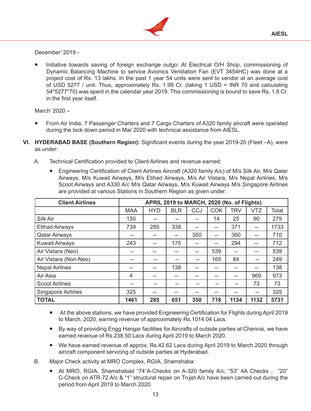

December' 2019 -

 Initiative towards saving of foreign exchange outgo: At Electrical O/H Shop, commissioning of Dynamic Balancing Machine to service Avionics Ventilation Fan (EVT 3454HC) was done at a project cost of Rs. 13 lakhs. In the past 1 year 54 units were sent to vendor at an average cost of USD 5277 / unit. Thus, approximately Rs. 1.99 Cr. (taking 1 USD = INR 70 and calculating 54\*5277\*70) was spent in the calendar year 2019. This commissioning is bound to save Rs. 1.8 Cr. in the first year itself.

 March' 2020 –

- From Air India, 7 Passenger Charters and 7 Cargo Charters of A320 family aircraft were operated during the lock down period in Mar 2020 with technical assistance from AIESL.
- **VI. HYDERABAD BASE (Southern Region):** Significant events during the year 2019-20 (Fleet –A), were as under:
	- A. Technical Certification provided to Client Airlines and revenue earned:
		- Engineering Certification of Client Airlines Aircraft (A320 family A/c) of M/s Silk Air, M/s Qatar Airways, M/s Kuwait Airways, M/s Etihad Airways, M/s Air Vistara, M/s Nepal Airlines, M/s Scoot Airways and A330 A/c M/s Qatar Airways, M/s Kuwait Airways M/s Singapore Airlines are provided at various Stations in Southern Region as given under:

| <b>Client Airlines</b>    | APRIL 2019 to MARCH, 2020 (No. of Flights) |            |            |     |            |            |            |       |  |  |
|---------------------------|--------------------------------------------|------------|------------|-----|------------|------------|------------|-------|--|--|
|                           | <b>MAA</b>                                 | <b>HYD</b> | <b>BLR</b> | CCJ | <b>COK</b> | <b>TRV</b> | <b>VTZ</b> | Total |  |  |
| Silk Air                  | 150                                        | --         |            |     | 14         | 25         | 90         | 279   |  |  |
| <b>Etihad Airways</b>     | 739                                        | 285        | 338        |     | --         | 371        | --         | 1733  |  |  |
| <b>Qatar Airways</b>      | --                                         | --         | --         | 350 | --         | 360        | --         | 710   |  |  |
| <b>Kuwait Airways</b>     | 243                                        | --         | 175        |     | --         | 294        | --         | 712   |  |  |
| Air Vistara (Neo)         | --                                         | --         | --         |     | 539        | --         |            | 539   |  |  |
| Air Vistara (Non-Neo)     | --                                         | --         | --         | --  | 165        | 84         | --         | 249   |  |  |
| <b>Nepal Airlines</b>     | --                                         | --         | 138        | --  | --         | --         | --         | 138   |  |  |
| Air Asia                  | 4                                          | --         | --         |     | --         | --         | 969        | 973   |  |  |
| <b>Scoot Airlines</b>     | --                                         | --         |            |     | --         | --         | 73         | 73    |  |  |
| <b>Singapore Airlines</b> | 325                                        | --         | --         | --  | --         | --         | --         | 325   |  |  |
| <b>TOTAL</b>              | 1461                                       | 285        | 651        | 350 | 718        | 1134       | 1132       | 5731  |  |  |

- At the above stations, we have provided Engineering Certification for Flights during April 2019 to March, 2020, earning revenue of approximately Rs.1014.04 Lacs.
- By way of providing Engg Hangar facilities for Aircrafts of outside parties at Chennai, we have earned revenue of Rs.238.50 Lacs during April 2019 to March 2020.
- We have earned revenue of approx. Rs.42.62 Lacs during April 2019 to March 2020 through aircraft component servicing of outside parties at Hyderabad.
- B. Major Check activity at MRO Complex, RGIA, Shamshaba:
	- At MRO, RGIA, Shamshabad "74"A-Checks on A-320 family A/c, "53" 4A Checks , "20" C-Check on ATR-72 A/c & "1" structural repair on Trujet A/c have been carried out during the period from April 2019 to March 2020.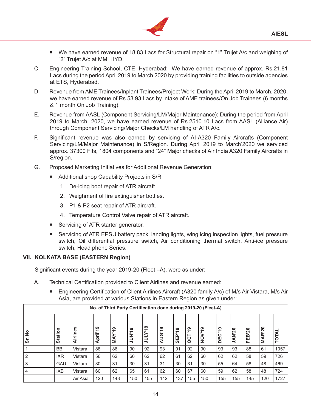

- We have earned revenue of 18.83 Lacs for Structural repair on "1" Trujet A/c and weighing of "2" Trujet A/c at MM, HYD.
- C. Engineering Training School, CTE, Hyderabad: We have earned revenue of approx. Rs.21.81 Lacs during the period April 2019 to March 2020 by providing training facilities to outside agencies at ETS, Hyderabad.
- D. Revenue from AME Trainees/Inplant Trainees/Project Work: During the April 2019 to March, 2020, we have earned revenue of Rs.53.93 Lacs by intake of AME trainees/On Job Trainees (6 months & 1 month On Job Training).
- E. Revenue from AASL (Component Servicing/LM/Major Maintenance): During the period from April 2019 to March, 2020, we have earned revenue of Rs.2510.10 Lacs from AASL (Alliance Air) through Component Servicing/Major Checks/LM handling of ATR A/c.
- F. Significant revenue was also earned by servicing of AI-A320 Family Aircrafts (Component Servicing/LM/Major Maintenance) in S/Region. During April 2019 to March'2020 we serviced approx. 37300 Flts, 1804 components and "24" Major checks of Air India A320 Family Aircrafts in S/region.
- G. Proposed Marketing Initiatives for Additional Revenue Generation:
	- Additional shop Capability Projects in S/R
		- 1. De-icing boot repair of ATR aircraft.
		- 2. Weighment of fire extinguisher bottles.
		- 3. P1 & P2 seat repair of ATR aircraft.
		- 4. Temperature Control Valve repair of ATR aircraft.
	- Servicing of ATR starter generator.
	- Servicing of ATR EPSU battery pack, landing lights, wing icing inspection lights, fuel pressure switch, Oil differential pressure switch, Air conditioning thermal switch, Anti-ice pressure switch, Head phone Series.

## **VII. KOLKATA BASE (EASTERN Region)**

 Significant events during the year 2019-20 (Fleet –A), were as under:

- A. Technical Certification provided to Client Airlines and revenue earned:
	- Engineering Certification of Client Airlines Aircraft (A320 family A/c) of M/s Air Vistara, M/s Air Asia, are provided at various Stations in Eastern Region as given under:

| No. of Third Party Certification done during 2019-20 (Fleet-A) |                |          |            |                      |                  |                                                   |                  |                                               |                  |        |                  |                        |                            |                    |      |
|----------------------------------------------------------------|----------------|----------|------------|----------------------|------------------|---------------------------------------------------|------------------|-----------------------------------------------|------------------|--------|------------------|------------------------|----------------------------|--------------------|------|
| S<br>ြင်္ဘ                                                     | <b>Station</b> | Airlines | ၈<br>April | ၈<br>↽<br><b>MAY</b> | ၈<br><b>LiNN</b> | ၈<br>↽<br>$\overline{\phantom{a}}$<br><b>ATOL</b> | ၈<br>ᅮ<br>ပ<br>₹ | ၈<br>↽<br>$\overline{\phantom{a}}$<br>≏<br>55 | ໑<br>↽<br>⊢<br>Ö | စ<br>ğ | െ<br>ᅮ<br>ت<br>Ĕ | 0<br>$\mathbf{\Omega}$ | 0<br>$\sim$<br>≃<br>ш<br>ш | <u>ន</u><br>ۼ<br>⋚ |      |
|                                                                | <b>BBI</b>     | Vistara  | 88         | 86                   | 90               | 92                                                | 93               | 91                                            | 92               | 90     | 93               | 93                     | 88                         | 61                 | 1057 |
| $\overline{2}$                                                 | IXR            | Vistara  | 56         | 62                   | 60               | 62                                                | 62               | 61                                            | 62               | 60     | 62               | 62                     | 58                         | 59                 | 726  |
| 3                                                              | GAU            | Vistara  | 30         | 31                   | 30               | 31                                                | 31               | 30                                            | 31               | 30     | 55               | 64                     | 58                         | 48                 | 469  |
| $\vert$ 4                                                      | IXB            | Vistara  | 60         | 62                   | 65               | 61                                                | 62               | 60                                            | 67               | 60     | 59               | 62                     | 58                         | 48                 | 724  |
|                                                                |                | Air Asia | 120        | 143                  | 150              | 155                                               | 142              | 137                                           | 155              | 150    | 155              | 155                    | 145                        | 120                | 1727 |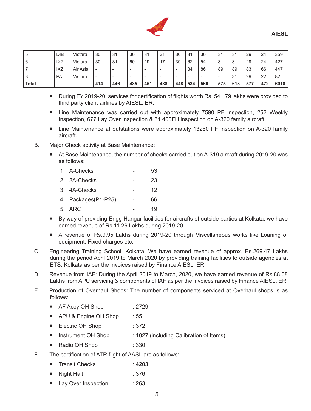

| G            | DIB        | Vistara  | 30                       | 31                       | 30                       | -31                      | 31                       | 30                       | 31                       | 30  | 31  | 31  | 29  | 24  | 359  |
|--------------|------------|----------|--------------------------|--------------------------|--------------------------|--------------------------|--------------------------|--------------------------|--------------------------|-----|-----|-----|-----|-----|------|
|              | IXZ        | Vistara  | 30                       | 31                       | 60                       | 19                       |                          | 39                       | 62                       | 54  | 31  | 31  | 29  | 24  | 427  |
|              | IXZ        | Air Asia | $\overline{\phantom{a}}$ | $\overline{\phantom{a}}$ | $\overline{\phantom{0}}$ | $\overline{\phantom{a}}$ | $\overline{\phantom{a}}$ | $\overline{\phantom{a}}$ | 34                       | 86  | 89  | 89  | 83  | 66  | 447  |
| 8            | <b>PAT</b> | Vistara  | $\overline{\phantom{a}}$ | -                        |                          | $\overline{\phantom{a}}$ | $\overline{\phantom{a}}$ | $\overline{\phantom{a}}$ | $\overline{\phantom{a}}$ |     |     | -31 | 29  | 22  | 82   |
| <b>Total</b> |            |          | 414                      | 446                      | 485                      | 451                      | 438                      | 448                      | 534                      | 560 | 575 | 618 | 577 | 472 | 6018 |

- During FY 2019-20, services for certification of flights worth Rs. 541.79 lakhs were provided to third party client airlines by AIESL, ER.
- **E** Line Maintenance was carried out with approximately 7590 PF inspection, 252 Weekly Inspection, 677 Lay Over Inspection & 31 400FH inspection on A-320 family aircraft.
- Line Maintenance at outstations were approximately 13260 PF inspection on A-320 family aircraft.
- B. Major Check activity at Base Maintenance:
	- At Base Maintenance, the number of checks carried out on A-319 aircraft during 2019-20 was as follows:
		- 1. A-Checks 53
		- 2. 2A-Checks 23
		- 3. 4A-Checks 12
		- 4. Packages(P1-P25) 66
		- 5. ARC 19
	- By way of providing Engg Hangar facilities for aircrafts of outside parties at Kolkata, we have earned revenue of Rs.11.26 Lakhs during 2019-20.
	- A revenue of Rs.9.95 Lakhs during 2019-20 through Miscellaneous works like Loaning of equipment, Fixed charges etc.
- C. Engineering Training School, Kolkata: We have earned revenue of approx. Rs.269.47 Lakhs during the period April 2019 to March 2020 by providing training facilities to outside agencies at ETS, Kolkata as per the invoices raised by Finance AIESL, ER.
- D. Revenue from IAF: During the April 2019 to March, 2020, we have earned revenue of Rs.88.08 Lakhs from APU servicing & components of IAF as per the invoices raised by Finance AIESL, ER.
- E. Production of Overhaul Shops: The number of components serviced at Overhaul shops is as follows:
	- $\blacksquare$  AF Accy OH Shop  $\blacksquare$  : 2729
	- $\blacksquare$  APU & Engine OH Shop : 55
	- Electric OH Shop : 372
	- Instrument OH Shop : 1027 (including Calibration of Items)
	- Radio OH Shop : 330
- F. The certification of ATR flight of AASL are as follows:
	- Transit Checks : 4203
	- Night Halt : 376
	- Lay Over Inspection : 263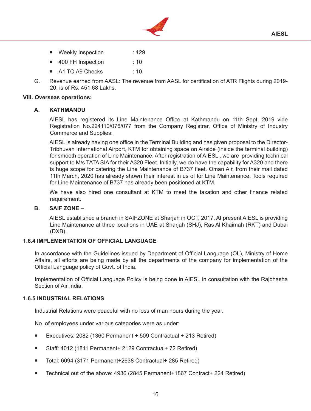

- Weekly Inspection : 129
- 400 FH Inspection : 10
- A1 TO A9 Checks : 10
- G. Revenue earned from AASL: The revenue from AASL for certification of ATR Flights during 2019-20, is of Rs. 451.68 Lakhs.

## **VIII. Overseas operations:**

# **A. KATHMANDU**

 AIESL has registered its Line Maintenance Office at Kathmandu on 11th Sept, 2019 vide Registration No.224110/076/077 from the Company Registrar, Office of Ministry of Industry Commerce and Supplies.

 AIESL is already having one office in the Terminal Building and has given proposal to the Director-Tribhuvan International Airport, KTM for obtaining space on Airside (inside the terminal building) for smooth operation of Line Maintenance. After registration of AIESL , we are providing technical support to M/s TATA SIA for their A320 Fleet. Initially, we do have the capability for A320 and there is huge scope for catering the Line Maintenance of B737 fleet. Oman Air, from their mail dated 11th March, 2020 has already shown their interest in us of for Line Maintenance. Tools required for Line Maintenance of B737 has already been positioned at KTM.

 We have also hired one consultant at KTM to meet the taxation and other finance related requirement.

## **B. SAIF ZONE –**

 AIESL established a branch in SAIFZONE at Sharjah in OCT, 2017. At present AIESL is providing Line Maintenance at three locations in UAE at Sharjah (SHJ), Ras Al Khaimah (RKT) and Dubai (DXB).

# **1.6.4 IMPLEMENTATION OF OFFICIAL LANGUAGE**

 In accordance with the Guidelines issued by Department of Official Language (OL), Ministry of Home Affairs, all efforts are being made by all the departments of the company for implementation of the Official Language policy of Govt. of India.

 Implementation of Official Language Policy is being done in AIESL in consultation with the Rajbhasha Section of Air India.

#### **1.6.5 INDUSTRIAL RELATIONS**

Industrial Relations were peaceful with no loss of man hours during the year.

No. of employees under various categories were as under:

- Executives: 2082 (1360 Permanent + 509 Contractual + 213 Retired)
- Staff: 4012 (1811 Permanent+ 2129 Contractual+ 72 Retired)
- Total: 6094 (3171 Permanent+2638 Contractual+ 285 Retired)
- Technical out of the above: 4936 (2845 Permanent+1867 Contract+ 224 Retired)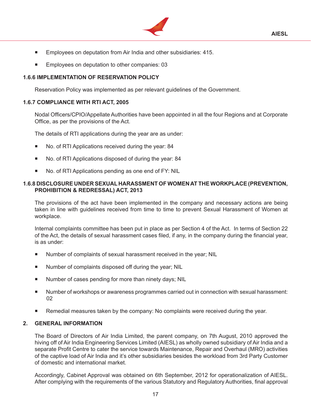

- **Employees on deputation from Air India and other subsidiaries: 415.**
- **Employees on deputation to other companies: 03**

# **1.6.6 IMPLEMENTATION OF RESERVATION POLICY**

Reservation Policy was implemented as per relevant guidelines of the Government.

# **1.6.7 COMPLIANCE WITH RTI ACT, 2005**

 Nodal Officers/CPIO/Appellate Authorities have been appointed in all the four Regions and at Corporate Office, as per the provisions of the Act.

The details of RTI applications during the year are as under:

- No. of RTI Applications received during the year: 84
- No. of RTI Applications disposed of during the year: 84
- No. of RTI Applications pending as one end of FY: NIL

# **1.6.8 DISCLOSURE UNDER SEXUAL HARASSMENT OF WOMEN AT THE WORKPLACE (PREVENTION, PROHIBITION & REDRESSAL) ACT, 2013**

The provisions of the act have been implemented in the company and necessary actions are being taken in line with guidelines received from time to time to prevent Sexual Harassment of Women at workplace.

Internal complaints committee has been put in place as per Section 4 of the Act. In terms of Section 22 of the Act, the details of sexual harassment cases filed, if any, in the company during the financial year, is as under:

- Number of complaints of sexual harassment received in the year; NIL
- Number of complaints disposed off during the year; NIL
- Number of cases pending for more than ninety days; NIL
- Number of workshops or awareness programmes carried out in connection with sexual harassment: 02
- Remedial measures taken by the company: No complaints were received during the year.

# **2. GENERAL INFORMATION**

 The Board of Directors of Air India Limited, the parent company, on 7th August, 2010 approved the hiving off of Air India Engineering Services Limited (AIESL) as wholly owned subsidiary of Air India and a separate Profit Centre to cater the service towards Maintenance, Repair and Overhaul (MRO) activities of the captive load of Air India and it's other subsidiaries besides the workload from 3rd Party Customer of domestic and international market.

 Accordingly, Cabinet Approval was obtained on 6th September, 2012 for operationalization of AIESL. After complying with the requirements of the various Statutory and Regulatory Authorities, final approval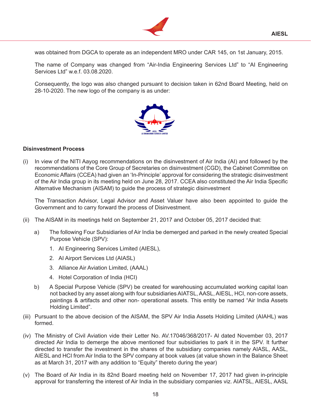

was obtained from DGCA to operate as an independent MRO under CAR 145, on 1st January, 2015.

 The name of Company was changed from "Air-India Engineering Services Ltd" to "AI Engineering Services Ltd" w.e.f. 03.08.2020.

Consequently, the logo was also changed pursuant to decision taken in 62nd Board Meeting, held on 28-10-2020. The new logo of the company is as under:



# **Disinvestment Process**

(i) In view of the NITI Aayog recommendations on the disinvestment of Air India (AI) and followed by the recommendations of the Core Group of Secretaries on disinvestment (CGD), the Cabinet Committee on Economic Affairs (CCEA) had given an 'In-Principle' approval for considering the strategic disinvestment of the Air India group in its meeting held on June 28, 2017. CCEA also constituted the Air India Specific Alternative Mechanism (AISAM) to guide the process of strategic disinvestment

 The Transaction Advisor, Legal Advisor and Asset Valuer have also been appointed to guide the Government and to carry forward the process of Disinvestment.

- (ii) The AISAM in its meetings held on September 21, 2017 and October 05, 2017 decided that:
	- a) The following Four Subsidiaries of Air India be demerged and parked in the newly created Special Purpose Vehicle (SPV):
		- 1. AI Engineering Services Limited (AIESL),
		- 2. AI Airport Services Ltd (AIASL)
		- 3. Alliance Air Aviation Limited, (AAAL)
		- 4. Hotel Corporation of India (HCI)
	- b) A Special Purpose Vehicle (SPV) be created for warehousing accumulated working capital loan not backed by any asset along with four subsidiaries AIATSL, AASL, AIESL, HCI, non-core assets, paintings & artifacts and other non- operational assets. This entity be named "Air India Assets Holding Limited".
- (iii) Pursuant to the above decision of the AISAM, the SPV Air India Assets Holding Limited (AIAHL) was formed.
- (iv) The Ministry of Civil Aviation vide their Letter No. AV.17046/368/2017- Al dated November 03, 2017 directed Air India to demerge the above mentioned four subsidiaries to park it in the SPV. It further directed to transfer the investment in the shares of the subsidiary companies namely AIASL, AASL, AIESL and HCI from Air India to the SPV company at book values (at value shown in the Balance Sheet as at March 31, 2017 with any addition to "Equity" thereto during the year)
- (v) The Board of Air India in its 82nd Board meeting held on November 17, 2017 had given in-principle approval for transferring the interest of Air India in the subsidiary companies viz. AIATSL, AIESL, AASL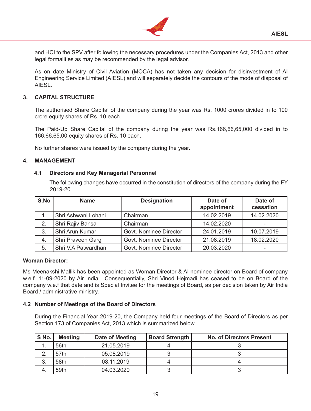

and HCI to the SPV after following the necessary procedures under the Companies Act, 2013 and other legal formalities as may be recommended by the legal advisor.

 As on date Ministry of Civil Aviation (MOCA) has not taken any decision for disinvestment of AI Engineering Service Limited (AIESL) and will separately decide the contours of the mode of disposal of AIESL.

## **3. CAPITAL STRUCTURE**

The authorised Share Capital of the company during the year was Rs. 1000 crores divided in to 100 crore equity shares of Rs. 10 each.

The Paid-Up Share Capital of the company during the year was Rs.166,66,65,000 divided in to 166,66,65,00 equity shares of Rs. 10 each.

No further shares were issued by the company during the year.

#### **4. MANAGEMENT**

#### **4.1 Directors and Key Managerial Personnel**

 The following changes have occurred in the constitution of directors of the company during the FY 2019-20.

| S.No | <b>Name</b>         | <b>Designation</b>     | Date of<br>appointment | Date of<br>cessation |
|------|---------------------|------------------------|------------------------|----------------------|
|      | Shri Ashwani Lohani | Chairman               | 14.02.2019             | 14.02.2020           |
| 2.   | Shri Rajiv Bansal   | Chairman               | 14.02.2020             |                      |
| 3.   | Shri Arun Kumar     | Govt. Nominee Director | 24.01.2019             | 10.07.2019           |
| 4.   | Shri Praveen Garg   | Govt. Nominee Director | 21.08.2019             | 18.02.2020           |
| 5.   | Shri V.A Patwardhan | Govt. Nominee Director | 20.03.2020             |                      |

#### **Woman Director:**

Ms Meenakshi Mallik has been appointed as Woman Director & AI nominee director on Board of company w.e.f. 11-09-2020 by Air India. Consequentially, Shri Vinod Hejmadi has ceased to be on Board of the company w.e.f that date and is Special Invitee for the meetings of Board, as per decision taken by Air India Board / administrative ministry.

#### **4.2 Number of Meetings of the Board of Directors**

 During the Financial Year 2019-20, the Company held four meetings of the Board of Directors as per Section 173 of Companies Act, 2013 which is summarized below.

| S No. | <b>Meeting</b> | Date of Meeting | <b>Board Strength</b> | <b>No. of Directors Present</b> |
|-------|----------------|-----------------|-----------------------|---------------------------------|
|       | 56th           | 21.05.2019      |                       |                                 |
| ⌒     | 57th           | 05.08.2019      |                       |                                 |
| 3.    | 58th           | 08.11.2019      |                       |                                 |
| -4.   | 59th           | 04.03.2020      |                       |                                 |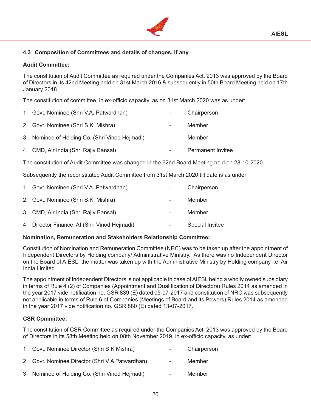

# **4.3 Composition of Committees and details of changes, if any**

## **Audit Committee:**

The constitution of Audit Committee as required under the Companies Act, 2013 was approved by the Board of Directors in its 42nd Meeting held on 31st March 2016 & subsequently in 50th Board Meeting held on 17th January 2018.

The constitution of committee, in ex-officio capacity, as on 31st March 2020 was as under:

| 1. Govt. Nominee (Shri V.A. Patwardhan)        | $\sim$                   | Chairperson              |
|------------------------------------------------|--------------------------|--------------------------|
| 2. Govt. Nominee (Shri S.K. Mishra)            | $\overline{\phantom{a}}$ | Member                   |
| 3. Nominee of Holding Co. (Shri Vinod Hejmadi) | $\overline{\phantom{a}}$ | Member                   |
| 4. CMD, Air India (Shri Rajiv Bansal)          | -                        | <b>Permanent Invitee</b> |

The constitution of Audit Committee was changed in the 62nd Board Meeting held on 28-10-2020.

Subsequently the reconstituted Audit Committee from 31st March 2020 till date is as under:

| 1. Govt. Nominee (Shri V.A. Patwardhan)      | $\overline{\phantom{a}}$ | Chairperson            |
|----------------------------------------------|--------------------------|------------------------|
| 2. Govt. Nominee (Shri S.K. Mishra)          | ٠                        | Member                 |
| 3. CMD, Air India (Shri Rajiv Bansal)        |                          | Member                 |
| 4. Director Finance, AI (Shri Vinod Hejmadi) |                          | <b>Special Invitee</b> |

# **Nomination, Remuneration and Stakeholders Relationship Committee:**

Constitution of Nomination and Remuneration Committee (NRC) was to be taken up after the appointment of Independent Directors by Holding company/ Administrative Ministry. As there was no Independent Director on the Board of AIESL, the matter was taken up with the Administrative Ministry by Holding company i.e. Air India Limited.

The appointment of Independent Directors is not applicable in case of AIESL being a wholly owned subsidiary in terms of Rule 4 (2) of Companies (Appointment and Qualification of Directors) Rules 2014 as amended in the year 2017 vide notification no. GSR 839 (E) dated 05-07-2017 and constitution of NRC was subsequently not applicable in terms of Rule 6 of Companies (Meetings of Board and its Powers) Rules 2014 as amended in the year 2017 vide notification no. GSR 880 (E) dated 13-07-2017.

# **CSR Committee:**

The constitution of CSR Committee as required under the Companies Act, 2013 was approved by the Board of Directors in its 58th Meeting held on 08th November 2019, in ex-officio capacity, as under:

| 1. Govt. Nominee Director (Shri S K Mishra)     | $ -$           | Chairperson |
|-------------------------------------------------|----------------|-------------|
| 2. Govt. Nominee Director (Shri V A Patwardhan) | $\sim$         | Member      |
| 3. Nominee of Holding Co. (Shri Vinod Hejmadi)  | $\overline{a}$ | Member      |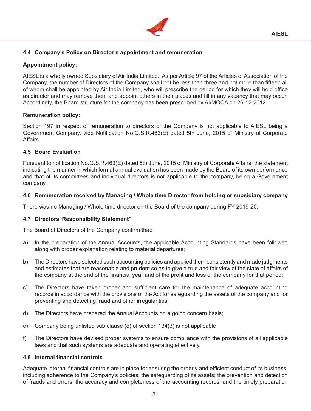

# **4.4 Company's Policy on Director's appointment and remuneration**

# **Appointment policy:**

AIESL is a wholly owned Subsidiary of Air India Limited. As per Article 97 of the Articles of Association of the Company, the number of Directors of the Company shall not be less than three and not more than fifteen all of whom shall be appointed by Air India Limited, who will prescribe the period for which they will hold office as director and may remove them and appoint others in their places and fill in any vacancy that may occur. Accordingly, the Board structure for the company has been prescribed by AI/MOCA on 26-12-2012.

# **Remuneration policy:**

Section 197 in respect of remuneration to directors of the Company is not applicable to AIESL being a Government Company, vide Notification No.G.S.R.463(E) dated 5th June, 2015 of Ministry of Corporate Affairs.

#### **4.5 Board Evaluation**

Pursuant to notification No.G.S.R.463(E) dated 5th June, 2015 of Ministry of Corporate Affairs, the statement indicating the manner in which formal annual evaluation has been made by the Board of its own performance and that of its committees and individual directors is not applicable to the company, being a Government company.

#### **4.6 Remuneration received by Managing / Whole time Director from holding or subsidiary company**

There was no Managing / Whole time director on the Board of the company during FY 2019-20.

# **4.7 Directors' Responsibility Statement"**

The Board of Directors of the Company confirm that:

- a) In the preparation of the Annual Accounts, the applicable Accounting Standards have been followed along with proper explanation relating to material departures;
- b) The Directors have selected such accounting policies and applied them consistently and made judgments and estimates that are reasonable and prudent so as to give a true and fair view of the state of affairs of the company at the end of the financial year and of the profit and loss of the company for that period;
- c) The Directors have taken proper and sufficient care for the maintenance of adequate accounting records in accordance with the provisions of the Act for safeguarding the assets of the company and for preventing and detecting fraud and other irregularities;
- d) The Directors have prepared the Annual Accounts on a going concern basis;
- e) Company being unlisted sub clause (e) of section 134(3) is not applicable
- f) The Directors have devised proper systems to ensure compliance with the provisions of all applicable laws and that such systems are adequate and operating effectively.

#### **4.8 Internal financial controls**

Adequate internal financial controls are in place for ensuring the orderly and efficient conduct of its business, including adherence to the Company's policies; the safeguarding of its assets; the prevention and detection of frauds and errors; the accuracy and completeness of the accounting records; and the timely preparation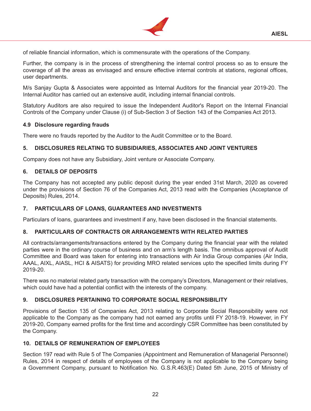of reliable financial information, which is commensurate with the operations of the Company.

Further, the company is in the process of strengthening the internal control process so as to ensure the coverage of all the areas as envisaged and ensure effective internal controls at stations, regional offices, user departments.

M/s Sanjay Gupta & Associates were appointed as Internal Auditors for the financial year 2019-20. The Internal Auditor has carried out an extensive audit, including internal financial controls.

Statutory Auditors are also required to issue the Independent Auditor's Report on the Internal Financial Controls of the Company under Clause (i) of Sub-Section 3 of Section 143 of the Companies Act 2013.

# **4.9 Disclosure regarding frauds**

There were no frauds reported by the Auditor to the Audit Committee or to the Board.

# **5. DISCLOSURES RELATING TO SUBSIDIARIES, ASSOCIATES AND JOINT VENTURES**

Company does not have any Subsidiary, Joint venture or Associate Company.

# **6. DETAILS OF DEPOSITS**

The Company has not accepted any public deposit during the year ended 31st March, 2020 as covered under the provisions of Section 76 of the Companies Act, 2013 read with the Companies (Acceptance of Deposits) Rules, 2014.

# **7. PARTICULARS OF LOANS, GUARANTEES AND INVESTMENTS**

Particulars of loans, guarantees and investment if any, have been disclosed in the financial statements.

# **8. PARTICULARS OF CONTRACTS OR ARRANGEMENTS WITH RELATED PARTIES**

All contracts/arrangements/transactions entered by the Company during the financial year with the related parties were in the ordinary course of business and on arm's length basis. The omnibus approval of Audit Committee and Board was taken for entering into transactions with Air India Group companies (Air India, AAAL, AIXL, AIASL, HCI & AISATS) for providing MRO related services upto the specified limits during FY 2019-20.

There was no material related party transaction with the company's Directors, Management or their relatives, which could have had a potential conflict with the interests of the company.

# **9. DISCLOSURES PERTAINING TO CORPORATE SOCIAL RESPONSIBILITY**

Provisions of Section 135 of Companies Act, 2013 relating to Corporate Social Responsibility were not applicable to the Company as the company had not earned any profits until FY 2018-19. However, in FY 2019-20, Company earned profits for the first time and accordingly CSR Committee has been constituted by the Company.

# **10. DETAILS OF REMUNERATION OF EMPLOYEES**

Section 197 read with Rule 5 of The Companies (Appointment and Remuneration of Managerial Personnel) Rules, 2014 in respect of details of employees of the Company is not applicable to the Company being a Government Company, pursuant to Notification No. G.S.R.463(E) Dated 5th June, 2015 of Ministry of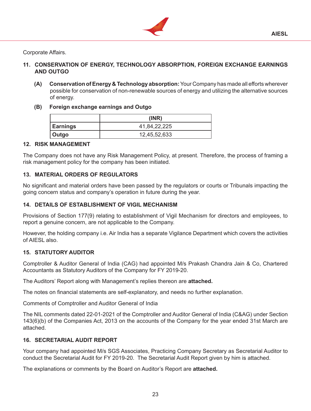

Corporate Affairs.

- **11. CONSERVATION OF ENERGY, TECHNOLOGY ABSORPTION, FOREIGN EXCHANGE EARNINGS AND OUTGO** 
	- **(A) Conservation of Energy & Technology absorption:**Your Company has made all efforts wherever possible for conservation of non-renewable sources of energy and utilizing the alternative sources of energy.
	- **(B) Foreign exchange earnings and Outgo**

|          | (INR)        |
|----------|--------------|
| Earnings | 41,84,22,225 |
| Outgo    | 12,45,52,633 |

# **12. RISK MANAGEMENT**

The Company does not have any Risk Management Policy, at present. Therefore, the process of framing a risk management policy for the company has been initiated.

# **13. MATERIAL ORDERS OF REGULATORS**

No significant and material orders have been passed by the regulators or courts or Tribunals impacting the going concern status and company's operation in future during the year.

# **14. DETAILS OF ESTABLISHMENT OF VIGIL MECHANISM**

Provisions of Section 177(9) relating to establishment of Vigil Mechanism for directors and employees, to report a genuine concern, are not applicable to the Company.

However, the holding company i.e. Air India has a separate Vigilance Department which covers the activities of AIESL also.

# **15. STATUTORY AUDITOR**

Comptroller & Auditor General of India (CAG) had appointed M/s Prakash Chandra Jain & Co, Chartered Accountants as Statutory Auditors of the Company for FY 2019-20.

The Auditors' Report along with Management's replies thereon are **attached.**

The notes on financial statements are self-explanatory, and needs no further explanation.

Comments of Comptroller and Auditor General of India

The NIL comments dated 22-01-2021 of the Comptroller and Auditor General of India (C&AG) under Section 143(6)(b) of the Companies Act, 2013 on the accounts of the Company for the year ended 31st March are attached.

# **16. SECRETARIAL AUDIT REPORT**

Your company had appointed M/s SGS Associates, Practicing Company Secretary as Secretarial Auditor to conduct the Secretarial Audit for FY 2019-20. The Secretarial Audit Report given by him is attached.

The explanations or comments by the Board on Auditor's Report are **attached.**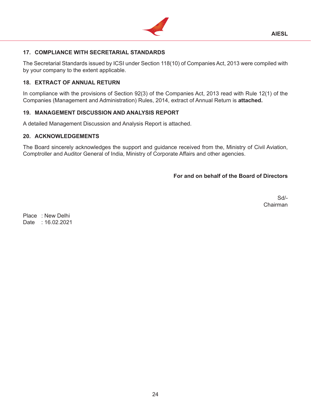

## **17. COMPLIANCE WITH SECRETARIAL STANDARDS**

The Secretarial Standards issued by ICSI under Section 118(10) of Companies Act, 2013 were compiled with by your company to the extent applicable.

## **18. EXTRACT OF ANNUAL RETURN**

In compliance with the provisions of Section 92(3) of the Companies Act, 2013 read with Rule 12(1) of the Companies (Management and Administration) Rules, 2014, extract of Annual Return is **attached.**

# **19. MANAGEMENT DISCUSSION AND ANALYSIS REPORT**

A detailed Management Discussion and Analysis Report is attached.

#### **20. ACKNOWLEDGEMENTS**

The Board sincerely acknowledges the support and guidance received from the, Ministry of Civil Aviation, Comptroller and Auditor General of India, Ministry of Corporate Affairs and other agencies.

# **For and on behalf of the Board of Directors**

 Sd/- Chairman

Place : New Delhi Date : 16.02.2021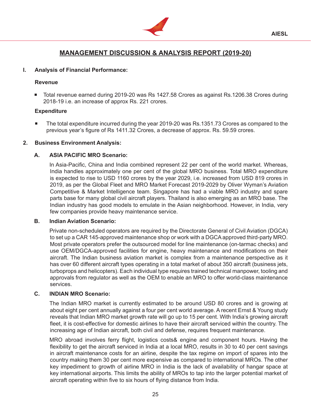

# **MANAGEMENT DISCUSSION & ANALYSIS REPORT (2019-20)**

## **I. Analysis of Financial Performance:**

#### **Revenue**

■ Total revenue earned during 2019-20 was Rs 1427.58 Crores as against Rs.1206.38 Crores during 2018-19 i.e. an increase of approx Rs. 221 crores.

#### **Expenditure**

■ The total expenditure incurred during the year 2019-20 was Rs.1351.73 Crores as compared to the previous year's figure of Rs 1411.32 Crores, a decrease of approx. Rs. 59.59 crores.

#### **2. Business Environment Analysis:**

# **A. ASIA PACIFIC MRO Scenario:**

 In Asia-Pacific, China and India combined represent 22 per cent of the world market. Whereas, India handles approximately one per cent of the global MRO business. Total MRO expenditure is expected to rise to USD 1160 crores by the year 2029, i.e. increased from USD 819 crores in 2019, as per the Global Fleet and MRO Market Forecast 2019-2029 by Oliver Wyman's Aviation Competitive & Market Intelligence team. Singapore has had a viable MRO industry and spare parts base for many global civil aircraft players. Thailand is also emerging as an MRO base. The Indian industry has good models to emulate in the Asian neighborhood. However, in India, very few companies provide heavy maintenance service.

#### **B. Indian Aviation Scenario:**

Private non-scheduled operators are required by the Directorate General of Civil Aviation (DGCA) to set up a CAR 145-approved maintenance shop or work with a DGCAapproved third-party MRO. Most private operators prefer the outsourced model for line maintenance (on-tarmac checks) and use OEM/DGCA-approved facilities for engine, heavy maintenance and modifications on their aircraft. The Indian business aviation market is complex from a maintenance perspective as it has over 60 different aircraft types operating in a total market of about 350 aircraft (business jets, turboprops and helicopters). Each individual type requires trained technical manpower, tooling and approvals from regulator as well as the OEM to enable an MRO to offer world-class maintenance services.

## **C. INDIAN MRO Scenario:**

 The Indian MRO market is currently estimated to be around USD 80 crores and is growing at about eight per cent annually against a four per cent world average. A recent Ernst & Young study reveals that Indian MRO market growth rate will go up to 15 per cent. With India's growing aircraft fleet, it is cost-effective for domestic airlines to have their aircraft serviced within the country. The increasing age of Indian aircraft, both civil and defense, requires frequent maintenance.

 MRO abroad involves ferry flight, logistics costs& engine and component hours. Having the flexibility to get the aircraft serviced in India at a local MRO, results in 30 to 40 per cent savings in aircraft maintenance costs for an airline, despite the tax regime on import of spares into the country making them 30 per cent more expensive as compared to international MROs. The other key impediment to growth of airline MRO in India is the lack of availability of hangar space at key international airports. This limits the ability of MROs to tap into the larger potential market of aircraft operating within five to six hours of flying distance from India.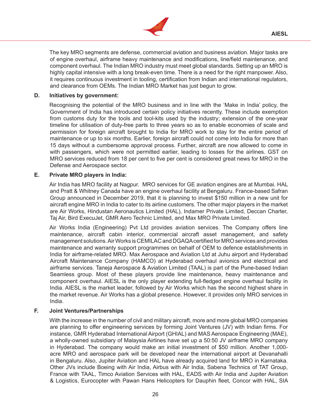

 The key MRO segments are defense, commercial aviation and business aviation. Major tasks are of engine overhaul, airframe heavy maintenance and modifications, line/field maintenance, and component overhaul. The Indian MRO industry must meet global standards. Setting up an MRO is highly capital intensive with a long break-even time. There is a need for the right manpower. Also, it requires continuous investment in tooling, certification from Indian and international regulators, and clearance from OEMs. The Indian MRO Market has just begun to grow.

# **D. Initiatives by government:**

 Recognising the potential of the MRO business and in line with the 'Make in India' policy, the Government of India has introduced certain policy initiatives recently. These include exemption from customs duty for the tools and tool-kits used by the industry; extension of the one-year timeline for utilisation of duty-free parts to three years so as to enable economies of scale and permission for foreign aircraft brought to India for MRO work to stay for the entire period of maintenance or up to six months. Earlier, foreign aircraft could not come into India for more than 15 days without a cumbersome approval process. Further, aircraft are now allowed to come in with passengers, which were not permitted earlier, leading to losses for the airlines. GST on MRO services reduced from 18 per cent to five per cent is considered great news for MRO in the Defense and Aerospace sector.

# **E. Private MRO players in India:**

 Air India has MRO facility at Nagpur. MRO services for GE aviation engines are at Mumbai. HAL and Pratt & Whitney Canada have an engine overhaul facility at Bengaluru. France-based Safran Group announced in December 2019, that it is planning to invest \$150 million in a new unit for aircraft engine MRO in India to cater to its airline customers. The other major players in the market are Air Works, Hindustan Aeronautics Limited (HAL), Indamer Private Limited, Deccan Charter, Taj Air, Bird ExecuJet, GMR Aero Technic Limited, and Max MRO Private Limited.

 Air Works India (Engineering) Pvt Ltd provides aviation services. The Company offers line maintenance, aircraft cabin interior, commercial aircraft asset management, and safety management solutions.AirWorks is CEMILAC and DGAQAcertified for MROservices and provides maintenance and warranty support programmes on behalf of OEM to defence establishments in India for airframe-related MRO. Max Aerospace and Aviation Ltd at Juhu airport and Hyderabad Aircraft Maintenance Company (HAMCO) at Hyderabad overhaul avionics and electrical and airframe services. Taneja Aerospace & Aviation Limited (TAAL) is part of the Pune-based Indian Seamless group. Most of these players provide line maintenance, heavy maintenance and component overhaul. AIESL is the only player extending full-fledged engine overhaul facility in India. AIESL is the market leader, followed by Air Works which has the second highest share in the market revenue. Air Works has a global presence. However, it provides only MRO services in India.

# **F. Joint Ventures/Partnerships**

 With the increase in the number of civil and military aircraft, more and more global MRO companies are planning to offer engineering services by forming Joint Ventures (JV) with Indian firms. For instance, GMR Hyderabad International Airport (GHIAL) and MAS Aerospace Engineering (MAE), a wholly-owned subsidiary of Malaysia Airlines have set up a 50:50 JV airframe MRO company in Hyderabad. The company would make an initial investment of \$50 million. Another 1,000 acre MRO and aerospace park will be developed near the international airport at Devanahalli in Bengaluru. Also, Jupiter Aviation and HAL have already acquired land for MRO in Karnataka. Other JVs include Boeing with Air India, Airbus with Air India, Sabena Technics of TAT Group, France with TAAL, Timco Aviation Services with HAL, EADS with Air India and Jupiter Aviation & Logistics, Eurocopter with Pawan Hans Helicopters for Dauphin fleet, Concor with HAL, SIA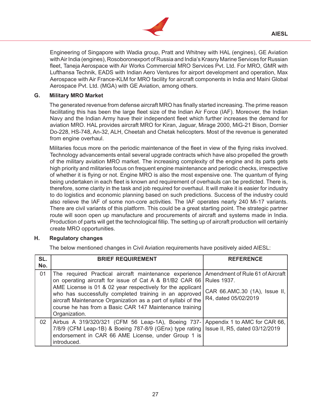

Engineering of Singapore with Wadia group, Pratt and Whitney with HAL (engines), GE Aviation with Air India (engines), Rosoboronexport of Russia and India's Krasny Marine Services for Russian fleet, Taneja Aerospace with Air Works Commercial MRO Services Pvt. Ltd. For MRO, GMR with Lufthansa Technik, EADS with Indian Aero Ventures for airport development and operation, Max Aerospace with Air France-KLM for MRO facility for aircraft components in India and Maini Global Aerospace Pvt. Ltd. (MGA) with GE Aviation, among others.

## **G. Military MRO Market**

 The generated revenue from defense aircraft MRO has finally started increasing. The prime reason facilitating this has been the large fleet size of the Indian Air Force (IAF). Moreover, the Indian Navy and the Indian Army have their independent fleet which further increases the demand for aviation MRO. HAL provides aircraft MRO for Kiran, Jaguar, Mirage 2000, MiG-21 Bison, Dornier Do-228, HS-748, An-32, ALH, Cheetah and Chetak helicopters. Most of the revenue is generated from engine overhaul.

 Militaries focus more on the periodic maintenance of the fleet in view of the flying risks involved. Technology advancements entail several upgrade contracts which have also propelled the growth of the military aviation MRO market. The increasing complexity of the engine and its parts gets high priority and militaries focus on frequent engine maintenance and periodic checks, irrespective of whether it is flying or not. Engine MRO is also the most expensive one. The quantum of flying being undertaken in each fleet is known and requirement of overhauls can be predicted. There is, therefore, some clarity in the task and job required for overhaul. It will make it is easier for industry to do logistics and economic planning based on such predictions. Success of the industry could also relieve the IAF of some non-core activities. The IAF operates nearly 240 Mi-17 variants. There are civil variants of this platform. This could be a great starting point. The strategic partner route will soon open up manufacture and procurements of aircraft and systems made in India. Production of parts will get the technological fillip. The setting up of aircraft production will certainly create MRO opportunities.

#### **H. Regulatory changes**

 The below mentioned changes in Civil Aviation requirements have positively aided AIESL:

| SL.<br>No. | <b>BRIEF REQUIREMENT</b>                                                                                                                                                                                                                                                                                                                                                                                                              | <b>REFERENCE</b>                                      |
|------------|---------------------------------------------------------------------------------------------------------------------------------------------------------------------------------------------------------------------------------------------------------------------------------------------------------------------------------------------------------------------------------------------------------------------------------------|-------------------------------------------------------|
| 01         | The required Practical aircraft maintenance experience Amendment of Rule 61 of Aircraft<br>on operating aircraft for issue of Cat A & B1/B2 CAR 66   Rules 1937.<br>AME License is 01 & 02 year respectively for the applicant<br>who has successfully completed training in an approved<br>aircraft Maintenance Organization as a part of syllabi of the<br>course he has from a Basic CAR 147 Maintenance training<br>Organization. | CAR 66.AMC.30 (1A), Issue II,<br>R4, dated 05/02/2019 |
| 02         | Airbus A 319/320/321 (CFM 56 Leap-1A), Boeing 737- Appendix 1 to AMC for CAR 66,<br>7/8/9 (CFM Leap-1B) & Boeing 787-8/9 (GEnx) type rating   Issue II, R5, dated 03/12/2019<br>endorsement in CAR 66 AME License, under Group 1 is<br>introduced.                                                                                                                                                                                    |                                                       |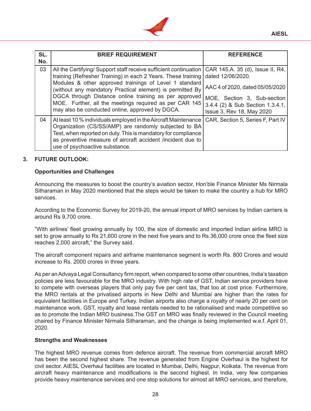

| SL. | <b>BRIEF REQUIREMENT</b>                                                                                                                                                                                                                                                                  | <b>REFERENCE</b>                                                                             |
|-----|-------------------------------------------------------------------------------------------------------------------------------------------------------------------------------------------------------------------------------------------------------------------------------------------|----------------------------------------------------------------------------------------------|
| No. |                                                                                                                                                                                                                                                                                           |                                                                                              |
| 03  | All the Certifying/ Support staff receive sufficient continuation<br>training (Refresher Training) in each 2 Years. These training                                                                                                                                                        | CAR 145.A. 35 (d), Issue II, R4,<br>dated 12/06/2020.                                        |
|     | Modules & other approved trainings of Level 1 standard<br>(without any mandatory Practical element) is permitted By                                                                                                                                                                       | AAC 4 of 2020, dated 05/05/2020                                                              |
|     | DGCA through Distance online training as per approved<br>MOE. Further, all the meetings required as per CAR 145<br>may also be conducted online, approved by DGCA.                                                                                                                        | MOE, Section 3, Sub-section<br>3.4.4 (2) & Sub Section 1.3.4.1,<br>Issue 3, Rev 18, May 2020 |
| 04  | At least 10 % individuals employed in the Aircraft Maintenance<br>Organization (CS/SS/AMP) are randomly subjected to BA<br>Test, when reported on duty. This is mandatory for compliance<br>as preventive measure of aircraft accident /incident due to<br>use of psychoactive substance. | CAR, Section 5, Series F, Part IV                                                            |

# **3. FUTURE OUTLOOK:**

# **Opportunities and Challenges**

Announcing the measures to boost the country's aviation sector, Hon'ble Finance Minister Ms Nirmala Sitharaman in May 2020 mentioned that the steps would be taken to make the country a hub for MRO services.

 According to the Economic Survey for 2019-20, the annual import of MRO services by Indian carriers is around Rs 9,700 crore.

 "With airlines' fleet growing annually by 100, the size of domestic and imported Indian airline MRO is set to grow annually to Rs 21,600 crore in the next five years and to Rs 36,000 crore once the fleet size reaches 2,000 aircraft," the Survey said.

The aircraft component repairs and airframe maintenance segment is worth Rs. 800 Crores and would increase to Rs. 2000 crores in three years.

As per an Advaya Legal Consultancy firm report, when compared to some other countries, India's taxation policies are less favourable for the MRO industry. With high rate of GST, Indian service providers have to compete with overseas players that only pay five per cent tax, that too at cost price. Furthermore, the MRO rentals at the privatised airports in New Delhi and Mumbai are higher than the rates for equivalent facilities in Europe and Turkey. Indian airports also charge a royalty of nearly 20 per cent on maintenance work. GST, royalty and lease rentals needed to be rationalised and made competitive so as to promote the Indian MRO business.The GST on MRO was finally reviewed in the Council meeting chaired by Finance Minister Nirmala Sitharaman, and the change is being implemented w.e.f. April 01, 2020.

#### **Strengths and Weaknesses**

 The highest MRO revenue comes from defence aircraft. The revenue from commercial aircraft MRO has been the second highest share. The revenue generated from Engine Overhaul is the highest for civil sector. AIESL Overhaul facilities are located in Mumbai, Delhi, Nagpur, Kolkata. The revenue from aircraft heavy maintenance and modifications is the second highest. In India, very few companies provide heavy maintenance services and one stop solutions for almost all MRO services, and therefore,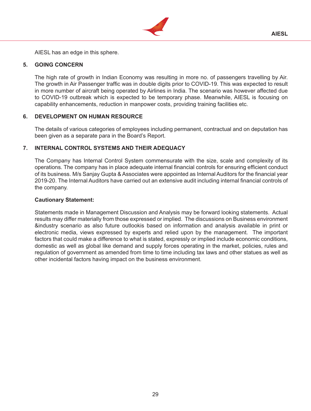

AIESL has an edge in this sphere.

## **5. GOING CONCERN**

The high rate of growth in Indian Economy was resulting in more no. of passengers travelling by Air. The growth in Air Passenger traffic was in double digits prior to COVID-19. This was expected to result in more number of aircraft being operated by Airlines in India. The scenario was however affected due to COVID-19 outbreak which is expected to be temporary phase. Meanwhile, AIESL is focusing on capability enhancements, reduction in manpower costs, providing training facilities etc.

#### **6. DEVELOPMENT ON HUMAN RESOURCE**

The details of various categories of employees including permanent, contractual and on deputation has been given as a separate para in the Board's Report.

# **7. INTERNAL CONTROL SYSTEMS AND THEIR ADEQUACY**

 The Company has Internal Control System commensurate with the size, scale and complexity of its operations. The company has in place adequate internal financial controls for ensuring efficient conduct of its business. M/s Sanjay Gupta & Associates were appointed as Internal Auditors for the financial year 2019-20. The Internal Auditors have carried out an extensive audit including internal financial controls of the company.

#### **Cautionary Statement:**

Statements made in Management Discussion and Analysis may be forward looking statements. Actual results may differ materially from those expressed or implied. The discussions on Business environment &industry scenario as also future outlookis based on information and analysis available in print or electronic media, views expressed by experts and relied upon by the management. The important factors that could make a difference to what is stated, expressly or implied include economic conditions, domestic as well as global like demand and supply forces operating in the market, policies, rules and regulation of government as amended from time to time including tax laws and other statues as well as other incidental factors having impact on the business environment.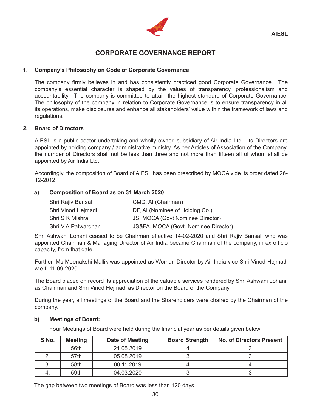

# **CORPORATE GOVERNANCE REPORT**

## **1. Company's Philosophy on Code of Corporate Governance**

 The company firmly believes in and has consistently practiced good Corporate Governance. The company's essential character is shaped by the values of transparency, professionalism and accountability. The company is committed to attain the highest standard of Corporate Governance. The philosophy of the company in relation to Corporate Governance is to ensure transparency in all its operations, make disclosures and enhance all stakeholders' value within the framework of laws and regulations.

#### **2. Board of Directors**

 AIESL is a public sector undertaking and wholly owned subsidiary of Air India Ltd. Its Directors are appointed by holding company / administrative ministry. As per Articles of Association of the Company, the number of Directors shall not be less than three and not more than fifteen all of whom shall be appointed by Air India Ltd.

 Accordingly, the composition of Board of AIESL has been prescribed by MOCA vide its order dated 26- 12-2012.

#### **a) Composition of Board as on 31 March 2020**

| Shri Rajiv Bansal   | CMD, AI (Chairman)                   |
|---------------------|--------------------------------------|
| Shri Vinod Hejmadi  | DF, AI (Nominee of Holding Co.)      |
| Shri S K Mishra     | JS, MOCA (Govt Nominee Director)     |
| Shri V.A.Patwardhan | JS&FA, MOCA (Govt. Nominee Director) |

 Shri Ashwani Lohani ceased to be Chairman effective 14-02-2020 and Shri Rajiv Bansal, who was appointed Chairman & Managing Director of Air India became Chairman of the company, in ex officio capacity, from that date.

Further, Ms Meenakshi Mallik was appointed as Woman Director by Air India vice Shri Vinod Hejmadi w.e.f. 11-09-2020.

 The Board placed on record its appreciation of the valuable services rendered by Shri Ashwani Lohani, as Chairman and Shri Vinod Hejmadi as Director on the Board of the Company.

During the year, all meetings of the Board and the Shareholders were chaired by the Chairman of the company.

#### **b) Meetings of Board:**

 Four Meetings of Board were held during the financial year as per details given below:

| S No. | <b>Meeting</b> | Date of Meeting | <b>Board Strength</b> | <b>No. of Directors Present</b> |
|-------|----------------|-----------------|-----------------------|---------------------------------|
|       | 56th           | 21.05.2019      |                       |                                 |
|       | 57th           | 05.08.2019      |                       |                                 |
|       | 58th           | 08.11.2019      |                       |                                 |
|       | 59th           | 04.03.2020      |                       |                                 |

The gap between two meetings of Board was less than 120 days.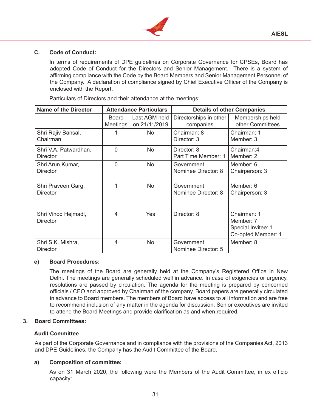

# **C. Code of Conduct:**

In terms of requirements of DPE guidelines on Corporate Governance for CPSEs, Board has adopted Code of Conduct for the Directors and Senior Management. There is a system of affirming compliance with the Code by the Board Members and Senior Management Personnel of the Company. A declaration of compliance signed by Chief Executive Officer of the Company is enclosed with the Report.

**Name of the Director | Attendance Particulars | Details of other Companies** Board Meetings Last AGM held on 21/11/2019 Directorships in other companies Memberships held other Committees Shri Rajiv Bansal, Chairman 1 No Chairman: 8 Director: 3 Chairman: 1 Member: 3 Shri V.A. Patwardhan, **Director** 0 | No | Director: 8 Part Time Member: 1 Chairman:4 Member: 2 Shri Arun Kumar, **Director** 0 | No | Government Nominee Director: 8 Member: 6 Chairperson: 3 Shri Praveen Garg, **Director** 1 No Government Nominee Director: 8 Member: 6 Chairperson: 3 Shri Vinod Hejmadi, **Director** 4 Yes Director: 8 Chairman: 1 Member: 7 Special Invitee: 1 Co-opted Member: 1 Shri S.K. Mishra, **Director** 4 No Government Nominee Director: 5 Member: 8

Particulars of Directors and their attendance at the meetings:

# **e) Board Procedures:**

 The meetings of the Board are generally held at the Company's Registered Office in New Delhi. The meetings are generally scheduled well in advance. In case of exigencies or urgency, resolutions are passed by circulation. The agenda for the meeting is prepared by concerned officials / CEO and approved by Chairman of the company. Board papers are generally circulated in advance to Board members. The members of Board have access to all information and are free to recommend inclusion of any matter in the agenda for discussion. Senior executives are invited to attend the Board Meetings and provide clarification as and when required.

# **3. Board Committees:**

# **Audit Committee**

As part of the Corporate Governance and in compliance with the provisions of the Companies Act, 2013 and DPE Guidelines, the Company has the Audit Committee of the Board.

# **a) Composition of committee:**

 As on 31 March 2020, the following were the Members of the Audit Committee, in ex officio capacity: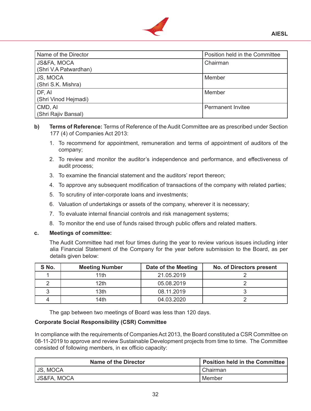

| Name of the Director  | Position held in the Committee |
|-----------------------|--------------------------------|
| JS&FA, MOCA           | Chairman                       |
| (Shri V.A Patwardhan) |                                |
| JS, MOCA              | Member                         |
| (Shri S.K. Mishra)    |                                |
| DF, AI                | Member                         |
| (Shri Vinod Hejmadi)  |                                |
| CMD, AI               | <b>Permanent Invitee</b>       |
| (Shri Rajiv Bansal)   |                                |

- **b) Terms of Reference:** Terms of Reference of the Audit Committee are as prescribed under Section 177 (4) of Companies Act 2013:
	- 1. To recommend for appointment, remuneration and terms of appointment of auditors of the company;
	- 2. To review and monitor the auditor's independence and performance, and effectiveness of audit process;
	- 3. To examine the financial statement and the auditors' report thereon;
	- 4. To approve any subsequent modification of transactions of the company with related parties;
	- 5. To scrutiny of inter-corporate loans and investments;
	- 6. Valuation of undertakings or assets of the company, wherever it is necessary;
	- 7. To evaluate internal financial controls and risk management systems;
	- 8. To monitor the end use of funds raised through public offers and related matters.

#### **c. Meetings of committee:**

The Audit Committee had met four times during the year to review various issues including inter alia Financial Statement of the Company for the year before submission to the Board, as per details given below:

| S No. | <b>Meeting Number</b> | Date of the Meeting | <b>No. of Directors present</b> |
|-------|-----------------------|---------------------|---------------------------------|
|       | 11th                  | 21.05.2019          |                                 |
|       | 12th                  | 05.08.2019          |                                 |
|       | 13th                  | 08.11.2019          |                                 |
|       | 14th                  | 04.03.2020          |                                 |

The gap between two meetings of Board was less than 120 days.

# **Corporate Social Responsibility (CSR) Committee**

In compliance with the requirements of Companies Act 2013, the Board constituted a CSR Committee on 08-11-2019 to approve and review Sustainable Development projects from time to time. The Committee consisted of following members, in ex officio capacity:

| Name of the Director   | <b>Position held in the Committee</b> |
|------------------------|---------------------------------------|
| <b>JS, MOCA</b>        | Chairman                              |
| <b>JS&amp;FA, MOCA</b> | Member                                |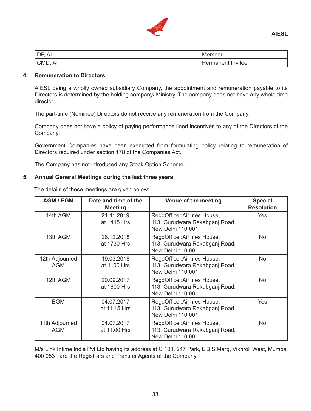

| 'DF.<br>д.<br>$\mathsf{m}$ | Member    |
|----------------------------|-----------|
| Al                         | Invitee   |
| ' CMD.                     | 'ermanent |

#### **4. Remuneration to Directors**

 AIESL being a wholly owned subsidiary Company, the appointment and remuneration payable to its Directors is determined by the holding company/ Ministry. The company does not have any whole-time director.

The part-time (Nominee) Directors do not receive any remuneration from the Company.

Company does not have a policy of paying performance lined incentives to any of the Directors of the Company.

Government Companies have been exempted from formulating policy relating to remuneration of Directors required under section 178 of the Companies Act.

 The Company has not introduced any Stock Option Scheme.

#### **5. Annual General Meetings during the last three years**

| <b>AGM / EGM</b>      | Date and time of the<br><b>Meeting</b>                                                                           | Venue of the meeting                                                                       | <b>Special</b><br><b>Resolution</b> |
|-----------------------|------------------------------------------------------------------------------------------------------------------|--------------------------------------------------------------------------------------------|-------------------------------------|
| 14th AGM              | 21.11.2019<br>at 1415 Hrs                                                                                        | RegdOffice : Airlines House,<br>113, Gurudwara Rakabganj Road,<br><b>New Delhi 110 001</b> | <b>Yes</b>                          |
| 13th AGM              | RegdOffice : Airlines House,<br>26.12.2018<br>113, Gurudwara Rakabganj Road,<br>at 1730 Hrs<br>New Delhi 110 001 |                                                                                            | No                                  |
| 12th Adjourned<br>AGM | 19.03.2018<br>at 1100 Hrs                                                                                        | RegdOffice : Airlines House,<br>113, Gurudwara Rakabganj Road,<br><b>New Delhi 110 001</b> | No.                                 |
| 12th AGM              | 20.09.2017<br>at 1600 Hrs                                                                                        | RegdOffice : Airlines House,<br>113, Gurudwara Rakabganj Road,<br>New Delhi 110 001        | No.                                 |
| <b>EGM</b>            | 04.07.2017<br>at 11.15 Hrs                                                                                       | RegdOffice : Airlines House,<br>113, Gurudwara Rakabganj Road,<br>New Delhi 110 001        | <b>Yes</b>                          |
| 11th Adjourned<br>AGM | 04.07.2017<br>at 11.00 Hrs                                                                                       | RegdOffice : Airlines House,<br>113, Gurudwara Rakabganj Road,<br><b>New Delhi 110 001</b> | No.                                 |

The details of these meetings are given below:

 M/s Link Intime India Pvt Ltd having its address at C 101, 247 Park, L B S Marg, Vikhroli West, Mumbai 400 083 are the Registrars and Transfer Agents of the Company.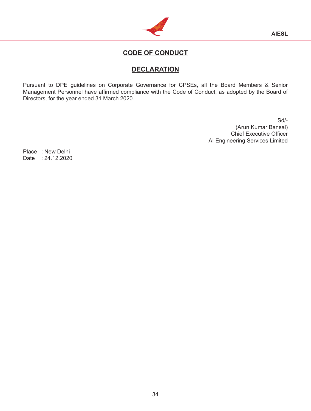

# **CODE OF CONDUCT**

# **DECLARATION**

Pursuant to DPE guidelines on Corporate Governance for CPSEs, all the Board Members & Senior Management Personnel have affirmed compliance with the Code of Conduct, as adopted by the Board of Directors, for the year ended 31 March 2020.

> Sd/- (Arun Kumar Bansal) Chief Executive Officer AI Engineering Services Limited

Place : New Delhi Date : 24.12.2020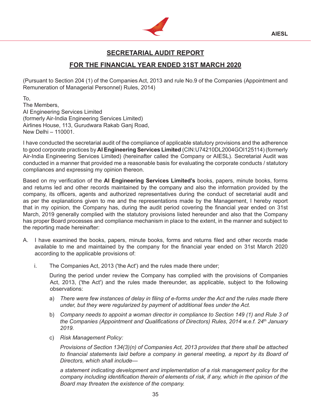

# **SECRETARIAL AUDIT REPORT**

# **FOR THE FINANCIAL YEAR ENDED 31ST MARCH 2020**

(Pursuant to Section 204 (1) of the Companies Act, 2013 and rule No.9 of the Companies (Appointment and Remuneration of Managerial Personnel) Rules, 2014)

To,

The Members, AI Engineering Services Limited (formerly Air-India Engineering Services Limited) Airlines House, 113, Gurudwara Rakab Ganj Road, New Delhi – 110001.

I have conducted the secretarial audit of the compliance of applicable statutory provisions and the adherence to good corporate practices by **AI Engineering Services Limited** (CIN:U74210DL2004GOI125114) (formerly Air-India Engineering Services Limited) (hereinafter called the Company or AIESL). Secretarial Audit was conducted in a manner that provided me a reasonable basis for evaluating the corporate conducts / statutory compliances and expressing my opinion thereon.

Based on my verification of the **AI Engineering Services Limited's** books, papers, minute books, forms and returns led and other records maintained by the company and also the information provided by the company, its officers, agents and authorized representatives during the conduct of secretarial audit and as per the explanations given to me and the representations made by the Management, I hereby report that in my opinion, the Company has, during the audit period covering the financial year ended on 31st March, 2019 generally complied with the statutory provisions listed hereunder and also that the Company has proper Board processes and compliance mechanism in place to the extent, in the manner and subject to the reporting made hereinafter:

- A. I have examined the books, papers, minute books, forms and returns filed and other records made available to me and maintained by the company for the financial year ended on 31st March 2020 according to the applicable provisions of:
	- i. The Companies Act, 2013 ('the Act') and the rules made there under;

During the period under review the Company has complied with the provisions of Companies Act, 2013, ('the Act') and the rules made thereunder, as applicable, subject to the following observations:

- a) *There were few instances of delay in filing of e-forms under the Act and the rules made there under, but they were regularized by payment of additional fees under the Act.*
- b) *Company needs to appoint a woman director in compliance to Section 149 (1) and Rule 3 of the Companies (Appointment and Qualifications of Directors) Rules, 2014 w.e.f. 24th January 2019.*
- c) *Risk Management Policy:*

*Provisions of Section 134(3)(n) of Companies Act, 2013 provides that there shall be attached to financial statements laid before a company in general meeting, a report by its Board of Directors, which shall include—*

*a statement indicating development and implementation of a risk management policy for the*  company including identification therein of elements of risk, if any, which in the opinion of the *Board may threaten the existence of the company.*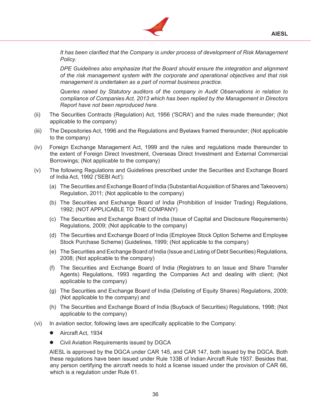

*It has been clarified that the Company is under process of development of Risk Management Policy.*

*DPE Guidelines also emphasize that the Board should ensure the integration and alignment of the risk management system with the corporate and operational objectives and that risk management is undertaken as a part of normal business practice.*

*Queries raised by Statutory auditors of the company in Audit Observations in relation to compliance of Companies Act, 2013 which has been replied by the Management in Directors Report have not been reproduced here.*

- (ii) The Securities Contracts (Regulation) Act, 1956 ('SCRA') and the rules made thereunder; (Not applicable to the company)
- (iii) The Depositories Act, 1996 and the Regulations and Byelaws framed thereunder; (Not applicable to the company)
- (iv) Foreign Exchange Management Act, 1999 and the rules and regulations made thereunder to the extent of Foreign Direct Investment, Overseas Direct Investment and External Commercial Borrowings; (Not applicable to the company)
- (v) The following Regulations and Guidelines prescribed under the Securities and Exchange Board of India Act, 1992 ('SEBI Act'):
	- (a) The Securities and Exchange Board of India (Substantial Acquisition of Shares and Takeovers) Regulation, 2011; (Not applicable to the company)
	- (b) The Securities and Exchange Board of India (Prohibition of Insider Trading) Regulations, 1992; (NOT APPLICABLE TO THE COMPANY)
	- (c) The Securities and Exchange Board of India (Issue of Capital and Disclosure Requirements) Regulations, 2009; (Not applicable to the company)
	- (d) The Securities and Exchange Board of India (Employee Stock Option Scheme and Employee Stock Purchase Scheme) Guidelines, 1999; (Not applicable to the company)
	- (e) The Securities and Exchange Board of India (Issue and Listing of Debt Securities) Regulations, 2008; (Not applicable to the company)
	- (f) The Securities and Exchange Board of India (Registrars to an Issue and Share Transfer Agents) Regulations, 1993 regarding the Companies Act and dealing with client; (Not applicable to the company)
	- (g) The Securities and Exchange Board of India (Delisting of Equity Shares) Regulations, 2009; (Not applicable to the company) and
	- (h) The Securities and Exchange Board of India (Buyback of Securities) Regulations, 1998; (Not applicable to the company)
- (vi) In aviation sector, following laws are specifically applicable to the Company:
	- Aircraft Act, 1934
	- Civil Aviation Requirements issued by DGCA

 AIESL is approved by the DGCA under CAR 145, and CAR 147, both issued by the DGCA. Both these regulations have been issued under Rule 133B of Indian Aircraft Rule 1937. Besides that, any person certifying the aircraft needs to hold a license issued under the provision of CAR 66, which is a regulation under Rule 61.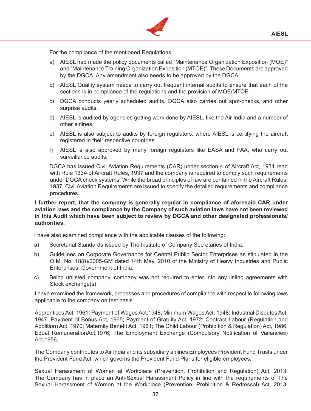

For the compliance of the mentioned Regulations,

- a) AIESL had made the policy documents called "Maintenance Organization Exposition (MOE)" and "Maintenance Training Organization Exposition (MTOE)". These Documents are approved by the DGCA. Any amendment also needs to be approved by the DGCA.
- b) AIESL Quality system needs to carry out frequent internal audits to ensure that each of the sections is in compliance of the regulations and the provision of MOE/MTOE.
- c) DGCA conducts yearly scheduled audits. DGCA also carries out spot-checks, and other surprise audits.
- d) AIESL is audited by agencies getting work done by AIESL, like the Air India and a number of other airlines.
- e) AIESL is also subject to audits by foreign regulators, where AIESL is certifying the aircraft registered in their respective countries.
- f) AIESL is also approved by many foreign regulators like EASA and FAA, who carry out surveillance audits.

DGCA has issued Civil Aviation Requirements (CAR) under section 4 of Aircraft Act, 1934 read with Rule 133A of Aircraft Rules, 1937 and the company is required to comply such requirements under DGCA check systems. While the broad principles of law are contained in the Aircraft Rules, 1937, Civil Aviation Requirements are issued to specify the detailed requirements and compliance procedures.

#### **I further report, that the company is generally regular in compliance of aforesaid CAR under aviation laws and the compliance by the Company of such aviation laws have not been reviewed in this Audit which have been subject to review by DGCA and other designated professionals/ authorities.**

I have also examined compliance with the applicable clauses of the following:

- a) Secretarial Standards issued by The Institute of Company Secretaries of India.
- b) Guidelines on Corporate Governance for Central Public Sector Enterprises as stipulated in the O.M. No. 18(8)/2005-GM dated 14th May, 2010 of the Ministry of Heavy Industries and Public Enterprises, Government of India.
- c) Being unlisted company, company was not required to enter into any listing agreements with Stock exchange(s).

I have examined the framework, processes and procedures of compliance with respect to following laws applicable to the company on test basis.

Apprentices Act, 1961; Payment of Wages Act,1948; Minimum Wages Act, 1948; Industrial Disputes Act, 1947; Payment of Bonus Act, 1965; Payment of Gratuity Act, 1972; Contract Labour (Regulation and Abolition) Act, 1970; Maternity Benefit Act, 1961; The Child Labour (Prohibition & Regulation) Act, 1986; Equal RemunerationAct,1976; The Employment Exchange (Compulsory Notification of Vacancies) Act,1956,

The Company contributes to Air India and its subsidiary airlines Employees Provident Fund Trusts under the Provident Fund Act, which governs the Provident Fund Plans for eligible employees.

Sexual Harassment of Women at Workplace (Prevention, Prohibition and Regulation) Act, 2013: The Company has in place an Anti-Sexual Harassment Policy in line with the requirements of The Sexual Harassment of Women at the Workplace (Prevention, Prohibition & Redressal) Act, 2013.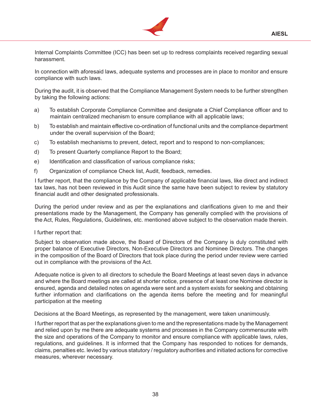

Internal Complaints Committee (ICC) has been set up to redress complaints received regarding sexual harassment.

In connection with aforesaid laws, adequate systems and processes are in place to monitor and ensure compliance with such laws.

During the audit, it is observed that the Compliance Management System needs to be further strengthen by taking the following actions:

- a) To establish Corporate Compliance Committee and designate a Chief Compliance officer and to maintain centralized mechanism to ensure compliance with all applicable laws;
- b) To establish and maintain effective co-ordination of functional units and the compliance department under the overall supervision of the Board;
- c) To establish mechanisms to prevent, detect, report and to respond to non-compliances;
- d) To present Quarterly compliance Report to the Board;
- e) Identification and classification of various compliance risks;
- f) Organization of compliance Check list, Audit, feedback, remedies.

 I further report, that the compliance by the Company of applicable financial laws, like direct and indirect tax laws, has not been reviewed in this Audit since the same have been subject to review by statutory financial audit and other designated professionals.

 During the period under review and as per the explanations and clarifications given to me and their presentations made by the Management, the Company has generally complied with the provisions of the Act, Rules, Regulations, Guidelines, etc. mentioned above subject to the observation made therein.

#### I further report that:

Subject to observation made above, the Board of Directors of the Company is duly constituted with proper balance of Executive Directors, Non-Executive Directors and Nominee Directors. The changes in the composition of the Board of Directors that took place during the period under review were carried out in compliance with the provisions of the Act.

Adequate notice is given to all directors to schedule the Board Meetings at least seven days in advance and where the Board meetings are called at shorter notice, presence of at least one Nominee director is ensured, agenda and detailed notes on agenda were sent and a system exists for seeking and obtaining further information and clarifications on the agenda items before the meeting and for meaningful participation at the meeting

Decisions at the Board Meetings, as represented by the management, were taken unanimously.

I further report that as per the explanations given to me and the representations made by the Management and relied upon by me there are adequate systems and processes in the Company commensurate with the size and operations of the Company to monitor and ensure compliance with applicable laws, rules, regulations, and guidelines. It is informed that the Company has responded to notices for demands, claims, penalties etc. levied by various statutory / regulatory authorities and initiated actions for corrective measures, wherever necessary.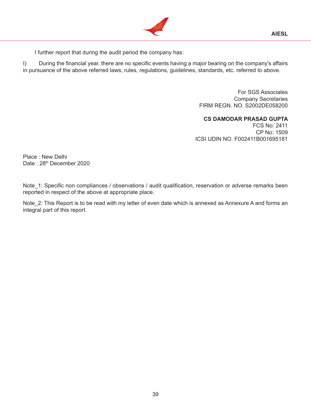

I further report that during the audit period the company has:

I) During the financial year, there are no specific events having a major bearing on the company's affairs in pursuance of the above referred laws, rules, regulations, guidelines, standards, etc. referred to above.

> For SGS Associates Company Secretaries FIRM REGN. NO. S2002DE058200

### **CS DAMODAR PRASAD GUPTA**

FCS No: 2411 CP No: 1509 ICSI UDIN NO. F002411B001695181

Place : New Delhi Date: 28<sup>th</sup> December 2020

Note 1: Specific non compliances / observations / audit qualification, reservation or adverse remarks been reported in respect of the above at appropriate place.

Note\_2: This Report is to be read with my letter of even date which is annexed as Annexure A and forms an integral part of this report.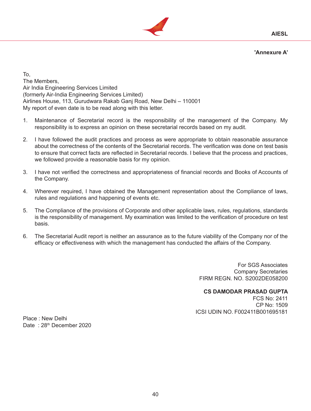

**'Annexure A'**



To, The Members, Air India Engineering Services Limited (formerly Air-India Engineering Services Limited) Airlines House, 113, Gurudwara Rakab Ganj Road, New Delhi – 110001 My report of even date is to be read along with this letter.

- 1. Maintenance of Secretarial record is the responsibility of the management of the Company. My responsibility is to express an opinion on these secretarial records based on my audit.
- 2. I have followed the audit practices and process as were appropriate to obtain reasonable assurance about the correctness of the contents of the Secretarial records. The verification was done on test basis to ensure that correct facts are reflected in Secretarial records. I believe that the process and practices, we followed provide a reasonable basis for my opinion.
- 3. I have not verified the correctness and appropriateness of financial records and Books of Accounts of the Company.
- 4. Wherever required, I have obtained the Management representation about the Compliance of laws, rules and regulations and happening of events etc.
- 5. The Compliance of the provisions of Corporate and other applicable laws, rules, regulations, standards is the responsibility of management. My examination was limited to the verification of procedure on test basis.
- 6. The Secretarial Audit report is neither an assurance as to the future viability of the Company nor of the efficacy or effectiveness with which the management has conducted the affairs of the Company.

For SGS Associates Company Secretaries FIRM REGN. NO. S2002DE058200

### **CS DAMODAR PRASAD GUPTA**

FCS No: 2411 CP No: 1509 ICSI UDIN NO. F002411B001695181

Place : New Delhi Date: 28<sup>th</sup> December 2020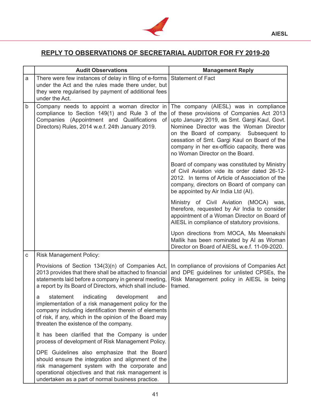

# **REPLY TO OBSERVATIONS OF SECRETARIAL AUDITOR FOR FY 2019-20**

|   | <b>Audit Observations</b>                                                                                                                                                                                                                                            | <b>Management Reply</b>                                                                                                                                                                                                                                                                                                                                     |
|---|----------------------------------------------------------------------------------------------------------------------------------------------------------------------------------------------------------------------------------------------------------------------|-------------------------------------------------------------------------------------------------------------------------------------------------------------------------------------------------------------------------------------------------------------------------------------------------------------------------------------------------------------|
| a | There were few instances of delay in filing of e-forms<br>under the Act and the rules made there under, but<br>they were regularised by payment of additional fees<br>under the Act.                                                                                 | <b>Statement of Fact</b>                                                                                                                                                                                                                                                                                                                                    |
| þ | Company needs to appoint a woman director in<br>compliance to Section 149(1) and Rule 3 of the<br>Companies (Appointment and Qualifications of<br>Directors) Rules, 2014 w.e.f. 24th January 2019.                                                                   | The company (AIESL) was in compliance<br>of these provisions of Companies Act 2013<br>upto January 2019, as Smt. Gargi Kaul, Govt.<br>Nominee Director was the Woman Director<br>on the Board of company. Subsequent to<br>cessation of Smt. Gargi Kaul on Board of the<br>company in her ex-officio capacity, there was<br>no Woman Director on the Board. |
|   |                                                                                                                                                                                                                                                                      | Board of company was constituted by Ministry<br>of Civil Aviation vide its order dated 26-12-<br>2012. In terms of Article of Association of the<br>company, directors on Board of company can<br>be appointed by Air India Ltd (AI).                                                                                                                       |
|   |                                                                                                                                                                                                                                                                      | Ministry of Civil Aviation (MOCA) was,<br>therefore, requested by Air India to consider<br>appointment of a Woman Director on Board of<br>AIESL in compliance of statutory provisions.                                                                                                                                                                      |
|   |                                                                                                                                                                                                                                                                      | Upon directions from MOCA, Ms Meenakshi<br>Mallik has been nominated by AI as Woman<br>Director on Board of AIESL w.e.f. 11-09-2020.                                                                                                                                                                                                                        |
| C | <b>Risk Management Policy:</b>                                                                                                                                                                                                                                       |                                                                                                                                                                                                                                                                                                                                                             |
|   | Provisions of Section 134(3)(n) of Companies Act,<br>2013 provides that there shall be attached to financial<br>statements laid before a company in general meeting,<br>a report by its Board of Directors, which shall include-                                     | In compliance of provisions of Companies Act<br>and DPE guidelines for unlisted CPSEs, the<br>Risk Management policy in AIESL is being<br>framed.                                                                                                                                                                                                           |
|   | development<br>statement<br>indicating<br>and<br>a<br>implementation of a risk management policy for the<br>company including identification therein of elements<br>of risk, if any, which in the opinion of the Board may<br>threaten the existence of the company. |                                                                                                                                                                                                                                                                                                                                                             |
|   | It has been clarified that the Company is under<br>process of development of Risk Management Policy.                                                                                                                                                                 |                                                                                                                                                                                                                                                                                                                                                             |
|   | DPE Guidelines also emphasize that the Board<br>should ensure the integration and alignment of the<br>risk management system with the corporate and<br>operational objectives and that risk management is<br>undertaken as a part of normal business practice.       |                                                                                                                                                                                                                                                                                                                                                             |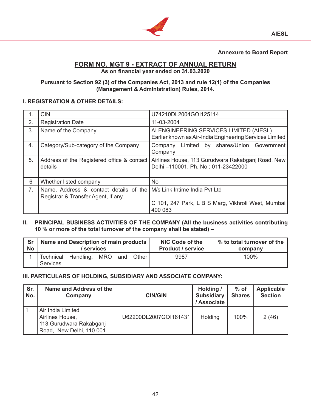

# **Annexure to Board Report**

# **FORM NO. MGT 9 - EXTRACT OF ANNUAL RETURN**

**As on financial year ended on 31.03.2020**

#### **Pursuant to Section 92 (3) of the Companies Act, 2013 and rule 12(1) of the Companies (Management & Administration) Rules, 2014.**

#### **I. REGISTRATION & OTHER DETAILS:**

| 1. | <b>CIN</b>                                                                    | U74210DL2004GOI125114                                                                              |  |  |  |  |  |
|----|-------------------------------------------------------------------------------|----------------------------------------------------------------------------------------------------|--|--|--|--|--|
| 2. | <b>Registration Date</b>                                                      | 11-03-2004                                                                                         |  |  |  |  |  |
| 3. | Name of the Company                                                           | AI ENGINEERING SERVICES LIMITED (AIESL)<br>Earlier known as Air-India Engineering Services Limited |  |  |  |  |  |
| 4. | Category/Sub-category of the Company                                          | by shares/Union Government<br>Company Limited<br>Company                                           |  |  |  |  |  |
| 5. | Address of the Registered office & contact<br>details                         | Airlines House, 113 Gurudwara Rakabganj Road, New<br>Delhi -110001, Ph. No: 011-23422000           |  |  |  |  |  |
| 6  | Whether listed company                                                        | <b>No</b>                                                                                          |  |  |  |  |  |
| 7. | Name, Address & contact details of the<br>Registrar & Transfer Agent, if any. | M/s Link Intime India Pyt Ltd                                                                      |  |  |  |  |  |
|    |                                                                               | C 101, 247 Park, L B S Marg, Vikhroli West, Mumbai<br>400 083                                      |  |  |  |  |  |

### **II. PRINCIPAL BUSINESS ACTIVITIES OF THE COMPANY (All the business activities contributing 10 % or more of the total turnover of the company shall be stated) –**

| <b>Sr</b> | Name and Description of main products |               |  |     |         | NIC Code of the          | % to total turnover of the |
|-----------|---------------------------------------|---------------|--|-----|---------|--------------------------|----------------------------|
| <b>No</b> | ' services                            |               |  |     |         | <b>Product / service</b> | company                    |
|           | Technical<br><b>Services</b>          | Handling, MRO |  | and | Other I | 9987                     | 100%                       |

### **III. PARTICULARS OF HOLDING, SUBSIDIARY AND ASSOCIATE COMPANY:**

| Sr.<br>No. | Name and Address of the<br>Company                                                            | <b>CIN/GIN</b>        | Holding /<br><b>Subsidiary</b><br>/ Associate | $%$ of<br><b>Shares</b> | Applicable<br><b>Section</b> |
|------------|-----------------------------------------------------------------------------------------------|-----------------------|-----------------------------------------------|-------------------------|------------------------------|
|            | Air India Limited<br>Airlines House,<br>113, Gurudwara Rakabganj<br>Road, New Delhi, 110 001. | U62200DL2007GOI161431 | Holding                                       | 100%                    | 2(46)                        |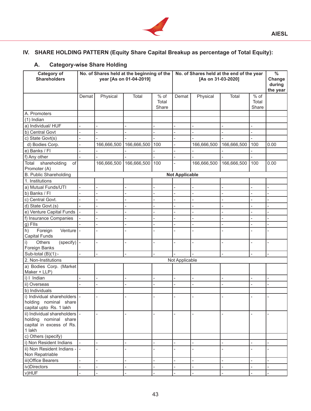

# **IV. SHARE HOLDING PATTERN (Equity Share Capital Breakup as percentage of Total Equity):**

# **A. Category-wise Share Holding**

| <b>Category of</b><br><b>Shareholders</b>                                                     | No. of Shares held at the beginning of the<br>year [As on 01-04-2019] |                |             | No. of Shares held at the end of the year<br>[As on 31-03-2020] |                       |                     |             |                          |          |
|-----------------------------------------------------------------------------------------------|-----------------------------------------------------------------------|----------------|-------------|-----------------------------------------------------------------|-----------------------|---------------------|-------------|--------------------------|----------|
|                                                                                               | Demat                                                                 | Physical       | Total       | % of<br>Total<br>Share                                          | Demat                 | Physical            | Total       | $%$ of<br>Total<br>Share | the year |
| A. Promoters                                                                                  |                                                                       |                |             |                                                                 |                       |                     |             |                          |          |
| $(1)$ Indian                                                                                  |                                                                       |                |             |                                                                 |                       |                     |             |                          |          |
| a) Individual/ HUF                                                                            |                                                                       |                |             |                                                                 |                       |                     |             |                          |          |
| b) Central Govt                                                                               | $\overline{a}$                                                        | $\overline{a}$ |             |                                                                 |                       | $\overline{a}$      |             |                          |          |
| c) State Govt(s)                                                                              | $\overline{\phantom{0}}$                                              |                |             |                                                                 |                       |                     |             |                          |          |
| d) Bodies Corp.                                                                               | $\overline{\phantom{0}}$                                              | 166,666,500    | 166,666,500 | 100                                                             |                       | 166,666,500         | 166,666,500 | 100                      | 0.00     |
| e) Banks / Fl                                                                                 |                                                                       |                |             |                                                                 |                       |                     |             |                          |          |
| f) Any other                                                                                  |                                                                       |                |             |                                                                 |                       |                     |             |                          |          |
| shareholding<br>Total<br>of<br>Promoter (A)                                                   |                                                                       | 166,666,500    | 166,666,500 | 100                                                             |                       | 166,666,500         | 166,666,500 | 100                      | 0.00     |
| <b>B. Public Shareholding</b>                                                                 |                                                                       |                |             |                                                                 | <b>Not Applicable</b> |                     |             |                          |          |
| 1. Institutions                                                                               |                                                                       |                |             |                                                                 |                       |                     |             |                          |          |
| a) Mutual Funds/UTI                                                                           | $\blacksquare$                                                        | $\overline{a}$ |             |                                                                 |                       | L,                  |             |                          |          |
| b) Banks / Fl                                                                                 |                                                                       | $\overline{a}$ |             |                                                                 |                       | $\overline{a}$      |             |                          |          |
| c) Central Govt.                                                                              |                                                                       |                |             |                                                                 |                       |                     |             |                          |          |
| d) State Govt.(s)                                                                             |                                                                       |                |             |                                                                 |                       | L,                  |             |                          |          |
| e) Venture Capital Funds                                                                      | $\frac{1}{2}$                                                         |                |             |                                                                 |                       |                     |             |                          |          |
| f) Insurance Companies                                                                        |                                                                       |                |             |                                                                 |                       | $\overline{a}$      |             |                          |          |
| $g)$ Fils                                                                                     |                                                                       |                |             |                                                                 |                       |                     |             |                          |          |
| h)<br>Foreign<br>Venture $\vert$ -<br><b>Capital Funds</b>                                    |                                                                       |                |             |                                                                 |                       |                     |             |                          |          |
| Others<br>$(specify)$ -<br>i)<br>Foreign Banks                                                |                                                                       | $\overline{a}$ |             |                                                                 |                       |                     |             |                          |          |
| Sub-total $(B)(1)$ :-                                                                         | $\overline{a}$                                                        | $\overline{a}$ |             | $\overline{a}$                                                  |                       |                     |             |                          |          |
| 2. Non-Institutions                                                                           |                                                                       |                |             |                                                                 | Not Applicable        |                     |             |                          |          |
| a) Bodies Corp. (Market<br>Maker + LLP)                                                       |                                                                       |                |             |                                                                 |                       |                     |             |                          |          |
| i) I Indian                                                                                   |                                                                       | $\overline{a}$ |             |                                                                 |                       | L,                  |             |                          |          |
| ii) Overseas                                                                                  |                                                                       |                |             |                                                                 |                       |                     |             |                          |          |
| b) Individuals                                                                                |                                                                       |                |             |                                                                 |                       |                     |             |                          |          |
| i) Individual shareholders  -<br>holding nominal share<br>capital upto Rs. 1 lakh             |                                                                       |                |             |                                                                 |                       |                     |             |                          |          |
| ii) Individual shareholders  -<br>holding nominal share<br>capital in excess of Rs.<br>1 lakh |                                                                       |                |             |                                                                 |                       |                     |             |                          |          |
| c) Others (specify)                                                                           |                                                                       |                |             |                                                                 |                       |                     |             |                          |          |
| i) Non Resident Indians                                                                       | $\overline{a}$                                                        | $\overline{a}$ |             |                                                                 |                       | ÷,                  |             |                          |          |
| ii) Non Resident Indians -                                                                    | $\blacksquare$                                                        |                |             |                                                                 |                       |                     |             |                          |          |
| Non Repatriable                                                                               |                                                                       |                |             |                                                                 |                       |                     |             |                          |          |
| iii) Office Bearers                                                                           | ÷.                                                                    | $\overline{a}$ |             |                                                                 |                       | $\bar{\phantom{a}}$ |             |                          |          |
| iv)Directors                                                                                  | $\overline{\phantom{0}}$                                              |                |             |                                                                 |                       | $\overline{a}$      |             |                          |          |
| v)HUF                                                                                         |                                                                       |                |             |                                                                 |                       |                     |             |                          |          |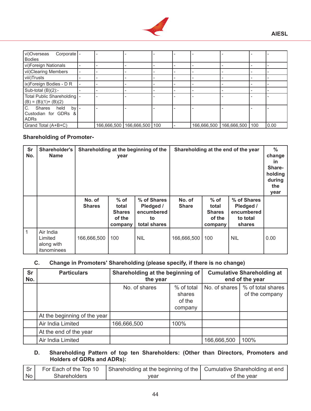

| Corporate  -<br>vi)Overseas      |  |                                 |  |             |                     |      |
|----------------------------------|--|---------------------------------|--|-------------|---------------------|------|
| <b>Bodies</b>                    |  |                                 |  |             |                     |      |
| vi)Foreign Nationals             |  |                                 |  |             |                     |      |
| vii)Clearing Members             |  |                                 |  |             |                     |      |
| viii)Trusts                      |  |                                 |  |             |                     |      |
| ix)Foreign Bodies - D R          |  |                                 |  |             |                     |      |
| Sub-total (B)(2):-               |  |                                 |  |             |                     |      |
| Total Public Shareholding  -     |  |                                 |  |             |                     |      |
| $(B) = (B)(1) + (B)(2)$          |  |                                 |  |             |                     |      |
| C. Shares held<br>$by$ $\vert$ - |  |                                 |  |             |                     |      |
| Custodian for GDRs &             |  |                                 |  |             |                     |      |
| <b>ADRs</b>                      |  |                                 |  |             |                     |      |
| Grand Total (A+B+C)              |  | 166,666,500   166,666,500   100 |  | 166,666,500 | $166,666,500$   100 | 0.00 |

# **Shareholding of Promoter-**

| <b>Sr</b><br>No. | Shareholder's<br><b>Name</b>                      |                         | Shareholding at the beginning of the<br>year          |                                                              |                        | Shareholding at the end of the year                   |                                                              |      |
|------------------|---------------------------------------------------|-------------------------|-------------------------------------------------------|--------------------------------------------------------------|------------------------|-------------------------------------------------------|--------------------------------------------------------------|------|
|                  |                                                   | No. of<br><b>Shares</b> | $%$ of<br>total<br><b>Shares</b><br>of the<br>company | % of Shares<br>Pledged /<br>encumbered<br>to<br>total shares | No. of<br><b>Share</b> | $%$ of<br>total<br><b>Shares</b><br>of the<br>company | % of Shares<br>Pledged /<br>encumbered<br>to total<br>shares |      |
| $\overline{1}$   | Air India<br>Limited<br>along with<br>itsnominees | 166,666,500             | 100                                                   | <b>NIL</b>                                                   | 166,666,500            | 100                                                   | <b>NIL</b>                                                   | 0.00 |

# **C. Change in Promoters' Shareholding (please specify, if there is no change)**

| <b>Sr</b><br>No. | <b>Particulars</b>           | Shareholding at the beginning of<br>the year               |      | <b>Cumulative Shareholding at</b><br>end of the year |                                     |  |
|------------------|------------------------------|------------------------------------------------------------|------|------------------------------------------------------|-------------------------------------|--|
|                  |                              | % of total<br>No. of shares<br>shares<br>of the<br>company |      | No. of shares                                        | % of total shares<br>of the company |  |
|                  | At the beginning of the year |                                                            |      |                                                      |                                     |  |
|                  | Air India Limited            | 166,666,500                                                | 100% |                                                      |                                     |  |
|                  | At the end of the year       |                                                            |      |                                                      |                                     |  |
|                  | Air India Limited            |                                                            |      | 166,666,500                                          | 100%                                |  |

# **D. Shareholding Pattern of top ten Shareholders: (Other than Directors, Promoters and Holders of GDRs and ADRs):**

| $ $ Sr $ $ | For Each of the Top 10 | Shareholding at the beginning of the   Cumulative Shareholding at end |             |
|------------|------------------------|-----------------------------------------------------------------------|-------------|
| No         | Shareholders           | vear                                                                  | of the year |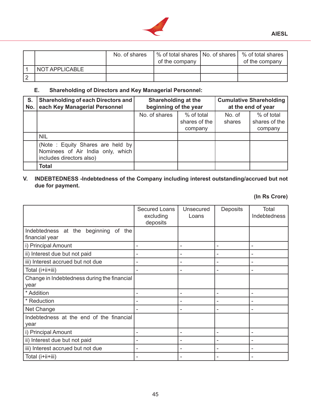

|                | No. of shares | of the company | % of total shares   No. of shares   % of total shares<br>of the company |
|----------------|---------------|----------------|-------------------------------------------------------------------------|
| NOT APPLICABLE |               |                |                                                                         |
|                |               |                |                                                                         |

# **E. Shareholding of Directors and Key Managerial Personnel:**

| S.<br>No. | <b>Shareholding of each Directors and</b><br>each Key Managerial Personnel                        | Shareholding at the<br>beginning of the year |                                        | <b>Cumulative Shareholding</b><br>at the end of year |                                        |  |
|-----------|---------------------------------------------------------------------------------------------------|----------------------------------------------|----------------------------------------|------------------------------------------------------|----------------------------------------|--|
|           |                                                                                                   | No. of shares                                | % of total<br>shares of the<br>company | No. of<br>shares                                     | % of total<br>shares of the<br>company |  |
|           | <b>NIL</b>                                                                                        |                                              |                                        |                                                      |                                        |  |
|           | (Note: Equity Shares are held by<br>Nominees of Air India only, which<br>includes directors also) |                                              |                                        |                                                      |                                        |  |
|           | <b>Total</b>                                                                                      |                                              |                                        |                                                      |                                        |  |

# **V. INDEBTEDNESS -Indebtedness of the Company including interest outstanding/accrued but not due for payment.**

# **(In Rs Crore)**

|                                                           | <b>Secured Loans</b><br>excluding<br>deposits | Unsecured<br>Loans | Deposits | Total<br>Indebtedness |
|-----------------------------------------------------------|-----------------------------------------------|--------------------|----------|-----------------------|
| Indebtedness at the beginning<br>of the<br>financial year |                                               |                    |          |                       |
| i) Principal Amount                                       | ۰                                             | ۰                  | ۰        | ٠                     |
| ii) Interest due but not paid                             | ۰                                             | ۰                  |          |                       |
| iii) Interest accrued but not due                         | ۰                                             | ٠                  | -        | ٠                     |
| Total (i+ii+iii)                                          |                                               | ۰                  |          |                       |
| Change in Indebtedness during the financial<br>year       |                                               |                    |          |                       |
| * Addition                                                |                                               |                    |          |                       |
| * Reduction                                               |                                               | ۰                  |          |                       |
| Net Change                                                |                                               | ۰                  |          |                       |
| Indebtedness at the end of the financial<br>year          |                                               |                    |          |                       |
| i) Principal Amount                                       |                                               | ۰                  |          |                       |
| ii) Interest due but not paid                             | ۰                                             | ۰                  |          |                       |
| iii) Interest accrued but not due                         |                                               | ۰                  |          |                       |
| Total (i+ii+iii)                                          |                                               |                    |          |                       |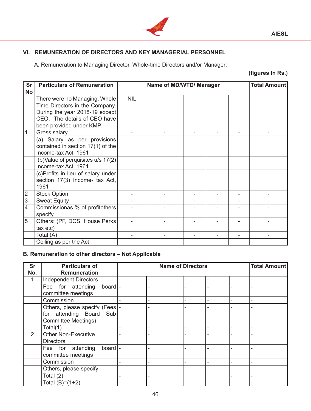

# **VI. REMUNERATION OF DIRECTORS AND KEY MANAGERIAL PERSONNEL**

A. Remuneration to Managing Director, Whole-time Directors and/or Manager:

**(figures In Rs.)**

| <b>Sr</b><br><b>No</b> | <b>Particulars of Remuneration</b>                                                                                                                            |            | Name of MD/WTD/ Manager |  | <b>Total Amount</b> |
|------------------------|---------------------------------------------------------------------------------------------------------------------------------------------------------------|------------|-------------------------|--|---------------------|
|                        | There were no Managing, Whole<br>Time Directors in the Company.<br>During the year 2018-19 except<br>CEO. The details of CEO have<br>been provided under KMP. | <b>NIL</b> |                         |  |                     |
| 1                      | Gross salary<br>(a) Salary as per provisions<br>contained in section 17(1) of the                                                                             |            |                         |  |                     |
|                        | Income-tax Act, 1961<br>(b) Value of perquisites u/s 17(2)                                                                                                    |            |                         |  |                     |
|                        | Income-tax Act, 1961                                                                                                                                          |            |                         |  |                     |
|                        | (c)Profits in lieu of salary under<br>section 17(3) Income- tax Act,<br>1961                                                                                  |            |                         |  |                     |
| $\overline{2}$         | <b>Stock Option</b>                                                                                                                                           |            |                         |  |                     |
| 3                      | <b>Sweat Equity</b>                                                                                                                                           |            |                         |  |                     |
| $\overline{4}$         | Commissionas % of profitothers<br>specify.                                                                                                                    |            |                         |  |                     |
| 5                      | Others: (PF, DCS, House Perks)<br>tax etc)                                                                                                                    |            |                         |  |                     |
|                        | Total (A)                                                                                                                                                     |            |                         |  |                     |
|                        | Ceiling as per the Act                                                                                                                                        |            |                         |  |                     |

# **B. Remuneration to other directors – Not Applicable**

| <b>Sr</b><br>No. | <b>Particulars of</b><br><b>Remuneration</b>                                            | <b>Name of Directors</b> |  |  |  | <b>Total Amount</b> |
|------------------|-----------------------------------------------------------------------------------------|--------------------------|--|--|--|---------------------|
| 1                | <b>Independent Directors</b>                                                            |                          |  |  |  | -                   |
|                  | Fee for attending<br>board $\vert$ -<br>committee meetings                              |                          |  |  |  |                     |
|                  | Commission                                                                              |                          |  |  |  |                     |
|                  | Others, please specify (Fees)-<br>for attending Board Sub<br><b>Committee Meetings)</b> |                          |  |  |  |                     |
|                  | Total(1)                                                                                |                          |  |  |  |                     |
| 2                | <b>Other Non-Executive</b><br><b>Directors</b>                                          |                          |  |  |  |                     |
|                  | Fee for attending<br>board  -<br>committee meetings                                     |                          |  |  |  |                     |
|                  | Commission                                                                              |                          |  |  |  |                     |
|                  | Others, please specify                                                                  |                          |  |  |  |                     |
|                  | Total (2)                                                                               | ۰                        |  |  |  | -                   |
|                  | Total $(B)=(1+2)$                                                                       | ۰                        |  |  |  | ۰                   |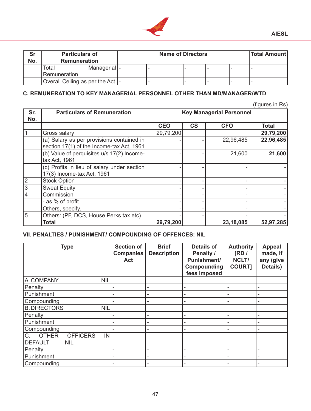

| <b>Sr</b><br>No. | <b>Particulars of</b><br><b>Remuneration</b> |               | <b>Name of Directors</b> |  |  | <b>Total Amount</b> |  |
|------------------|----------------------------------------------|---------------|--------------------------|--|--|---------------------|--|
|                  | Total                                        | Managerial  - |                          |  |  |                     |  |
|                  | Remuneration                                 |               |                          |  |  |                     |  |
|                  | Overall Ceiling as per the Act  -            |               |                          |  |  |                     |  |

# **C. REMUNERATION TO KEY MANAGERIAL PERSONNEL OTHER THAN MD/MANAGER/WTD**

(figures in Rs)

|                |                                                                                        | <b>Key Managerial Personnel</b> |                          |            |              |  |  |
|----------------|----------------------------------------------------------------------------------------|---------------------------------|--------------------------|------------|--------------|--|--|
| Sr.            | <b>Particulars of Remuneration</b>                                                     |                                 |                          |            |              |  |  |
| No.            |                                                                                        |                                 |                          |            |              |  |  |
|                |                                                                                        | <b>CEO</b>                      | $\mathsf{CS}\phantom{0}$ | <b>CFO</b> | <b>Total</b> |  |  |
|                | Gross salary                                                                           | 29,79,200                       |                          |            | 29,79,200    |  |  |
|                | (a) Salary as per provisions contained in<br>section 17(1) of the Income-tax Act, 1961 |                                 |                          | 22,96,485  | 22,96,485    |  |  |
|                | (b) Value of perquisites u/s 17(2) Income-<br>tax Act, 1961                            |                                 |                          | 21,600     | 21,600       |  |  |
|                | (c) Profits in lieu of salary under section<br>17(3) Income-tax Act, 1961              |                                 |                          |            |              |  |  |
| $\overline{2}$ | <b>Stock Option</b>                                                                    |                                 |                          |            |              |  |  |
| $\overline{3}$ | <b>Sweat Equity</b>                                                                    |                                 |                          |            |              |  |  |
| $\overline{4}$ | Commission                                                                             |                                 |                          |            |              |  |  |
|                | - as % of profit                                                                       |                                 |                          |            |              |  |  |
|                | Others, specify.                                                                       |                                 |                          |            |              |  |  |
| 5              | Others: (PF, DCS, House Perks tax etc)                                                 |                                 |                          |            |              |  |  |
|                | <b>Total</b>                                                                           | 29,79,200                       |                          | 23,18,085  | 52,97,285    |  |  |

## **VII. PENALTIES / PUNISHMENT/ COMPOUNDING OF OFFENCES: NIL**

| <b>Type</b>                                                       | <b>Section of</b><br><b>Companies</b><br><b>Act</b> | <b>Brief</b><br><b>Description</b> | <b>Details of</b><br><b>Penalty /</b><br>Punishment/<br>Compounding<br>fees imposed | <b>Authority</b><br>[RD/<br><b>NCLT/</b><br><b>COURT]</b> | <b>Appeal</b><br>made, if<br>any (give<br>Details) |
|-------------------------------------------------------------------|-----------------------------------------------------|------------------------------------|-------------------------------------------------------------------------------------|-----------------------------------------------------------|----------------------------------------------------|
| A. COMPANY<br><b>NIL</b>                                          |                                                     |                                    |                                                                                     |                                                           |                                                    |
| Penalty                                                           |                                                     |                                    |                                                                                     |                                                           |                                                    |
| Punishment                                                        |                                                     |                                    |                                                                                     |                                                           |                                                    |
| Compounding                                                       |                                                     |                                    |                                                                                     |                                                           |                                                    |
| <b>B. DIRECTORS</b><br><b>NIL</b>                                 |                                                     |                                    |                                                                                     |                                                           |                                                    |
| Penalty                                                           |                                                     |                                    |                                                                                     |                                                           |                                                    |
| Punishment                                                        |                                                     |                                    |                                                                                     |                                                           |                                                    |
| Compounding                                                       |                                                     |                                    |                                                                                     |                                                           | ۰                                                  |
| C. OTHER<br><b>OFFICERS</b><br>IN<br><b>DEFAULT</b><br><b>NIL</b> |                                                     |                                    |                                                                                     |                                                           |                                                    |
| Penalty                                                           |                                                     |                                    |                                                                                     |                                                           | ۰                                                  |
| Punishment                                                        |                                                     |                                    |                                                                                     |                                                           |                                                    |
| Compounding                                                       |                                                     |                                    |                                                                                     |                                                           |                                                    |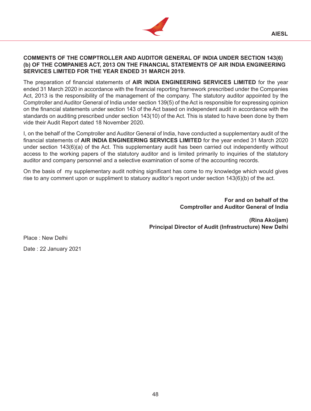

#### **COMMENTS OF THE COMPTROLLER AND AUDITOR GENERAL OF INDIA UNDER SECTION 143(6) (b) OF THE COMPANIES ACT, 2013 ON THE FINANCIAL STATEMENTS OF AIR INDIA ENGINEERING SERVICES LIMITED FOR THE YEAR ENDED 31 MARCH 2019.**

The preparation of financial statements of **AIR INDIA ENGINEERING SERVICES LIMITED** for the year ended 31 March 2020 in accordance with the financial reporting framework prescribed under the Companies Act, 2013 is the responsibility of the management of the company. The statutory auditor appointed by the Comptroller and Auditor General of India under section 139(5) of the Act is responsible for expressing opinion on the financial statements under section 143 of the Act based on independent audit in accordance with the standards on auditing prescribed under section 143(10) of the Act. This is stated to have been done by them vide their Audit Report dated 18 November 2020.

I, on the behalf of the Comptroller and Auditor General of lndia, have conducted a supplementary audit of the financial statements of **AIR INDIA ENGINEERING SERVICES LIMITED** for the year ended 31 March 2020 under section 143(6)(a) of the Act. This supplementary audit has been carried out independently without access to the working papers of the statutory auditor and is limited primarily to inquiries of the statutory auditor and company personnel and a selective examination of some of the accounting records.

On the basis of my supplementary audit nothing significant has come to my knowledge which would gives rise to any comment upon or suppliment to statuory auditor's report under section 143(6)(b) of the act.

> **For and on behalf of the Comptroller and Auditor General of India**

**(Rina Akoijam) Principal Director of Audit (Infrastructure) New Delhi**

Place : New Delhi Date : 22 January 2021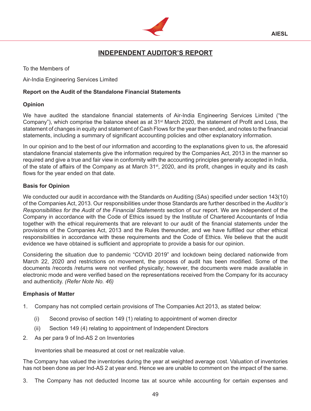

# **INDEPENDENT AUDITOR'S REPORT**

To the Members of

Air-India Engineering Services Limited

### **Report on the Audit of the Standalone Financial Statements**

### **Opinion**

We have audited the standalone financial statements of Air-India Engineering Services Limited ("the Company"), which comprise the balance sheet as at 31<sup>st</sup> March 2020, the statement of Profit and Loss, the statement of changes in equity and statement of Cash Flows for the year then ended, and notes to the financial statements, including a summary of significant accounting policies and other explanatory information.

In our opinion and to the best of our information and according to the explanations given to us, the aforesaid standalone financial statements give the information required by the Companies Act, 2013 in the manner so required and give a true and fair view in conformity with the accounting principles generally accepted in India, of the state of affairs of the Company as at March 31<sup>st</sup>, 2020, and its profit, changes in equity and its cash flows for the year ended on that date.

# **Basis for Opinion**

We conducted our audit in accordance with the Standards on Auditing (SAs) specified under section 143(10) of the Companies Act, 2013. Our responsibilities under those Standards are further described in the *Auditor's Responsibilities for the Audit of the Financial Statements* section of our report. We are independent of the Company in accordance with the Code of Ethics issued by the Institute of Chartered Accountants of India together with the ethical requirements that are relevant to our audit of the financial statements under the provisions of the Companies Act, 2013 and the Rules thereunder, and we have fulfilled our other ethical responsibilities in accordance with these requirements and the Code of Ethics. We believe that the audit evidence we have obtained is sufficient and appropriate to provide a basis for our opinion.

Considering the situation due to pandemic "COVID 2019" and lockdown being declared nationwide from March 22, 2020 and restrictions on movement, the process of audit has been modified. Some of the documents /records /returns were not verified physically; however, the documents were made available in electronic mode and were verified based on the representations received from the Company for its accuracy and authenticity. *(Refer Note No. 46)*

### **Emphasis of Matter**

- 1. Company has not complied certain provisions of The Companies Act 2013, as stated below:
	- (i) Second proviso of section 149 (1) relating to appointment of women director
	- (ii) Section 149 (4) relating to appointment of Independent Directors
- 2. As per para 9 of Ind-AS 2 on Inventories

 Inventories shall be measured at cost or net realizable value.

The Company has valued the inventories during the year at weighted average cost. Valuation of inventories has not been done as per Ind-AS 2 at year end. Hence we are unable to comment on the impact of the same.

3. The Company has not deducted Income tax at source while accounting for certain expenses and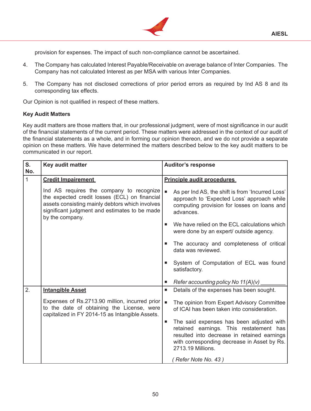

provision for expenses. The impact of such non-compliance cannot be ascertained.

- 4. The Company has calculated Interest Payable/Receivable on average balance of Inter Companies. The Company has not calculated Interest as per MSA with various Inter Companies.
- 5. The Company has not disclosed corrections of prior period errors as required by Ind AS 8 and its corresponding tax effects.

Our Opinion is not qualified in respect of these matters.

### **Key Audit Matters**

Key audit matters are those matters that, in our professional judgment, were of most significance in our audit of the financial statements of the current period. These matters were addressed in the context of our audit of the financial statements as a whole, and in forming our opinion thereon, and we do not provide a separate opinion on these matters. We have determined the matters described below to the key audit matters to be communicated in our report.

| S.<br>No.    | Key audit matter                                                                                                                                                                                                 |                | <b>Auditor's response</b>                                                                                                                                                                              |
|--------------|------------------------------------------------------------------------------------------------------------------------------------------------------------------------------------------------------------------|----------------|--------------------------------------------------------------------------------------------------------------------------------------------------------------------------------------------------------|
| $\mathbf{1}$ | <b>Credit Impairement</b>                                                                                                                                                                                        |                | <b>Principle audit procedures</b>                                                                                                                                                                      |
|              | Ind AS requires the company to recognize<br>the expected credit losses (ECL) on financial<br>assets consisting mainly debtors which involves<br>significant judgment and estimates to be made<br>by the company. | $\blacksquare$ | As per Ind AS, the shift is from 'Incurred Loss'<br>approach to 'Expected Loss' approach while<br>computing provision for losses on loans and<br>advances.                                             |
|              |                                                                                                                                                                                                                  |                | We have relied on the ECL calculations which<br>were done by an expert/ outside agency.                                                                                                                |
|              |                                                                                                                                                                                                                  | <b>I</b>       | The accuracy and completeness of critical<br>data was reviewed.                                                                                                                                        |
|              |                                                                                                                                                                                                                  |                | System of Computation of ECL was found<br>satisfactory.                                                                                                                                                |
|              |                                                                                                                                                                                                                  | ш              | Refer accounting policy No $11(A)(v)$                                                                                                                                                                  |
| 2.           | <b>Intangible Asset</b>                                                                                                                                                                                          | ш              | Details of the expenses has been sought.                                                                                                                                                               |
|              | Expenses of Rs.2713.90 million, incurred prior<br>to the date of obtaining the License, were<br>capitalized in FY 2014-15 as Intangible Assets.                                                                  | $\blacksquare$ | The opinion from Expert Advisory Committee<br>of ICAI has been taken into consideration.                                                                                                               |
|              |                                                                                                                                                                                                                  | $\blacksquare$ | The said expenses has been adjusted with<br>retained earnings. This restatement has<br>resulted into decrease in retained earnings<br>with corresponding decrease in Asset by Rs.<br>2713.19 Millions. |
|              |                                                                                                                                                                                                                  |                | (Refer Note No. 43)                                                                                                                                                                                    |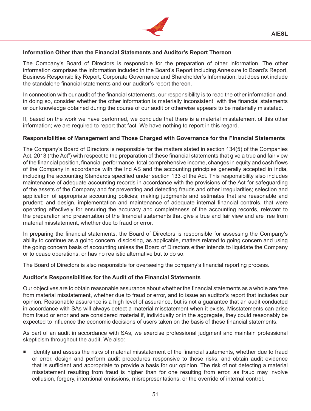# **Information Other than the Financial Statements and Auditor's Report Thereon**

The Company's Board of Directors is responsible for the preparation of other information. The other information comprises the information included in the Board's Report including Annexure to Board's Report, Business Responsibility Report, Corporate Governance and Shareholder's Information, but does not include the standalone financial statements and our auditor's report thereon.

In connection with our audit of the financial statements, our responsibility is to read the other information and, in doing so, consider whether the other information is materially inconsistent with the financial statements or our knowledge obtained during the course of our audit or otherwise appears to be materially misstated.

If, based on the work we have performed, we conclude that there is a material misstatement of this other information; we are required to report that fact. We have nothing to report in this regard.

# **Responsibilities of Management and Those Charged with Governance for the Financial Statements**

The Company's Board of Directors is responsible for the matters stated in section 134(5) of the Companies Act, 2013 ("the Act") with respect to the preparation of these financial statements that give a true and fair view of the financial position, financial performance, total comprehensive income, changes in equity and cash flows of the Company in accordance with the Ind AS and the accounting principles generally accepted in India, including the accounting Standards specified under section 133 of the Act. This responsibility also includes maintenance of adequate accounting records in accordance with the provisions of the Act for safeguarding of the assets of the Company and for preventing and detecting frauds and other irregularities; selection and application of appropriate accounting policies; making judgments and estimates that are reasonable and prudent; and design, implementation and maintenance of adequate internal financial controls, that were operating effectively for ensuring the accuracy and completeness of the accounting records, relevant to the preparation and presentation of the financial statements that give a true and fair view and are free from material misstatement, whether due to fraud or error.

In preparing the financial statements, the Board of Directors is responsible for assessing the Company's ability to continue as a going concern, disclosing, as applicable, matters related to going concern and using the going concern basis of accounting unless the Board of Directors either intends to liquidate the Company or to cease operations, or has no realistic alternative but to do so.

The Board of Directors is also responsible for overseeing the company's financial reporting process.

### **Auditor's Responsibilities for the Audit of the Financial Statements**

Our objectives are to obtain reasonable assurance about whether the financial statements as a whole are free from material misstatement, whether due to fraud or error, and to issue an auditor's report that includes our opinion. Reasonable assurance is a high level of assurance, but is not a guarantee that an audit conducted in accordance with SAs will always detect a material misstatement when it exists. Misstatements can arise from fraud or error and are considered material if, individually or in the aggregate, they could reasonably be expected to influence the economic decisions of users taken on the basis of these financial statements.

As part of an audit in accordance with SAs, we exercise professional judgment and maintain professional skepticism throughout the audit. We also:

 Identify and assess the risks of material misstatement of the financial statements, whether due to fraud or error, design and perform audit procedures responsive to those risks, and obtain audit evidence that is sufficient and appropriate to provide a basis for our opinion. The risk of not detecting a material misstatement resulting from fraud is higher than for one resulting from error, as fraud may involve collusion, forgery, intentional omissions, misrepresentations, or the override of internal control.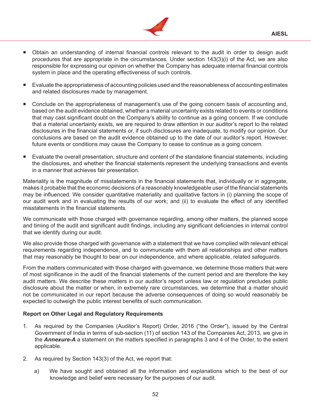- Obtain an understanding of internal financial controls relevant to the audit in order to design audit procedures that are appropriate in the circumstances. Under section 143(3)(i) of the Act, we are also responsible for expressing our opinion on whether the Company has adequate internal financial controls system in place and the operating effectiveness of such controls.
- Evaluate the appropriateness of accounting policies used and the reasonableness of accounting estimates and related disclosures made by management.
- Conclude on the appropriateness of management's use of the going concern basis of accounting and, based on the audit evidence obtained, whether a material uncertainty exists related to events or conditions that may cast significant doubt on the Company's ability to continue as a going concern. If we conclude that a material uncertainty exists, we are required to draw attention in our auditor's report to the related disclosures in the financial statements or, if such disclosures are inadequate, to modify our opinion. Our conclusions are based on the audit evidence obtained up to the date of our auditor's report. However, future events or conditions may cause the Company to cease to continue as a going concern.
- Evaluate the overall presentation, structure and content of the standalone financial statements, including the disclosures, and whether the financial statements represent the underlying transactions and events in a manner that achieves fair presentation.

Materiality is the magnitude of misstatements in the financial statements that, individually or in aggregate, makes it probable that the economic decisions of a reasonably knowledgeable user of the financial statements may be influenced. We consider quantitative materiality and qualitative factors in (i) planning the scope of our audit work and in evaluating the results of our work; and (ii) to evaluate the effect of any identified misstatements in the financial statements.

We communicate with those charged with governance regarding, among other matters, the planned scope and timing of the audit and significant audit findings, including any significant deficiencies in internal control that we identify during our audit.

We also provide those charged with governance with a statement that we have complied with relevant ethical requirements regarding independence, and to communicate with them all relationships and other matters that may reasonably be thought to bear on our independence, and where applicable, related safeguards.

From the matters communicated with those charged with governance, we determine those matters that were of most significance in the audit of the financial statements of the current period and are therefore the key audit matters. We describe these matters in our auditor's report unless law or regulation precludes public disclosure about the matter or when, in extremely rare circumstances, we determine that a matter should not be communicated in our report because the adverse consequences of doing so would reasonably be expected to outweigh the public interest benefits of such communication.

### **Report on Other Legal and Regulatory Requirements**

- 1. As required by the Companies (Auditor's Report) Order, 2016 ("the Order"), issued by the Central Government of India in terms of sub-section (11) of section 143 of the Companies Act, 2013, we give in the *Annexure-A* a statement on the matters specified in paragraphs 3 and 4 of the Order, to the extent applicable.
- 2. As required by Section 143(3) of the Act, we report that:
	- a) We have sought and obtained all the information and explanations which to the best of our knowledge and belief were necessary for the purposes of our audit.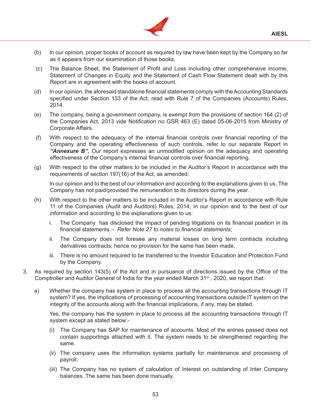

- (b) In our opinion, proper books of account as required by law have been kept by the Company so far as it appears from our examination of those books.
- (c) The Balance Sheet, the Statement of Profit and Loss including other comprehensive income, Statement of Changes in Equity and the Statement of Cash Flow Statement dealt with by this Report are in agreement with the books of account.
- (d) In our opinion, the aforesaid standalone financial statements comply with the Accounting Standards specified under Section 133 of the Act, read with Rule 7 of the Companies (Accounts) Rules, 2014.
- (e) The company, being a government company, is exempt from the provisions of section 164 (2) of the Companies Act, 2013 vide Notification no GSR 463 (E) dated 05-06-2015 from Ministry of Corporate Affairs.
- (f) With respect to the adequacy of the internal financial controls over financial reporting of the Company and the operating effectiveness of such controls, refer to our separate Report in *"Annexure B".* Our report expresses an unmodified opinion on the adequacy and operating effectiveness of the Company's internal financial controls over financial reporting.
- (g) With respect to the other matters to be included in the Auditor's Report in accordance with the requirements of section 197(16) of the Act, as amended:

In our opinion and to the best of our information and according to the explanations given to us, The Company has not paid/provided the remuneration to its directors during the year.

- (h) With respect to the other matters to be included in the Auditor's Report in accordance with Rule 11 of the Companies (Audit and Auditors) Rules, 2014, in our opinion and to the best of our information and according to the explanations given to us:
	- i. The Company has disclosed the impact of pending litigations on its financial position in its financial statements – *Refer Note 27 to notes to financial statements*;
	- ii. The Company does not foresee any material losses on long term contracts including derivatives contracts; hence no provision for the same has been made.
	- iii. There is no amount required to be transferred to the Investor Education and Protection Fund by the Company.
- 3. As required by section 143(5) of the Act and in pursuance of directions issued by the Office of the Comptroller and Auditor General of India for the year ended March  $31<sup>st</sup>$ , 2020, we report that:
	- a) Whether the company has system in place to process all the accounting transactions through IT system? If yes, the implications of processing of accounting transactions outside IT system on the integrity of the accounts along with the financial implications, if any, may be stated.

Yes, the company has the system in place to process all the accounting transactions through IT system except as stated below:-

- (i) The Company has SAP for maintenance of accounts. Most of the entries passed does not contain supportings attached with it. The system needs to be strengthened regarding the same.
- (ii) The company uses the information systems partially for maintenance and processing of payroll.
- (iii) The Company has no system of calculation of Interest on outstanding of Inter Company balances. The same has been done manually.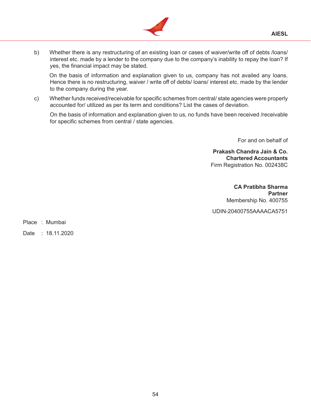On the basis of information and explanation given to us, company has not availed any loans. Hence there is no restructuring, waiver / write off of debts/ loans/ interest etc. made by the lender to the company during the year.

c) Whether funds received/receivable for specific schemes from central/ state agencies were properly accounted for/ utilized as per its term and conditions? List the cases of deviation.

 On the basis of information and explanation given to us, no funds have been received /receivable for specific schemes from central / state agencies.

For and on behalf of

 **Prakash Chandra Jain & Co. Chartered Accountants** Firm Registration No. 002438C

> **CA Pratibha Sharma Partner** Membership No. 400755

UDIN-20400755AAAACA5751

Place : Mumbai

Date : 18.11.2020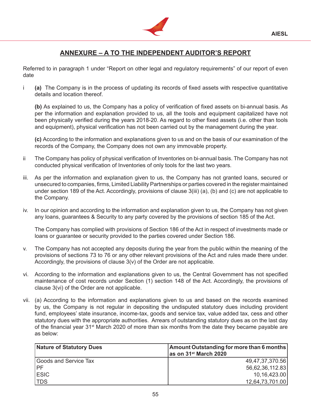

# **ANNEXURE – A TO THE INDEPENDENT AUDITOR'S REPORT**

Referred to in paragraph 1 under "Report on other legal and regulatory requirements" of our report of even date

i **(a)** The Company is in the process of updating its records of fixed assets with respective quantitative details and location thereof.

**(b)** As explained to us, the Company has a policy of verification of fixed assets on bi-annual basis. As per the information and explanation provided to us, all the tools and equipment capitalized have not been physically verified during the years 2018-20. As regard to other fixed assets (i.e. other than tools and equipment), physical verification has not been carried out by the management during the year.

**(c)** According to the information and explanations given to us and on the basis of our examination of the records of the Company, the Company does not own any immovable property.

- ii The Company has policy of physical verification of Inventories on bi-annual basis. The Company has not conducted physical verification of Inventories of only tools for the last two years.
- iii. As per the information and explanation given to us, the Company has not granted loans, secured or unsecured to companies, firms, Limited Liability Partnerships or parties covered in the register maintained under section 189 of the Act. Accordingly, provisions of clause 3(iii) (a), (b) and (c) are not applicable to the Company.
- iv. In our opinion and according to the information and explanation given to us, the Company has not given any loans, guarantees & Security to any party covered by the provisions of section 185 of the Act.

The Company has complied with provisions of Section 186 of the Act in respect of investments made or loans or guarantee or security provided to the parties covered under Section 186.

- v. The Company has not accepted any deposits during the year from the public within the meaning of the provisions of sections 73 to 76 or any other relevant provisions of the Act and rules made there under. Accordingly, the provisions of clause 3(v) of the Order are not applicable.
- vi. According to the information and explanations given to us, the Central Government has not specified maintenance of cost records under Section (1) section 148 of the Act. Accordingly, the provisions of clause 3(vi) of the Order are not applicable.
- vii. (a) According to the information and explanations given to us and based on the records examined by us, the Company is not regular in depositing the undisputed statutory dues including provident fund, employees' state insurance, income-tax, goods and service tax, value added tax, cess and other statutory dues with the appropriate authorities. Arrears of outstanding statutory dues as on the last day of the financial year 31<sup>st</sup> March 2020 of more than six months from the date they became payable are as below:

| <b>Nature of Statutory Dues</b> | Amount Outstanding for more than 6 months |
|---------------------------------|-------------------------------------------|
|                                 | as on 31 <sup>st</sup> March 2020         |
| Goods and Service Tax           | 49,47,37,370.56                           |
| <b>IPF</b>                      | 56,62,36,112.83                           |
| <b>IESIC</b>                    | 10,16,423.00                              |
| <b>TDS</b>                      | 12,64,73,701.00                           |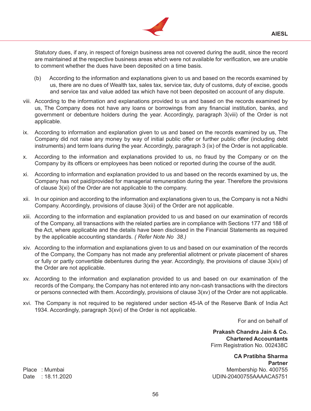

Statutory dues, if any, in respect of foreign business area not covered during the audit, since the record are maintained at the respective business areas which were not available for verification, we are unable to comment whether the dues have been deposited on a time basis.

- (b) According to the information and explanations given to us and based on the records examined by us, there are no dues of Wealth tax, sales tax, service tax, duty of customs, duty of excise, goods and service tax and value added tax which have not been deposited on account of any dispute.
- viii. According to the information and explanations provided to us and based on the records examined by us, The Company does not have any loans or borrowings from any financial institution, banks, and government or debenture holders during the year. Accordingly, paragraph 3(viii) of the Order is not applicable.
- ix. According to information and explanation given to us and based on the records examined by us, The Company did not raise any money by way of initial public offer or further public offer (including debt instruments) and term loans during the year. Accordingly, paragraph 3 (ix) of the Order is not applicable.
- x. According to the information and explanations provided to us, no fraud by the Company or on the Company by its officers or employees has been noticed or reported during the course of the audit.
- xi. According to information and explanation provided to us and based on the records examined by us, the Company has not paid/provided for managerial remuneration during the year. Therefore the provisions of clause 3(xi) of the Order are not applicable to the company.
- xii. In our opinion and according to the information and explanations given to us, the Company is not a Nidhi Company. Accordingly, provisions of clause 3(xii) of the Order are not applicable.
- xiii. According to the information and explanation provided to us and based on our examination of records of the Company, all transactions with the related parties are in compliance with Sections 177 and 188 of the Act, where applicable and the details have been disclosed in the Financial Statements as required by the applicable accounting standards*. ( Refer Note No 38.)*
- xiv. According to the information and explanations given to us and based on our examination of the records of the Company, the Company has not made any preferential allotment or private placement of shares or fully or partly convertible debentures during the year. Accordingly, the provisions of clause 3(xiv) of the Order are not applicable.
- xv. According to the information and explanation provided to us and based on our examination of the records of the Company, the Company has not entered into any non-cash transactions with the directors or persons connected with them. Accordingly, provisions of clause 3(xv) of the Order are not applicable.
- xvi. The Company is not required to be registered under section 45-IA of the Reserve Bank of India Act 1934. Accordingly, paragraph 3(xvi) of the Order is not applicable.

For and on behalf of

 **Prakash Chandra Jain & Co. Chartered Accountants** Firm Registration No. 002438C

**CA Pratibha Sharma Partner** Place : Mumbai Membership No. 400755<br>Date : 18.11.2020 Date : 18.11.2020 UDIN-20400755AAAACA5751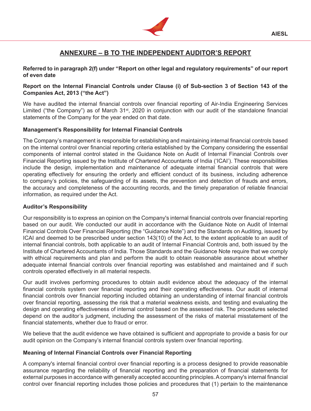

# **ANNEXURE – B TO THE INDEPENDENT AUDITOR'S REPORT**

**Referred to in paragraph 2(f) under "Report on other legal and regulatory requirements" of our report of even date**

#### **Report on the Internal Financial Controls under Clause (i) of Sub-section 3 of Section 143 of the Companies Act, 2013 ("the Act")**

We have audited the internal financial controls over financial reporting of Air-India Engineering Services Limited ("the Company") as of March 31<sup>st</sup>, 2020 in conjunction with our audit of the standalone financial statements of the Company for the year ended on that date.

### **Management's Responsibility for Internal Financial Controls**

The Company's management is responsible for establishing and maintaining internal financial controls based on the internal control over financial reporting criteria established by the Company considering the essential components of internal control stated in the Guidance Note on Audit of Internal Financial Controls over Financial Reporting issued by the Institute of Chartered Accountants of India ('ICAI'). These responsibilities include the design, implementation and maintenance of adequate internal financial controls that were operating effectively for ensuring the orderly and efficient conduct of its business, including adherence to company's policies, the safeguarding of its assets, the prevention and detection of frauds and errors, the accuracy and completeness of the accounting records, and the timely preparation of reliable financial information, as required under the Act.

### **Auditor's Responsibility**

Our responsibility is to express an opinion on the Company's internal financial controls over financial reporting based on our audit. We conducted our audit in accordance with the Guidance Note on Audit of Internal Financial Controls Over Financial Reporting (the "Guidance Note") and the Standards on Auditing, issued by ICAI and deemed to be prescribed under section 143(10) of the Act, to the extent applicable to an audit of internal financial controls, both applicable to an audit of Internal Financial Controls and, both issued by the Institute of Chartered Accountants of India. Those Standards and the Guidance Note require that we comply with ethical requirements and plan and perform the audit to obtain reasonable assurance about whether adequate internal financial controls over financial reporting was established and maintained and if such controls operated effectively in all material respects.

Our audit involves performing procedures to obtain audit evidence about the adequacy of the internal financial controls system over financial reporting and their operating effectiveness. Our audit of internal financial controls over financial reporting included obtaining an understanding of internal financial controls over financial reporting, assessing the risk that a material weakness exists, and testing and evaluating the design and operating effectiveness of internal control based on the assessed risk. The procedures selected depend on the auditor's judgment, including the assessment of the risks of material misstatement of the financial statements, whether due to fraud or error.

We believe that the audit evidence we have obtained is sufficient and appropriate to provide a basis for our audit opinion on the Company's internal financial controls system over financial reporting.

### **Meaning of Internal Financial Controls over Financial Reporting**

A company's internal financial control over financial reporting is a process designed to provide reasonable assurance regarding the reliability of financial reporting and the preparation of financial statements for external purposes in accordance with generally accepted accounting principles. A company's internal financial control over financial reporting includes those policies and procedures that (1) pertain to the maintenance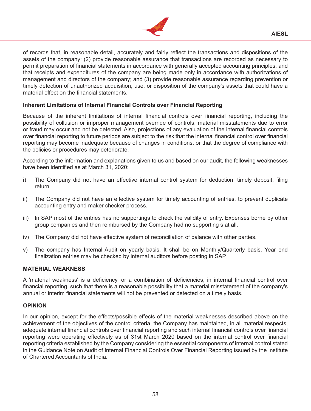

of records that, in reasonable detail, accurately and fairly reflect the transactions and dispositions of the assets of the company; (2) provide reasonable assurance that transactions are recorded as necessary to permit preparation of financial statements in accordance with generally accepted accounting principles, and that receipts and expenditures of the company are being made only in accordance with authorizations of management and directors of the company; and (3) provide reasonable assurance regarding prevention or timely detection of unauthorized acquisition, use, or disposition of the company's assets that could have a material effect on the financial statements.

## **Inherent Limitations of Internal Financial Controls over Financial Reporting**

Because of the inherent limitations of internal financial controls over financial reporting, including the possibility of collusion or improper management override of controls, material misstatements due to error or fraud may occur and not be detected. Also, projections of any evaluation of the internal financial controls over financial reporting to future periods are subject to the risk that the internal financial control over financial reporting may become inadequate because of changes in conditions, or that the degree of compliance with the policies or procedures may deteriorate.

According to the information and explanations given to us and based on our audit, the following weaknesses have been identified as at March 31, 2020:

- i) The Company did not have an effective internal control system for deduction, timely deposit, filing return.
- ii) The Company did not have an effective system for timely accounting of entries, to prevent duplicate accounting entry and maker checker process.
- iii) In SAP most of the entries has no supportings to check the validity of entry. Expenses borne by other group companies and then reimbursed by the Company had no supporting s at all.
- iv) The Company did not have effective system of reconciliation of balance with other parties.
- v) The company has Internal Audit on yearly basis. It shall be on Monthly/Quarterly basis. Year end finalization entries may be checked by internal auditors before posting in SAP.

### **MATERIAL WEAKNESS**

A 'material weakness' is a deficiency, or a combination of deficiencies, in internal financial control over financial reporting, such that there is a reasonable possibility that a material misstatement of the company's annual or interim financial statements will not be prevented or detected on a timely basis.

### **OPINION**

In our opinion, except for the effects/possible effects of the material weaknesses described above on the achievement of the objectives of the control criteria, the Company has maintained, in all material respects, adequate internal financial controls over financial reporting and such internal financial controls over financial reporting were operating effectively as of 31st March 2020 based on the internal control over financial reporting criteria established by the Company considering the essential components of internal control stated in the Guidance Note on Audit of Internal Financial Controls Over Financial Reporting issued by the Institute of Chartered Accountants of India.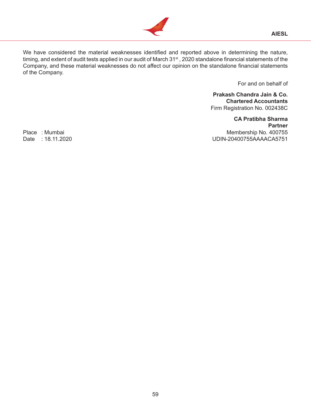

We have considered the material weaknesses identified and reported above in determining the nature, timing, and extent of audit tests applied in our audit of March 31<sup>st</sup>, 2020 standalone financial statements of the Company, and these material weaknesses do not affect our opinion on the standalone financial statements of the Company.

For and on behalf of

 **Prakash Chandra Jain & Co. Chartered Accountants** Firm Registration No. 002438C

**CA Pratibha Sharma Partner** Place : Mumbai Membership No. 400755 Date : 18.11.2020 UDIN-20400755AAAACA5751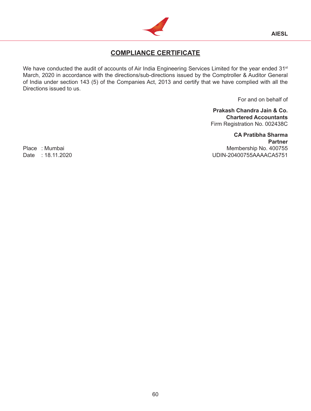

# **COMPLIANCE CERTIFICATE**

We have conducted the audit of accounts of Air India Engineering Services Limited for the year ended 31<sup>st</sup> March, 2020 in accordance with the directions/sub-directions issued by the Comptroller & Auditor General of India under section 143 (5) of the Companies Act, 2013 and certify that we have complied with all the Directions issued to us.

For and on behalf of

 **Prakash Chandra Jain & Co. Chartered Accountants** Firm Registration No. 002438C

**CA Pratibha Sharma Partner** Place : Mumbai Membership No. 400755 Date : 18.11.2020 UDIN-20400755AAAACA5751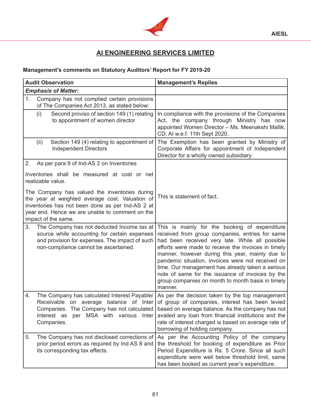

# **AI ENGINEERING SERVICES LIMITED**

# **Management's comments on Statutory Auditors' Report for FY 2019-20**

|    | <b>Audit Observation</b>                                                                                                                                                                                                       | <b>Management's Replies</b>                                                                                                                                                                                                                                                                                                                                                                                                                                                                |  |  |
|----|--------------------------------------------------------------------------------------------------------------------------------------------------------------------------------------------------------------------------------|--------------------------------------------------------------------------------------------------------------------------------------------------------------------------------------------------------------------------------------------------------------------------------------------------------------------------------------------------------------------------------------------------------------------------------------------------------------------------------------------|--|--|
|    | <b>Emphasis of Matter:</b>                                                                                                                                                                                                     |                                                                                                                                                                                                                                                                                                                                                                                                                                                                                            |  |  |
| 1. | Company has not complied certain provisions<br>of The Companies Act 2013, as stated below:                                                                                                                                     |                                                                                                                                                                                                                                                                                                                                                                                                                                                                                            |  |  |
|    | Second proviso of section 149 (1) relating<br>(i)<br>to appointment of women director                                                                                                                                          | In compliance with the provisions of the Companies<br>Act, the company through Ministry has now<br>appointed Women Director - Ms. Meenakshi Mallik,<br>CD, AI w.e.f. 11th Sept 2020.                                                                                                                                                                                                                                                                                                       |  |  |
|    | Section 149 (4) relating to appointment of<br>(ii)<br><b>Independent Directors</b>                                                                                                                                             | The Exemption has been granted by Ministry of<br>Corporate Affairs for appointment of Independent<br>Director for a wholly owned subsidiary.                                                                                                                                                                                                                                                                                                                                               |  |  |
| 2. | As per para 9 of Ind-AS 2 on Inventories                                                                                                                                                                                       |                                                                                                                                                                                                                                                                                                                                                                                                                                                                                            |  |  |
|    | Inventories shall be measured at cost or net<br>realizable value.                                                                                                                                                              |                                                                                                                                                                                                                                                                                                                                                                                                                                                                                            |  |  |
|    | The Company has valued the inventories during<br>the year at weighted average cost. Valuation of<br>inventories has not been done as per Ind-AS 2 at<br>year end. Hence we are unable to comment on the<br>impact of the same. | This is statement of fact.                                                                                                                                                                                                                                                                                                                                                                                                                                                                 |  |  |
| 3. | The Company has not deducted Income tax at<br>source while accounting for certain expenses<br>and provision for expenses. The impact of such<br>non-compliance cannot be ascertained.                                          | This is mainly for the booking of expenditure<br>received from group companies, entries for same<br>had been received very late. While all possible<br>efforts were made to receive the invoices in timely<br>manner, however during this year, mainly due to<br>pandemic situation, invoices were not received on<br>time. Our management has already taken a serious<br>note of same for the issuance of invoices by the<br>group companies on month to month basis in timely<br>manner. |  |  |
| 4. | The Company has calculated Interest Payable/<br>Receivable on average<br>balance of Inter<br>Companies. The Company has not calculated<br>Interest as per MSA with various Inter<br>Companies.                                 | As per the decision taken by the top management<br>of group of companies, interest has been levied<br>based on average balance. As the company has not<br>availed any loan from financial institutions and the<br>rate of interest charged is based on average rate of<br>borrowing of holding company.                                                                                                                                                                                    |  |  |
| 5. | The Company has not disclosed corrections of<br>prior period errors as required by Ind AS 8 and<br>its corresponding tax effects.                                                                                              | As per the Accounting Policy of the company<br>the threshold for booking of expenditure as Prior<br>Period Expenditure is Rs. 5 Crore. Since all such<br>expenditure were well below threshold limit, same<br>has been booked as current year's expenditure.                                                                                                                                                                                                                               |  |  |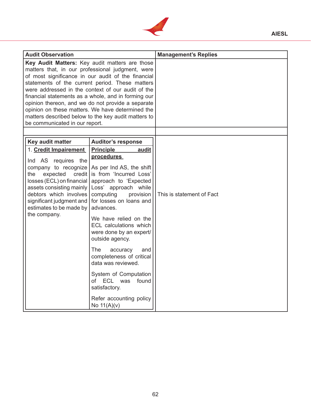

| <b>Audit Observation</b>                                                                                                                                                                                                                      |                                                                                                                                                                                                                                                                                                                                                                                                                                                                                                                                                                         | <b>Management's Replies</b> |
|-----------------------------------------------------------------------------------------------------------------------------------------------------------------------------------------------------------------------------------------------|-------------------------------------------------------------------------------------------------------------------------------------------------------------------------------------------------------------------------------------------------------------------------------------------------------------------------------------------------------------------------------------------------------------------------------------------------------------------------------------------------------------------------------------------------------------------------|-----------------------------|
| be communicated in our report.                                                                                                                                                                                                                | Key Audit Matters: Key audit matters are those<br>matters that, in our professional judgment, were<br>of most significance in our audit of the financial<br>statements of the current period. These matters<br>were addressed in the context of our audit of the<br>financial statements as a whole, and in forming our<br>opinion thereon, and we do not provide a separate<br>opinion on these matters. We have determined the<br>matters described below to the key audit matters to                                                                                 |                             |
|                                                                                                                                                                                                                                               |                                                                                                                                                                                                                                                                                                                                                                                                                                                                                                                                                                         |                             |
| Key audit matter<br>1. Credit Impairement<br>Ind AS requires the<br>expected<br>the<br>losses (ECL) on financial<br>assets consisting mainly<br>debtors which involves<br>significant judgment and<br>estimates to be made by<br>the company. | <b>Auditor's response</b><br><b>Principle</b><br>audit<br>procedures<br>company to recognize $\vert$ As per Ind AS, the shift<br>credit is from 'Incurred Loss'<br>approach to 'Expected<br>Loss' approach while<br>computing<br>provision<br>for losses on loans and<br>advances.<br>We have relied on the<br>ECL calculations which<br>were done by an expert/<br>outside agency.<br>The<br>accuracy<br>and<br>completeness of critical<br>data was reviewed.<br>System of Computation<br>of ECL was found<br>satisfactory.<br>Refer accounting policy<br>No 11(A)(v) | This is statement of Fact   |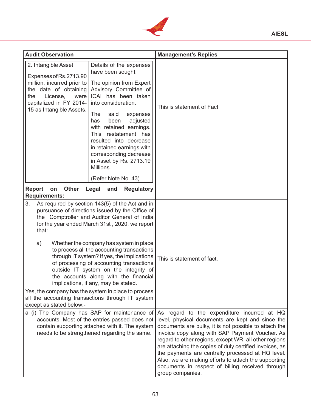

| <b>Audit Observation</b>                                                                                                                                                                                                                                                                                                                                                                                                                                                                                                                                                                          |                                                                                                                                                                                                                                                                                                                                                                                                                                                                                                                                                                                                                                | <b>Management's Replies</b>                                                                                                                                                                                                                                                                                                                                                                                                                                                                                          |  |  |
|---------------------------------------------------------------------------------------------------------------------------------------------------------------------------------------------------------------------------------------------------------------------------------------------------------------------------------------------------------------------------------------------------------------------------------------------------------------------------------------------------------------------------------------------------------------------------------------------------|--------------------------------------------------------------------------------------------------------------------------------------------------------------------------------------------------------------------------------------------------------------------------------------------------------------------------------------------------------------------------------------------------------------------------------------------------------------------------------------------------------------------------------------------------------------------------------------------------------------------------------|----------------------------------------------------------------------------------------------------------------------------------------------------------------------------------------------------------------------------------------------------------------------------------------------------------------------------------------------------------------------------------------------------------------------------------------------------------------------------------------------------------------------|--|--|
| 2. Intangible Asset<br>Details of the expenses<br>have been sought.<br>Expenses of Rs.2713.90<br>million, incurred prior to<br>The opinion from Expert<br>the date of obtaining<br>Advisory Committee of<br>ICAI has been taken<br>License,<br>were<br>the<br>capitalized in FY 2014-<br>into consideration.<br>15 as Intangible Assets.<br>The<br>said<br>expenses<br>been<br>adjusted<br>has<br>with retained earnings.<br>This restatement has<br>resulted into decrease<br>in retained earnings with<br>corresponding decrease<br>in Asset by Rs. 2713.19<br>Millions.<br>(Refer Note No. 43) |                                                                                                                                                                                                                                                                                                                                                                                                                                                                                                                                                                                                                                | This is statement of Fact                                                                                                                                                                                                                                                                                                                                                                                                                                                                                            |  |  |
| <b>Report</b><br><b>Other</b><br>on                                                                                                                                                                                                                                                                                                                                                                                                                                                                                                                                                               | and<br><b>Regulatory</b><br>Legal                                                                                                                                                                                                                                                                                                                                                                                                                                                                                                                                                                                              |                                                                                                                                                                                                                                                                                                                                                                                                                                                                                                                      |  |  |
| <b>Requirements:</b><br>3.<br>that:<br>a)<br>except as stated below:-                                                                                                                                                                                                                                                                                                                                                                                                                                                                                                                             | As required by section 143(5) of the Act and in<br>pursuance of directions issued by the Office of<br>the Comptroller and Auditor General of India<br>for the year ended March 31st, 2020, we report<br>Whether the company has system in place<br>to process all the accounting transactions<br>through IT system? If yes, the implications<br>of processing of accounting transactions<br>outside IT system on the integrity of<br>the accounts along with the financial<br>implications, if any, may be stated.<br>Yes, the company has the system in place to process<br>all the accounting transactions through IT system | This is statement of fact.                                                                                                                                                                                                                                                                                                                                                                                                                                                                                           |  |  |
|                                                                                                                                                                                                                                                                                                                                                                                                                                                                                                                                                                                                   | a (i) The Company has SAP for maintenance of<br>accounts. Most of the entries passed does not<br>contain supporting attached with it. The system<br>needs to be strengthened regarding the same.                                                                                                                                                                                                                                                                                                                                                                                                                               | As regard to the expenditure incurred at HQ<br>level, physical documents are kept and since the<br>documents are bulky, it is not possible to attach the<br>invoice copy along with SAP Payment Voucher. As<br>regard to other regions, except WR, all other regions<br>are attaching the copies of duly certified invoices, as<br>the payments are centrally processed at HQ level.<br>Also, we are making efforts to attach the supporting<br>documents in respect of billing received through<br>group companies. |  |  |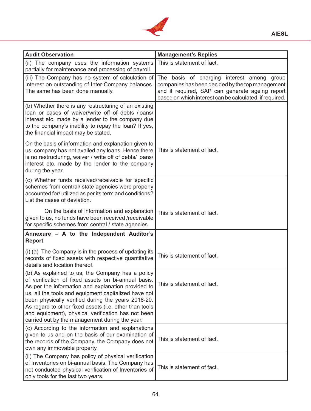

| <b>Audit Observation</b>                                                                                                                                                                                                                                                                                                                                                                                                                      | <b>Management's Replies</b>                                                                                                                                                                                  |
|-----------------------------------------------------------------------------------------------------------------------------------------------------------------------------------------------------------------------------------------------------------------------------------------------------------------------------------------------------------------------------------------------------------------------------------------------|--------------------------------------------------------------------------------------------------------------------------------------------------------------------------------------------------------------|
| (ii) The company uses the information systems<br>partially for maintenance and processing of payroll.                                                                                                                                                                                                                                                                                                                                         | This is statement of fact.                                                                                                                                                                                   |
| (iii) The Company has no system of calculation of<br>Interest on outstanding of Inter Company balances.<br>The same has been done manually.                                                                                                                                                                                                                                                                                                   | The basis of charging interest among group<br>companies has been decided by the top management<br>and if required, SAP can generate ageing report<br>based on which interest can be calculated, if required. |
| (b) Whether there is any restructuring of an existing<br>loan or cases of waiver/write off of debts /loans/<br>interest etc. made by a lender to the company due<br>to the company's inability to repay the loan? If yes,<br>the financial impact may be stated.                                                                                                                                                                              |                                                                                                                                                                                                              |
| On the basis of information and explanation given to<br>us, company has not availed any loans. Hence there<br>is no restructuring, waiver / write off of debts/ loans/<br>interest etc. made by the lender to the company<br>during the year.                                                                                                                                                                                                 | This is statement of fact.                                                                                                                                                                                   |
| (c) Whether funds received/receivable for specific<br>schemes from central/ state agencies were properly<br>accounted for/ utilized as per its term and conditions?<br>List the cases of deviation.                                                                                                                                                                                                                                           |                                                                                                                                                                                                              |
| On the basis of information and explanation<br>given to us, no funds have been received /receivable<br>for specific schemes from central / state agencies.                                                                                                                                                                                                                                                                                    | This is statement of fact.                                                                                                                                                                                   |
| Annexure - A to the Independent Auditor's<br><b>Report</b>                                                                                                                                                                                                                                                                                                                                                                                    |                                                                                                                                                                                                              |
| (i) (a) The Company is in the process of updating its<br>records of fixed assets with respective quantitative<br>details and location thereof.                                                                                                                                                                                                                                                                                                | This is statement of fact.                                                                                                                                                                                   |
| (b) As explained to us, the Company has a policy<br>of verification of fixed assets on bi-annual basis.<br>As per the information and explanation provided to<br>us, all the tools and equipment capitalized have not<br>been physically verified during the years 2018-20.<br>As regard to other fixed assets (i.e. other than tools<br>and equipment), physical verification has not been<br>carried out by the management during the year. | This is statement of fact.                                                                                                                                                                                   |
| (c) According to the information and explanations<br>given to us and on the basis of our examination of<br>the records of the Company, the Company does not<br>own any immovable property.                                                                                                                                                                                                                                                    | This is statement of fact.                                                                                                                                                                                   |
| (ii) The Company has policy of physical verification<br>of Inventories on bi-annual basis. The Company has<br>not conducted physical verification of Inventories of<br>only tools for the last two years.                                                                                                                                                                                                                                     | This is statement of fact.                                                                                                                                                                                   |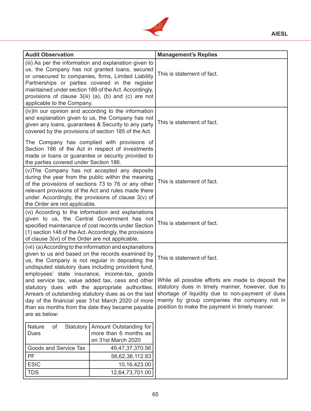

| <b>Audit Observation</b>                                                                                                                                                                                                                                                                                                                 |                                                                                                                                                                                                                                                                                                                                    | <b>Management's Replies</b>                                                                                                                                                                                                                                  |
|------------------------------------------------------------------------------------------------------------------------------------------------------------------------------------------------------------------------------------------------------------------------------------------------------------------------------------------|------------------------------------------------------------------------------------------------------------------------------------------------------------------------------------------------------------------------------------------------------------------------------------------------------------------------------------|--------------------------------------------------------------------------------------------------------------------------------------------------------------------------------------------------------------------------------------------------------------|
| applicable to the Company.                                                                                                                                                                                                                                                                                                               | (iii) As per the information and explanation given to<br>us, the Company has not granted loans, secured<br>or unsecured to companies, firms, Limited Liability<br>Partnerships or parties covered in the register<br>maintained under section 189 of the Act. Accordingly,<br>provisions of clause 3(iii) (a), (b) and (c) are not | This is statement of fact.                                                                                                                                                                                                                                   |
| covered by the provisions of section 185 of the Act.                                                                                                                                                                                                                                                                                     | (iv)In our opinion and according to the information<br>and explanation given to us, the Company has not<br>given any loans, guarantees & Security to any party                                                                                                                                                                     | This is statement of fact.                                                                                                                                                                                                                                   |
| the parties covered under Section 186.                                                                                                                                                                                                                                                                                                   | The Company has complied with provisions of<br>Section 186 of the Act in respect of investments<br>made or loans or guarantee or security provided to                                                                                                                                                                              |                                                                                                                                                                                                                                                              |
| the Order are not applicable.                                                                                                                                                                                                                                                                                                            | (v) The Company has not accepted any deposits<br>during the year from the public within the meaning<br>of the provisions of sections 73 to 76 or any other<br>relevant provisions of the Act and rules made there<br>under. Accordingly, the provisions of clause $3(v)$ of                                                        | This is statement of fact.                                                                                                                                                                                                                                   |
| of clause 3(vi) of the Order are not applicable.                                                                                                                                                                                                                                                                                         | (vi) According to the information and explanations<br>given to us, the Central Government has not<br>specified maintenance of cost records under Section<br>(1) section 148 of the Act. Accordingly, the provisions                                                                                                                | This is statement of fact.                                                                                                                                                                                                                                   |
|                                                                                                                                                                                                                                                                                                                                          | (vii) (a) According to the information and explanations<br>given to us and based on the records examined by<br>us, the Company is not regular in depositing the<br>undisputed statutory dues including provident fund,                                                                                                             | This is statement of fact.                                                                                                                                                                                                                                   |
| employees' state insurance, income-tax, goods<br>and service tax, value added tax, cess and other<br>statutory dues with the appropriate authorities.<br>Arrears of outstanding statutory dues as on the last<br>day of the financial year 31st March 2020 of more<br>than six months from the date they became payable<br>are as below: |                                                                                                                                                                                                                                                                                                                                    | While all possible efforts are made to deposit the<br>statutory dues in timely manner, however, due to<br>shortage of liquidity due to non-payment of dues<br>mainly by group companies the company not in<br>position to make the payment in timely manner. |
| Nature<br>of<br>Statutory<br>Dues                                                                                                                                                                                                                                                                                                        | Amount Outstanding for<br>more than 6 months as<br>on 31st March 2020                                                                                                                                                                                                                                                              |                                                                                                                                                                                                                                                              |
| Goods and Service Tax                                                                                                                                                                                                                                                                                                                    | 49, 47, 37, 370. 56                                                                                                                                                                                                                                                                                                                |                                                                                                                                                                                                                                                              |
| PF                                                                                                                                                                                                                                                                                                                                       | 56,62,36,112.83                                                                                                                                                                                                                                                                                                                    |                                                                                                                                                                                                                                                              |
| <b>ESIC</b>                                                                                                                                                                                                                                                                                                                              | 10,16,423.00                                                                                                                                                                                                                                                                                                                       |                                                                                                                                                                                                                                                              |
| <b>TDS</b>                                                                                                                                                                                                                                                                                                                               | 12,64,73,701.00                                                                                                                                                                                                                                                                                                                    |                                                                                                                                                                                                                                                              |

**AIESL**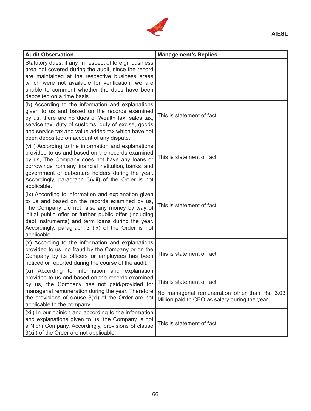

| <b>Audit Observation</b>                                                                                                                                                                                                                                                                                                                    | <b>Management's Replies</b>                                                                                                    |
|---------------------------------------------------------------------------------------------------------------------------------------------------------------------------------------------------------------------------------------------------------------------------------------------------------------------------------------------|--------------------------------------------------------------------------------------------------------------------------------|
| Statutory dues, if any, in respect of foreign business<br>area not covered during the audit, since the record<br>are maintained at the respective business areas<br>which were not available for verification, we are<br>unable to comment whether the dues have been<br>deposited on a time basis.                                         |                                                                                                                                |
| (b) According to the information and explanations<br>given to us and based on the records examined<br>by us, there are no dues of Wealth tax, sales tax,<br>service tax, duty of customs, duty of excise, goods<br>and service tax and value added tax which have not<br>been deposited on account of any dispute.                          | This is statement of fact.                                                                                                     |
| (viii) According to the information and explanations<br>provided to us and based on the records examined<br>by us, The Company does not have any loans or<br>borrowings from any financial institution, banks, and<br>government or debenture holders during the year.<br>Accordingly, paragraph 3(viii) of the Order is not<br>applicable. | This is statement of fact.                                                                                                     |
| (ix) According to information and explanation given<br>to us and based on the records examined by us,<br>The Company did not raise any money by way of<br>initial public offer or further public offer (including<br>debt instruments) and term loans during the year.<br>Accordingly, paragraph 3 (ix) of the Order is not<br>applicable.  | This is statement of fact.                                                                                                     |
| (x) According to the information and explanations<br>provided to us, no fraud by the Company or on the<br>Company by its officers or employees has been<br>noticed or reported during the course of the audit.                                                                                                                              | This is statement of fact.                                                                                                     |
| (xi) According to information and explanation<br>provided to us and based on the records examined<br>by us, the Company has not paid/provided for<br>managerial remuneration during the year. Therefore<br>the provisions of clause $3(xi)$ of the Order are not<br>applicable to the company.                                              | This is statement of fact.<br>No managerial remuneration other than Rs. 3.03<br>Million paid to CEO as salary during the year. |
| (xii) In our opinion and according to the information<br>and explanations given to us, the Company is not<br>a Nidhi Company. Accordingly, provisions of clause<br>3(xii) of the Order are not applicable.                                                                                                                                  | This is statement of fact.                                                                                                     |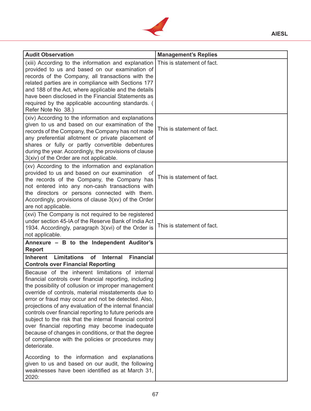

| <b>Audit Observation</b>                                                                                                                                                                                                                                                                                                                                                                                                                                                                                                                                                                                                                       | <b>Management's Replies</b> |
|------------------------------------------------------------------------------------------------------------------------------------------------------------------------------------------------------------------------------------------------------------------------------------------------------------------------------------------------------------------------------------------------------------------------------------------------------------------------------------------------------------------------------------------------------------------------------------------------------------------------------------------------|-----------------------------|
| (xiii) According to the information and explanation<br>provided to us and based on our examination of<br>records of the Company, all transactions with the<br>related parties are in compliance with Sections 177<br>and 188 of the Act, where applicable and the details<br>have been disclosed in the Financial Statements as<br>required by the applicable accounting standards. (<br>Refer Note No 38.)                                                                                                                                                                                                                                    | This is statement of fact.  |
| (xiv) According to the information and explanations<br>given to us and based on our examination of the<br>records of the Company, the Company has not made<br>any preferential allotment or private placement of<br>shares or fully or partly convertible debentures<br>during the year. Accordingly, the provisions of clause<br>3(xiv) of the Order are not applicable.                                                                                                                                                                                                                                                                      | This is statement of fact.  |
| (xv) According to the information and explanation<br>provided to us and based on our examination<br>of<br>the records of the Company, the Company has<br>not entered into any non-cash transactions with<br>the directors or persons connected with them.<br>Accordingly, provisions of clause 3(xv) of the Order<br>are not applicable.                                                                                                                                                                                                                                                                                                       | This is statement of fact.  |
| (xvi) The Company is not required to be registered<br>under section 45-IA of the Reserve Bank of India Act<br>1934. Accordingly, paragraph 3(xvi) of the Order is<br>not applicable.                                                                                                                                                                                                                                                                                                                                                                                                                                                           | This is statement of fact.  |
| Annexure - B to the Independent Auditor's<br><b>Report</b>                                                                                                                                                                                                                                                                                                                                                                                                                                                                                                                                                                                     |                             |
| <b>Limitations</b><br><b>Financial</b><br><b>Inherent</b><br>of<br><b>Internal</b><br><b>Controls over Financial Reporting</b>                                                                                                                                                                                                                                                                                                                                                                                                                                                                                                                 |                             |
| Because of the inherent limitations of internal<br>financial controls over financial reporting, including<br>the possibility of collusion or improper management<br>override of controls, material misstatements due to<br>error or fraud may occur and not be detected. Also,<br>projections of any evaluation of the internal financial<br>controls over financial reporting to future periods are<br>subject to the risk that the internal financial control<br>over financial reporting may become inadequate<br>because of changes in conditions, or that the degree<br>of compliance with the policies or procedures may<br>deteriorate. |                             |
| According to the information and explanations<br>given to us and based on our audit, the following<br>weaknesses have been identified as at March 31,<br>2020:                                                                                                                                                                                                                                                                                                                                                                                                                                                                                 |                             |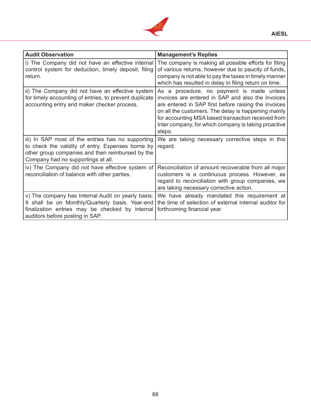

| <b>Audit Observation</b>                                                                                                                                                                         | <b>Management's Replies</b>                                                                                                                                                                                                                                                                                                           |
|--------------------------------------------------------------------------------------------------------------------------------------------------------------------------------------------------|---------------------------------------------------------------------------------------------------------------------------------------------------------------------------------------------------------------------------------------------------------------------------------------------------------------------------------------|
| i) The Company did not have an effective internal<br>control system for deduction, timely deposit, filing<br>return.                                                                             | The company is making all possible efforts for filing<br>of various returns, however due to paucity of funds,<br>company is not able to pay the taxes in timely manner<br>which has resulted in delay in filing return on time.                                                                                                       |
| ii) The Company did not have an effective system<br>for timely accounting of entries, to prevent duplicate<br>accounting entry and maker checker process.                                        | As a procedure, no payment is made unless<br>invoices are entered in SAP and also the invoices<br>are entered in SAP first before raising the invoices<br>on all the customers. The delay is happening mainly<br>for accounting MSA based transaction received from<br>Inter company, for which company is taking proactive<br>steps. |
| iii) In SAP most of the entries has no supporting<br>to check the validity of entry. Expenses borne by<br>other group companies and then reimbursed by the<br>Company had no supportings at all. | We are taking necessary corrective steps in this<br>regard.                                                                                                                                                                                                                                                                           |
| iv) The Company did not have effective system of<br>reconciliation of balance with other parties.                                                                                                | Reconciliation of amount recoverable from all major<br>customers is a continuous process. However, as<br>regard to reconciliation with group companies, we<br>are taking necessary corrective action.                                                                                                                                 |
| v) The company has Internal Audit on yearly basis.<br>It shall be on Monthly/Quarterly basis. Year-end<br>finalization entries may be checked by internal<br>auditors before posting in SAP.     | We have already mandated this requirement at<br>the time of selection of external internal auditor for<br>forthcoming financial year.                                                                                                                                                                                                 |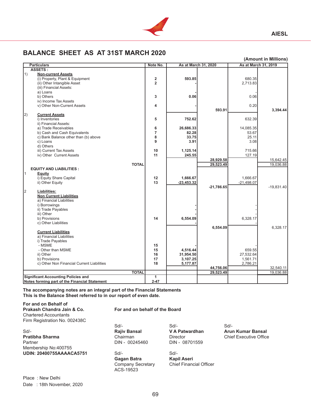

**(Amount in Millions)**

# **BALANCE SHEET AS AT 31ST MARCH 2020**

| <b>Particulars</b>                                                                                                                                                                     | Note No.                      |                                               | As at March 31, 2020 |                                             | As at March 31, 2019 |
|----------------------------------------------------------------------------------------------------------------------------------------------------------------------------------------|-------------------------------|-----------------------------------------------|----------------------|---------------------------------------------|----------------------|
| ASSETS:                                                                                                                                                                                |                               |                                               |                      |                                             |                      |
| $\vert$ 1)<br><b>Non-current Assets</b><br>(i) Property, Plant & Equipment<br>(ii) Other Intangible Asset<br>(iii) Financial Assets:                                                   | $\mathbf 2$<br>$\overline{2}$ | 593.85                                        |                      | 680.35<br>2,713.83                          |                      |
| a) Loans<br>b) Others<br>iv) Income Tax Assets<br>v) Other Non-Current Assets                                                                                                          | 3<br>4                        | 0.06                                          |                      | 0.06<br>0.20                                |                      |
|                                                                                                                                                                                        |                               |                                               | 593.91               |                                             | 3,394.44             |
| 2)<br><b>Current Assets</b><br>i) Inventories                                                                                                                                          | 5                             | 752.62                                        |                      | 632.39                                      |                      |
| ii) Financial Assets:<br>a) Trade Receivables<br>b) Cash and Cash Equivalents<br>c) Bank Balance other than (b) above<br>c) Loans                                                      | 6<br>$\overline{7}$<br>8<br>9 | 26,686.33<br>82.28<br>33.75<br>3.91           |                      | 14,085.35<br>53.67<br>25.11<br>3.08         |                      |
| d) Others<br>iii) Current Tax Assets<br>iv) Other Current Assets                                                                                                                       | 10<br>11                      | 1,125.14<br>245.55                            | 28,929.58            | 715.66<br>127.19                            | 15,642.45            |
| <b>TOTAL</b>                                                                                                                                                                           |                               |                                               | 29,523.49            |                                             | 19,036.88            |
| <b>EQUITY AND LIABILITIES:</b>                                                                                                                                                         |                               |                                               |                      |                                             |                      |
| 1<br><b>Equity</b><br>i) Equity Share Capital<br>ii) Other Equity                                                                                                                      | 12<br>13                      | 1,666.67<br>$-23,453.32$                      | $-21,786.65$         | 1,666.67<br>$-21,498.07$                    | $-19,831.40$         |
| 2<br>Liabilities:<br><b>Non Current Liabilities</b><br>a) Financial Liabilities<br>i) Borrowings<br>ii) Trade Payables<br>iii) Other<br>b) Provisions<br>c) Other Liabilities          | 14                            | 6,554.09                                      |                      | 6,328.17                                    |                      |
|                                                                                                                                                                                        |                               |                                               | 6,554.09             |                                             | 6,328.17             |
| <b>Current Liabilities</b><br>a) Financial Liabilities<br>i) Trade Payables<br>- MSME<br>- Other than MSME<br>ii) Other<br>b) Provisions<br>c) Other Non Financial Current Liabilities | 15<br>15<br>16<br>17<br>18    | 4,516.44<br>31,954.50<br>3,107.25<br>5,177.87 | 44,756.06            | 659.55<br>27,532.64<br>1,561.71<br>2,786.21 | 32,540.11            |
| <b>TOTAL</b>                                                                                                                                                                           |                               |                                               | 29,523.49            |                                             | 19,036.88            |
| <b>Significant Accounting Policies and</b><br>Notes forming part of the Financial Statement                                                                                            | $\mathbf{1}$<br>$2 - 47$      |                                               |                      |                                             |                      |

**The accompanying notes are an integral part of the Financial Statements This is the Balance Sheet referred to in our report of even date.**

#### **For and on Behalf of** Prakash Chandra Jain & Co. **For and on behalf of the Board** Chartered Accountants Firm Registration No. 002438C Sd/- Sd/- Sd/- Sd/- **Rajiv Bansal V A Patwardhan Arun Kumar Bansal**

Partner DIN - 00245460 Membership No:400755

Place : New Delhi Date: 18th November, 2020

**UDIN: 20400755AAAACA5751** Sd/-<br>**Gagan Batra** Kapil Aseri **Gagan Batra Kapil Aseri<br>
Company Secretary Chief Financial Officer** Company Secretary ACS-19523

**Praction Sharman Sharman Chief Executive Office<br>
<b>PIN - 08701559** 

69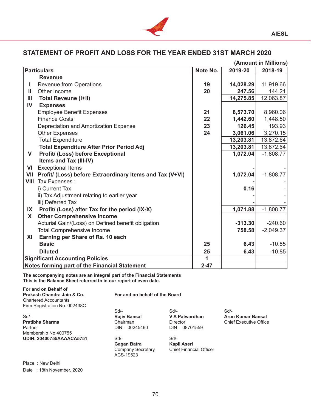

# **STATEMENT OF PROFIT AND LOSS FOR THE YEAR ENDED 31ST MARCH 2020**

| (Amount in Millions) |                                                          |          |           |             |  |  |  |  |
|----------------------|----------------------------------------------------------|----------|-----------|-------------|--|--|--|--|
|                      | <b>Particulars</b>                                       | Note No. | 2019-20   | 2018-19     |  |  |  |  |
|                      | <b>Revenue</b>                                           |          |           |             |  |  |  |  |
|                      | <b>Revenue from Operations</b>                           | 19       | 14,028.29 | 11,919.66   |  |  |  |  |
| Ш                    | Other Income                                             | 20       | 247.56    | 144.21      |  |  |  |  |
| Ш                    | <b>Total Reveune (I+II)</b>                              |          | 14,275.85 | 12,063.87   |  |  |  |  |
| IV                   | <b>Expenses</b>                                          |          |           |             |  |  |  |  |
|                      | <b>Employee Benefit Expenses</b>                         | 21       | 8,573.70  | 8,960.06    |  |  |  |  |
|                      | <b>Finance Costs</b>                                     | 22       | 1,442.60  | 1,448.50    |  |  |  |  |
|                      | Depreciation and Amortization Expense                    | 23       | 126.45    | 193.93      |  |  |  |  |
|                      | <b>Other Expenses</b>                                    | 24       | 3,061.06  | 3,270.15    |  |  |  |  |
|                      | <b>Total Expenditure</b>                                 |          | 13,203.81 | 13,872.64   |  |  |  |  |
|                      | <b>Total Expenditure After Prior Period Adj</b>          |          | 13,203.81 | 13,872.64   |  |  |  |  |
| V                    | Profit/ (Loss) before Exceptional                        |          | 1,072.04  | $-1,808.77$ |  |  |  |  |
|                      | Items and Tax (III-IV)                                   |          |           |             |  |  |  |  |
| VI                   | <b>Exceptional Items</b>                                 |          |           |             |  |  |  |  |
| VII                  | Profit/ (Loss) before Extraordinary Items and Tax (V+VI) |          | 1,072.04  | $-1,808.77$ |  |  |  |  |
| <b>VIII</b>          | Tax Expenses :                                           |          |           |             |  |  |  |  |
|                      | i) Current Tax                                           |          | 0.16      |             |  |  |  |  |
|                      | ii) Tax Adjustment relating to earlier year              |          |           |             |  |  |  |  |
|                      | iii) Deferred Tax                                        |          |           |             |  |  |  |  |
| IX                   | Profit/ (Loss) after Tax for the period (IX-X)           |          | 1,071.88  | $-1,808.77$ |  |  |  |  |
| $\mathsf{X}$         | <b>Other Comprehensive Income</b>                        |          |           |             |  |  |  |  |
|                      | Acturial Gain/(Loss) on Defined benefit obligation       |          | $-313.30$ | $-240.60$   |  |  |  |  |
|                      | <b>Total Comprehensive Income</b>                        |          | 758.58    | $-2,049.37$ |  |  |  |  |
| XI                   | Earning per Share of Rs. 10 each                         |          |           |             |  |  |  |  |
|                      | <b>Basic</b>                                             | 25       | 6.43      | $-10.85$    |  |  |  |  |
|                      | <b>Diluted</b>                                           | 25       | 6.43      | $-10.85$    |  |  |  |  |
|                      | <b>Significant Accounting Policies</b>                   | 1        |           |             |  |  |  |  |
|                      | Notes forming part of the Financial Statement            | $2 - 47$ |           |             |  |  |  |  |

**The accompanying notes are an integral part of the Financial Statements This is the Balance Sheet referred to in our report of even date.**

**For and on Behalf of** For and on behalf of the Board Chartered Accountants Firm Registration No. 002438C Sd/- Sd/- Sd/- Sd/- **Rajiv Bansal V A Patwardhan Arun Kumar Bansal Praction Sharman Sharman Chief Executive Office**<br> **PIN - 08701559** Partner DIN - 00245460 Membership No:400755 **UDIN: 20400755AAAACA5751** Sd/-<br>Gagan Batra **Kapil Aseri Gagan Batra Kapil Aseri**  Company Secretary ACS-19523

Place : New Delhi Date : 18th November, 2020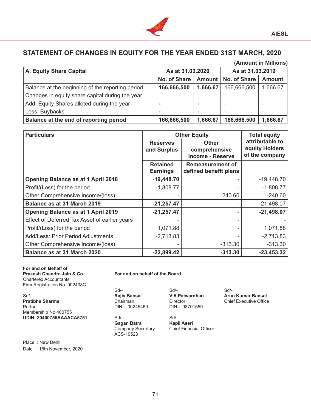

# **STATEMENT OF CHANGES IN EQUITY FOR THE YEAR ENDED 31ST MARCH, 2020**

| (Amount in Millions) |  |  |  |
|----------------------|--|--|--|
|----------------------|--|--|--|

| <b>A. Equity Share Capital</b>                   | As at 31.03.2020 |          | As at 31.03.2019 |               |  |
|--------------------------------------------------|------------------|----------|------------------|---------------|--|
|                                                  | No. of Share     | Amount   | No. of Share     | <b>Amount</b> |  |
| Balance at the beginning of the reporting period | 166,666,500      | 1,666.67 | 166,666,500      | 1,666.67      |  |
| Changes in equity share capital during the year  |                  |          |                  |               |  |
| Add: Equity Shares alloted during the year       |                  |          |                  |               |  |
| Less: Buybacks                                   |                  |          |                  |               |  |
| Balance at the end of reporting period           | 166,666,500      | 1,666.67 | 166,666,500      | 1,666.67      |  |

| <b>Particulars</b>                            |                                    | <b>Other Equity</b>                              |                                   |  |  |  |
|-----------------------------------------------|------------------------------------|--------------------------------------------------|-----------------------------------|--|--|--|
|                                               | <b>Reserves</b><br>and Surplus     | <b>Other</b><br>comprehensive                    | attributable to<br>equity Holders |  |  |  |
|                                               |                                    | income - Reserve                                 | of the company                    |  |  |  |
|                                               | <b>Retained</b><br><b>Earnings</b> | <b>Remeasurement of</b><br>defined benefit plans |                                   |  |  |  |
| <b>Opening Balance as at 1 April 2018</b>     | $-19,448.70$                       |                                                  | $-19,448.70$                      |  |  |  |
| Profit/(Loss) for the period                  | $-1,808.77$                        |                                                  | $-1,808.77$                       |  |  |  |
| Other Comprehensive Income/(loss)             |                                    | $-240.60$                                        | $-240.60$                         |  |  |  |
| Balance as at 31 March 2019                   | $-21,257.47$                       |                                                  | $-21,498.07$                      |  |  |  |
| <b>Opening Balance as at 1 April 2019</b>     | $-21,257.47$                       |                                                  | $-21,498.07$                      |  |  |  |
| Effect of Deferred Tax Asset of earlier years |                                    |                                                  |                                   |  |  |  |
| Profit/(Loss) for the period                  | 1,071.88                           |                                                  | 1,071.88                          |  |  |  |
| Add/Less: Prior Period Adjustments            | $-2,713.83$                        |                                                  | $-2,713.83$                       |  |  |  |
| Other Comprehensive Income/(loss)             |                                    | $-313.30$                                        | $-313.30$                         |  |  |  |
| Balance as at 31 March 2020                   | $-22,899.42$                       | $-313.30$                                        | $-23,453.32$                      |  |  |  |

**For and on Behalf of** Chartered Accountants Firm Registration No. 002438C

Sd/- **Rajiv Bansal V A Patwardhan Arun Kumar Bansal** Partner DIN - 00245460 Membership No:400755

Place : New Delhi Date: 18th November, 2020 For and on behalf of the Board

**UDIN: 20400755AAAACA5751** Sd/- Sd/- Sd/- Sd/- Sd/- Sd/- Sd/-Company Secretary ACS-19523

 Sd/- Sd/- Sd/- **Praction Sharman Sharman Chief Executive Office<br>
<b>PIN - 08701559** 

**Gagan Batra Kapil Aseri<br>
Company Secretary Chief Financial Officer**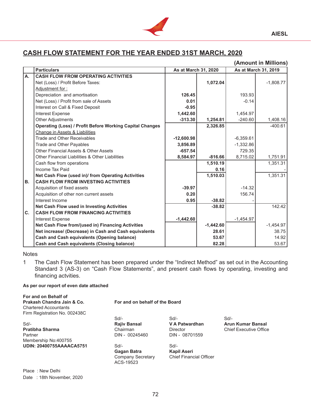

# **CASH FLOW STATEMENT FOR THE YEAR ENDED 31ST MARCH, 2020**

|     |                                                                 |                      |             |             | (Amount in Millions) |
|-----|-----------------------------------------------------------------|----------------------|-------------|-------------|----------------------|
|     | <b>Particulars</b>                                              | As at March 31, 2020 |             |             | As at March 31, 2019 |
| A.  | <b>CASH FLOW FROM OPERATING ACTIVITIES</b>                      |                      |             |             |                      |
|     | Net (Loss) / Profit Before Taxes:                               |                      | 1,072.04    |             | $-1,808.77$          |
|     | Adiustment for:                                                 |                      |             |             |                      |
|     | Depreciation and amortisation                                   | 126.45               |             | 193.93      |                      |
|     | Net (Loss) / Profit from sale of Assets                         | 0.01                 |             | $-0.14$     |                      |
|     | Interest on Call & Fixed Deposit                                | $-0.95$              |             |             |                      |
|     | Interest Expense                                                | 1,442.60             |             | 1,454.97    |                      |
|     | <b>Other Adjustments</b>                                        | $-313.30$            | 1,254.81    | $-240.60$   | 1,408.16             |
|     | <b>Operating (Loss) / Profit Before Working Capital Changes</b> |                      | 2,326.85    |             | $-400.61$            |
|     | Change in Assets & Liabilities                                  |                      |             |             |                      |
|     | Trade and Other Receivables                                     | $-12,600.98$         |             | $-6,359.61$ |                      |
|     | Trade and Other Payables                                        | 3,856.89             |             | $-1,332.86$ |                      |
|     | Other Financial Assets & Other Assets                           | $-657.54$            |             | 729.35      |                      |
|     | Other Financial Liabilities & Other Liabilities                 | 8,584.97             | $-816.66$   | 8,715.02    | 1,751.91             |
|     | Cash flow from operations                                       |                      | 1,510.19    |             | 1,351.31             |
|     | Income Tax Paid                                                 |                      | 0.16        |             |                      |
|     | Net Cash Flow (used in)/ from Operating Activities              |                      | 1,510.03    |             | 1,351.31             |
| IB. | <b>CASH FLOW FROM INVESTING ACTIVITIES</b>                      |                      |             |             |                      |
|     | Acquisition of fixed assets                                     | $-39.97$             |             | $-14.32$    |                      |
|     | Acquisition of other non current assets                         | 0.20                 |             | 156.74      |                      |
|     | Interest Income                                                 | 0.95                 | $-38.82$    |             |                      |
|     | Net Cash Flow used in Investing Activities                      |                      | $-38.82$    |             | 142.42               |
| IC. | <b>CASH FLOW FROM FINANCING ACTIVITIES</b>                      |                      |             |             |                      |
|     | <b>Interest Expense</b>                                         | $-1,442.60$          |             | $-1,454.97$ |                      |
|     | Net Cash Flow from/(used in) Financing Activities               |                      | $-1,442.60$ |             | $-1,454.97$          |
|     | Net increase/ (Decrease) in Cash and Cash equivalents           |                      | 28.61       |             | 38.75                |
|     | <b>Cash and Cash equivalents (Opening balance)</b>              |                      | 53.67       |             | 14.92                |
|     | <b>Cash and Cash equivalents (Closing balance)</b>              |                      | 82.28       |             | 53.67                |

### **Notes**

1 The Cash Flow Statement has been prepared under the "Indirect Method" as set out in the Accounting Standard 3 (AS-3) on "Cash Flow Statements", and present cash flows by operating, investing and financing actvities.

#### **As per our report of even date attached**

| For and on Behalf of<br>Prakash Chandra Jain & Co.<br><b>Chartered Accountants</b><br>Firm Registration No. 002438C | For and on behalf of the Board |                                |                               |  |  |  |  |
|---------------------------------------------------------------------------------------------------------------------|--------------------------------|--------------------------------|-------------------------------|--|--|--|--|
|                                                                                                                     | $Sd$ -                         | $Sd$ -                         | $Sd$ -                        |  |  |  |  |
| $Sd$ -                                                                                                              | <b>Rajiv Bansal</b>            | V A Patwardhan                 | <b>Arun Kumar Bansal</b>      |  |  |  |  |
| <b>Pratibha Sharma</b>                                                                                              | Chairman                       | Director                       | <b>Chief Executive Office</b> |  |  |  |  |
| Partner                                                                                                             | DIN - 00245460                 | DIN - 08701559                 |                               |  |  |  |  |
| Membership No:400755                                                                                                |                                |                                |                               |  |  |  |  |
| <b>UDIN: 20400755AAAACA5751</b>                                                                                     | $Sd$ -                         | $Sd$ -                         |                               |  |  |  |  |
|                                                                                                                     | Gagan Batra                    | <b>Kapil Aseri</b>             |                               |  |  |  |  |
|                                                                                                                     | Company Secretary<br>ACS-19523 | <b>Chief Financial Officer</b> |                               |  |  |  |  |

Place : New Delhi Date: 18th November, 2020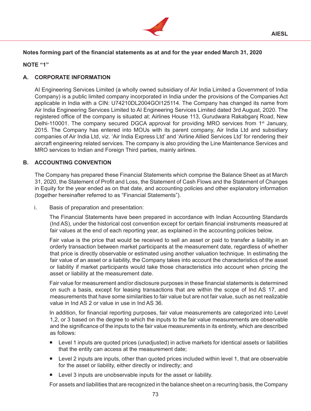

### **Notes forming part of the financial statements as at and for the year ended March 31, 2020**

### **NOTE "1"**

### **A. CORPORATE INFORMATION**

 AI Engineering Services Limited (a wholly owned subsidiary of Air India Limited a Government of India Company) is a public limited company incorporated in India under the provisions of the Companies Act applicable in India with a CIN: U74210DL2004GOI125114. The Company has changed its name from Air India Engineering Services Limited to AI Engineering Services Limited dated 3rd August, 2020. The registered office of the company is situated at: Airlines House 113, Gurudwara Rakabganj Road, New Delhi-110001. The company secured DGCA approval for providing MRO services from 1<sup>st</sup> January, 2015. The Company has entered into MOUs with its parent company, Air India Ltd and subsidiary companies of Air India Ltd, viz. 'Air India Express Ltd' and 'Airline Allied Services Ltd' for rendering their aircraft engineering related services. The company is also providing the Line Maintenance Services and MRO services to Indian and Foreign Third parties, mainly airlines.

### **B. ACCOUNTING CONVENTION**

The Company has prepared these Financial Statements which comprise the Balance Sheet as at March 31, 2020, the Statement of Profit and Loss, the Statement of Cash Flows and the Statement of Changes in Equity for the year ended as on that date, and accounting policies and other explanatory information (together hereinafter referred to as "Financial Statements").

i. Basis of preparation and presentation:

The Financial Statements have been prepared in accordance with Indian Accounting Standards (Ind AS), under the historical cost convention except for certain financial instruments measured at fair values at the end of each reporting year, as explained in the accounting policies below.

Fair value is the price that would be received to sell an asset or paid to transfer a liability in an orderly transaction between market participants at the measurement date, regardless of whether that price is directly observable or estimated using another valuation technique. In estimating the fair value of an asset or a liability, the Company takes into account the characteristics of the asset or liability if market participants would take those characteristics into account when pricing the asset or liability at the measurement date.

 Fair value for measurement and/or disclosure purposes in these financial statements is determined on such a basis, except for leasing transactions that are within the scope of Ind AS 17, and measurements that have some similarities to fair value but are not fair value, such as net realizable value in Ind AS 2 or value in use in Ind AS 36.

 In addition, for financial reporting purposes, fair value measurements are categorized into Level 1,2, or 3 based on the degree to which the inputs to the fair value measurements are observable and the significance of the inputs to the fair value measurements in its entirety, which are described as follows:

- Level 1 inputs are quoted prices (unadjusted) in active markets for identical assets or liabilities that the entity can access at the measurement date;
- **EXECT** Level 2 inputs are inputs, other than quoted prices included within level 1, that are observable for the asset or liability, either directly or indirectly; and
- **Level 3 inputs are unobservable inputs for the asset or liability.**

 For assets and liabilities that are recognized in the balance sheet on a recurring basis, the Company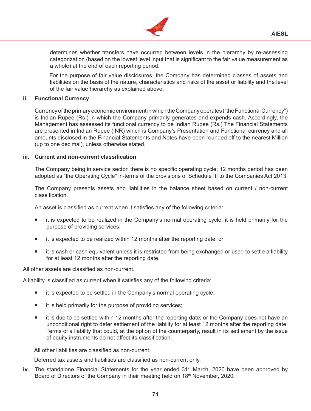

For the purpose of fair value disclosures, the Company has determined classes of assets and liabilities on the basis of the nature, characteristics and risks of the asset or liability and the level of the fair value hierarchy as explained above.

#### **ii. Functional Currency**

 CurrencyoftheprimaryeconomicenvironmentinwhichtheCompanyoperates("theFunctionalCurrency") is Indian Rupee (Rs.) in which the Company primarily generates and expends cash. Accordingly, the Management has assessed its functional currency to be Indian Rupee (Rs.) The Financial Statements are presented in Indian Rupee (INR) which is Company's Presentation and Functional currency and all amounts disclosed in the Financial Statements and Notes have been rounded off to the nearest Million (up to one decimal), unless otherwise stated.

### **iii. Current and non-current classification**

 The Company being in service sector, there is no specific operating cycle; 12 months period has been adopted as "the Operating Cycle" in-terms of the provisions of Schedule III to the Companies Act 2013.

The Company presents assets and liabilities in the balance sheet based on current / non-current classification.

 An asset is classified as current when it satisfies any of the following criteria:

- **if is expected to be realized in the Company's normal operating cycle. it is held primarily for the** purpose of providing services;
- it is expected to be realized within 12 months after the reporting date; or
- **the it is cash or cash equivalent unless it is restricted from being exchanged or used to settle a liability** for at least 12 months after the reporting date.

All other assets are classified as non-current.

A liability is classified as current when it satisfies any of the following criteria:

- it is expected to be settled in the Company's normal operating cycle;
- **if it is held primarily for the purpose of providing services;**
- $\blacksquare$  it is due to be settled within 12 months after the reporting date; or the Company does not have an unconditional right to defer settlement of the liability for at least 12 months after the reporting date. Terms of a liability that could, at the option of the counterparty, result in its settlement by the issue of equity instruments do not affect its classification.

All other liabilities are classified as non-current.

Deferred tax assets and liabilities are classified as non-current only.

**iv.** The standalone Financial Statements for the year ended 31<sup>st</sup> March, 2020 have been approved by Board of Directors of the Company in their meeting held on 18<sup>th</sup> November, 2020.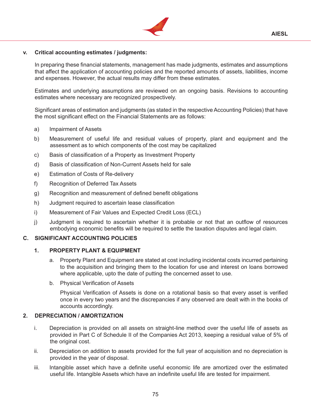

#### **v. Critical accounting estimates / judgments:**

 In preparing these financial statements, management has made judgments, estimates and assumptions that affect the application of accounting policies and the reported amounts of assets, liabilities, income and expenses. However, the actual results may differ from these estimates.

Estimates and underlying assumptions are reviewed on an ongoing basis. Revisions to accounting estimates where necessary are recognized prospectively.

 Significant areas of estimation and judgments (as stated in the respective Accounting Policies) that have the most significant effect on the Financial Statements are as follows:

- a) Impairment of Assets
- b) Measurement of useful life and residual values of property, plant and equipment and the assessment as to which components of the cost may be capitalized
- c) Basis of classification of a Property as Investment Property
- d) Basis of classification of Non-Current Assets held for sale
- e) Estimation of Costs of Re-delivery
- f) Recognition of Deferred Tax Assets
- g) Recognition and measurement of defined benefit obligations
- h) Judgment required to ascertain lease classification
- i) Measurement of Fair Values and Expected Credit Loss (ECL)
- j) Judgment is required to ascertain whether it is probable or not that an outflow of resources embodying economic benefits will be required to settle the taxation disputes and legal claim.

#### **C. SIGNIFICANT ACCOUNTING POLICIES**

#### **1. PROPERTY PLANT & EQUIPMENT**

- a. Property Plant and Equipment are stated at cost including incidental costs incurred pertaining to the acquisition and bringing them to the location for use and interest on loans borrowed where applicable, upto the date of putting the concerned asset to use.
- b. Physical Verification of Assets

 Physical Verification of Assets is done on a rotational basis so that every asset is verified once in every two years and the discrepancies if any observed are dealt with in the books of accounts accordingly.

### **2. DEPRECIATION / AMORTIZATION**

- i. Depreciation is provided on all assets on straight-line method over the useful life of assets as provided in Part C of Schedule II of the Companies Act 2013, keeping a residual value of 5% of the original cost.
- ii. Depreciation on addition to assets provided for the full year of acquisition and no depreciation is provided in the year of disposal.
- iii. Intangible asset which have a definite useful economic life are amortized over the estimated useful life. Intangible Assets which have an indefinite useful life are tested for impairment.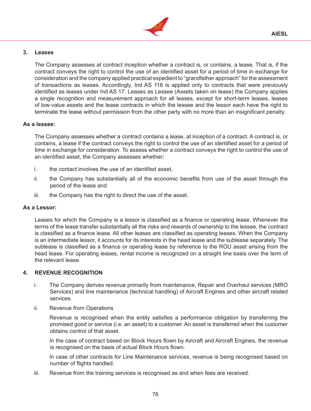

### **3. Leases**

The Company assesses at contract inception whether a contract is, or contains, a lease. That is, if the contract conveys the right to control the use of an identified asset for a period of time in exchange for consideration and the company applied practical expedient to "grandfather approach" for the assessment of transactions as leases. Accordingly, Ind AS 116 is applied only to contracts that were previously identified as leases under Ind AS 17. Leases as Lessee (Assets taken on lease) the Company applies a single recognition and measurement approach for all leases, except for short-term leases, leases of low-value assets and the lease contracts in which the lessee and the lessor each have the right to terminate the lease without permission from the other party with no more than an insignificant penalty.

### **As a lessee:**

The Company assesses whether a contract contains a lease, at inception of a contract. A contract is, or contains, a lease if the contract conveys the right to control the use of an identified asset for a period of time in exchange for consideration. To assess whether a contract conveys the right to control the use of an identified asset, the Company assesses whether**:** 

- i. the contact involves the use of an identified asset.
- ii. the Company has substantially all of the economic benefits from use of the asset through the period of the lease and
- iii. the Company has the right to direct the use of the asset.

#### **As a Lessor:**

 Leases for which the Company is a lessor is classified as a finance or operating lease. Whenever the terms of the lease transfer substantially all the risks and rewards of ownership to the lessee, the contract is classified as a finance lease. All other leases are classified as operating leases. When the Company is an intermediate lessor, it accounts for its interests in the head lease and the sublease separately. The sublease is classified as a finance or operating lease by reference to the ROU asset arising from the head lease. For operating leases, rental income is recognized on a straight line basis over the term of the relevant lease.

### **4. REVENUE RECOGNITION**

- i. The Company derives revenue primarily from maintenance, Repair and Overhaul services (MRO Services) and line maintenance (technical handling) of Aircraft Engines and other aircraft related services.
- ii. Revenue from Operations

 Revenue is recognised when the entity satisfies a performance obligation by transferring the promised good or service (i.e. an asset) to a customer. An asset is transferred when the customer obtains control of that asset.

 In the case of contract based on Block Hours flown by Aircraft and Aircraft Engines, the revenue is recognised on the basis of actual Block Hours flown.

 In case of other contracts for Line Maintenance services, revenue is being recognised based on number of flights handled.

iii. Revenue from the training services is recognised as and when fees are received.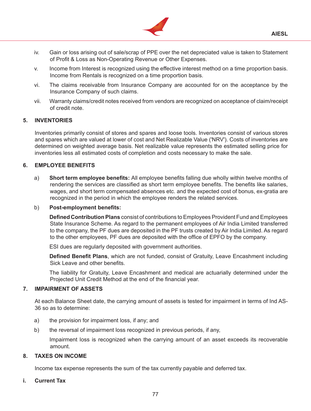

- iv. Gain or loss arising out of sale/scrap of PPE over the net depreciated value is taken to Statement of Profit & Loss as Non-Operating Revenue or Other Expenses.
- v. Income from Interest is recognized using the effective interest method on a time proportion basis. Income from Rentals is recognized on a time proportion basis.
- vi. The claims receivable from Insurance Company are accounted for on the acceptance by the Insurance Company of such claims.
- vii. Warranty claims/credit notes received from vendors are recognized on acceptance of claim/receipt of credit note.

### **5. INVENTORIES**

Inventories primarily consist of stores and spares and loose tools. Inventories consist of various stores and spares which are valued at lower of cost and Net Realizable Value ('NRV'). Costs of inventories are determined on weighted average basis. Net realizable value represents the estimated selling price for inventories less all estimated costs of completion and costs necessary to make the sale.

#### **6. EMPLOYEE BENEFITS**

a) **Short term employee benefits:** All employee benefits falling due wholly within twelve months of rendering the services are classified as short term employee benefits. The benefits like salaries, wages, and short term compensated absences etc. and the expected cost of bonus, ex-gratia are recognized in the period in which the employee renders the related services.

#### b) **Post-employment benefits:**

**Defined Contribution Plans** consist of contributions to Employees Provident Fund and Employees State Insurance Scheme. As regard to the permanent employees of Air India Limited transferred to the company, the PF dues are deposited in the PF trusts created by Air India Limited. As regard to the other employees, PF dues are deposited with the office of EPFO by the company.

ESI dues are regularly deposited with government authorities.

**Defined Benefit Plans**, which are not funded, consist of Gratuity, Leave Encashment including Sick Leave and other benefits.

 The liability for Gratuity, Leave Encashment and medical are actuarially determined under the Projected Unit Credit Method at the end of the financial year.

# **7. IMPAIRMENT OF ASSETS**

At each Balance Sheet date, the carrying amount of assets is tested for impairment in terms of Ind AS-36 so as to determine:

- a) the provision for impairment loss, if any; and
- b) the reversal of impairment loss recognized in previous periods, if any,

 Impairment loss is recognized when the carrying amount of an asset exceeds its recoverable amount.

#### **8. TAXES ON INCOME**

Income tax expense represents the sum of the tax currently payable and deferred tax.

#### **i. Current Tax**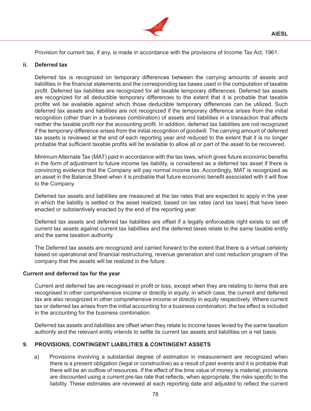

Provision for current tax, if any, is made in accordance with the provisions of Income Tax Act, 1961.

### **ii. Deferred tax**

 Deferred tax is recognized on temporary differences between the carrying amounts of assets and liabilities in the financial statements and the corresponding tax bases used in the computation of taxable profit. Deferred tax liabilities are recognized for all taxable temporary differences. Deferred tax assets are recognized for all deductible temporary differences to the extent that it is probable that taxable profits will be available against which those deductible temporary differences can be utilized. Such deferred tax assets and liabilities are not recognized if the temporary difference arises from the initial recognition (other than in a business combination) of assets and liabilities in a transaction that affects neither the taxable profit nor the accounting profit. In addition, deferred tax liabilities are not recognized if the temporary difference arises from the initial recognition of goodwill. The carrying amount of deferred tax assets is reviewed at the end of each reporting year and reduced to the extent that it is no longer probable that sufficient taxable profits will be available to allow all or part of the asset to be recovered.

 Minimum Alternate Tax (MAT) paid in accordance with the tax laws, which gives future economic benefits in the form of adjustment to future income tax liability, is considered as a deferred tax asset if there is convincing evidence that the Company will pay normal income tax. Accordingly, MAT is recognized as an asset in the Balance Sheet when it is probable that future economic benefit associated with it will flow to the Company.

Deferred tax assets and liabilities are measured at the tax rates that are expected to apply in the year in which the liability is settled or the asset realized, based on tax rates (and tax laws) that have been enacted or substantively enacted by the end of the reporting year.

Deferred tax assets and deferred tax liabilities are offset if a legally enforceable right exists to set off current tax assets against current tax liabilities and the deferred taxes relate to the same taxable entity and the same taxation authority.

 The Deferred tax assets are recognized and carried forward to the extent that there is a virtual certainty based on operational and financial restructuring, revenue generation and cost reduction program of the company that the assets will be realized in the future.

#### **Current and deferred tax for the year**

 Current and deferred tax are recognised in profit or loss, except when they are relating to items that are recognised in other comprehensive income or directly in equity, in which case, the current and deferred tax are also recognized in other comprehensive income or directly in equity respectively. Where current tax or deferred tax arises from the initial accounting for a business combination, the tax effect is included in the accounting for the business combination.

Deferred tax assets and liabilities are offset when they relate to income taxes levied by the same taxation authority and the relevant entity intends to settle its current tax assets and liabilities on a net basis.

### **9. PROVISIONS, CONTINGENT LIABILITIES & CONTINGENT ASSETS**

a) Provisions involving a substantial degree of estimation in measurement are recognized when there is a present obligation (legal or constructive) as a result of past events and it is probable that there will be an outflow of resources. If the effect of the time value of money is material, provisions are discounted using a current pre-tax rate that reflects, when appropriate, the risks specific to the liability. These estimates are reviewed at each reporting date and adjusted to reflect the current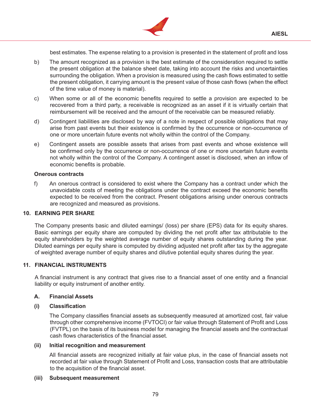

best estimates. The expense relating to a provision is presented in the statement of profit and loss

- b) The amount recognized as a provision is the best estimate of the consideration required to settle the present obligation at the balance sheet date, taking into account the risks and uncertainties surrounding the obligation. When a provision is measured using the cash flows estimated to settle the present obligation, it carrying amount is the present value of those cash flows (when the effect of the time value of money is material).
- c) When some or all of the economic benefits required to settle a provision are expected to be recovered from a third party, a receivable is recognized as an asset if it is virtually certain that reimbursement will be received and the amount of the receivable can be measured reliably.
- d) Contingent liabilities are disclosed by way of a note in respect of possible obligations that may arise from past events but their existence is confirmed by the occurrence or non-occurrence of one or more uncertain future events not wholly within the control of the Company.
- e) Contingent assets are possible assets that arises from past events and whose existence will be confirmed only by the occurrence or non-occurrence of one or more uncertain future events not wholly within the control of the Company. A contingent asset is disclosed, when an inflow of economic benefits is probable.

#### **Onerous contracts**

f) An onerous contract is considered to exist where the Company has a contract under which the unavoidable costs of meeting the obligations under the contract exceed the economic benefits expected to be received from the contract. Present obligations arising under onerous contracts are recognized and measured as provisions.

### **10. EARNING PER SHARE**

The Company presents basic and diluted earnings/ (loss) per share (EPS) data for its equity shares. Basic earnings per equity share are computed by dividing the net profit after tax attributable to the equity shareholders by the weighted average number of equity shares outstanding during the year. Diluted earnings per equity share is computed by dividing adjusted net profit after tax by the aggregate of weighted average number of equity shares and dilutive potential equity shares during the year.

### **11. FINANCIAL INSTRUMENTS**

A financial instrument is any contract that gives rise to a financial asset of one entity and a financial liability or equity instrument of another entity.

### **A. Financial Assets**

### **(i) Classification**

 The Company classifies financial assets as subsequently measured at amortized cost, fair value through other comprehensive income (FVTOCI) or fair value through Statement of Profit and Loss (FVTPL) on the basis of its business model for managing the financial assets and the contractual cash flows characteristics of the financial asset.

#### **(ii) Initial recognition and measurement**

 All financial assets are recognized initially at fair value plus, in the case of financial assets not recorded at fair value through Statement of Profit and Loss, transaction costs that are attributable to the acquisition of the financial asset.

#### **(iii) Subsequent measurement**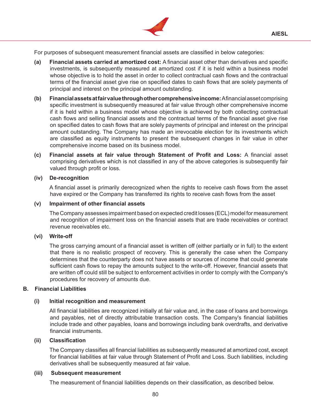

For purposes of subsequent measurement financial assets are classified in below categories:

- **(a) Financial assets carried at amortized cost:** A financial asset other than derivatives and specific investments, is subsequently measured at amortized cost if it is held within a business model whose objective is to hold the asset in order to collect contractual cash flows and the contractual terms of the financial asset give rise on specified dates to cash flows that are solely payments of principal and interest on the principal amount outstanding.
- **(b) Financial assets at fair value through other comprehensive income:** Afinancialassetcomprising specific investment is subsequently measured at fair value through other comprehensive income if it is held within a business model whose objective is achieved by both collecting contractual cash flows and selling financial assets and the contractual terms of the financial asset give rise on specified dates to cash flows that are solely payments of principal and interest on the principal amount outstanding. The Company has made an irrevocable election for its investments which are classified as equity instruments to present the subsequent changes in fair value in other comprehensive income based on its business model.
- **(c) Financial assets at fair value through Statement of Profit and Loss:** A financial asset comprising derivatives which is not classified in any of the above categories is subsequently fair valued through profit or loss.

### **(iv) De-recognition**

 A financial asset is primarily derecognized when the rights to receive cash flows from the asset have expired or the Company has transferred its rights to receive cash flows from the asset

### **(v) Impairment of other financial assets**

 The Company assesses impairment based on expected credit losses (ECL) model for measurement and recognition of impairment loss on the financial assets that are trade receivables or contract revenue receivables etc.

#### **(vi) Write-off**

 The gross carrying amount of a financial asset is written off (either partially or in full) to the extent that there is no realistic prospect of recovery. This is generally the case when the Company determines that the counterparty does not have assets or sources of income that could generate sufficient cash flows to repay the amounts subject to the write-off. However, financial assets that are written off could still be subject to enforcement activities in order to comply with the Company's procedures for recovery of amounts due.

### **B. Financial Liabilities**

### **(i) Initial recognition and measurement**

 All financial liabilities are recognized initially at fair value and, in the case of loans and borrowings and payables, net of directly attributable transaction costs. The Company's financial liabilities include trade and other payables, loans and borrowings including bank overdrafts, and derivative financial instruments.

### **(ii) Classification**

 The Company classifies all financial liabilities as subsequently measured at amortized cost, except for financial liabilities at fair value through Statement of Profit and Loss. Such liabilities, including derivatives shall be subsequently measured at fair value.

#### **(iii) Subsequent measurement**

 The measurement of financial liabilities depends on their classification, as described below.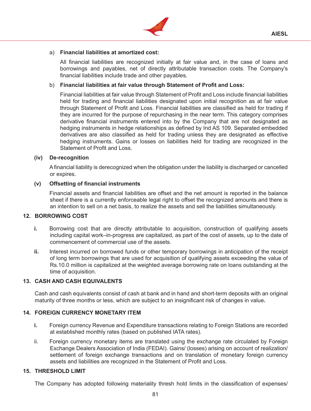

#### a) **Financial liabilities at amortized cost:**

 All financial liabilities are recognized initially at fair value and, in the case of loans and borrowings and payables, net of directly attributable transaction costs. The Company's financial liabilities include trade and other payables.

### b) **Financial liabilities at fair value through Statement of Profit and Loss:**

Financial liabilities at fair value through Statement of Profit and Loss include financial liabilities held for trading and financial liabilities designated upon initial recognition as at fair value through Statement of Profit and Loss. Financial liabilities are classified as held for trading if they are incurred for the purpose of repurchasing in the near term. This category comprises derivative financial instruments entered into by the Company that are not designated as hedging instruments in hedge relationships as defined by Ind AS 109. Separated embedded derivatives are also classified as held for trading unless they are designated as effective hedging instruments. Gains or losses on liabilities held for trading are recognized in the Statement of Profit and Loss.

#### **(iv) De-recognition**

 Afinancial liability is derecognized when the obligation under the liability is discharged or cancelled or expires.

### **(v) Offsetting of financial instruments**

 Financial assets and financial liabilities are offset and the net amount is reported in the balance sheet if there is a currently enforceable legal right to offset the recognized amounts and there is an intention to sell on a net basis, to realize the assets and sell the liabilities simultaneously.

### **12. BORROWING COST**

- **i.** Borrowing cost that are directly attributable to acquisition, construction of qualifying assets including capital work–in-progress are capitalized, as part of the cost of assets, up to the date of commencement of commercial use of the assets.
- **ii.** Interest incurred on borrowed funds or other temporary borrowings in anticipation of the receipt of long term borrowings that are used for acquisition of qualifying assets exceeding the value of Rs.10.0 million is capitalized at the weighted average borrowing rate on loans outstanding at the time of acquisition.

### **13. CASH AND CASH EQUIVALENTS**

Cash and cash equivalents consist of cash at bank and in hand and short-term deposits with an original maturity of three months or less, which are subject to an insignificant risk of changes in value**.**

#### **14. FOREIGN CURRENCY MONETARY ITEM**

- **i.** Foreign currency Revenue and Expenditure transactions relating to Foreign Stations are recorded at established monthly rates (based on published IATA rates).
- ii. Foreign currency monetary items are translated using the exchange rate circulated by Foreign Exchange Dealers Association of India (FEDAI). Gains/ (losses) arising on account of realization/ settlement of foreign exchange transactions and on translation of monetary foreign currency assets and liabilities are recognized in the Statement of Profit and Loss.

#### **15. THRESHOLD LIMIT**

 The Company has adopted following materiality thresh hold limits in the classification of expenses/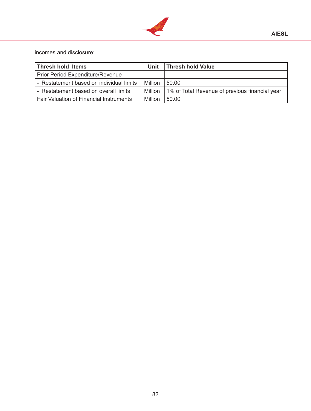

incomes and disclosure:

| Thresh hold Items                              | Unit           | <b>Thresh hold Value</b>                       |
|------------------------------------------------|----------------|------------------------------------------------|
| <b>Prior Period Expenditure/Revenue</b>        |                |                                                |
| - Restatement based on individual limits       | <b>Million</b> | 150.00                                         |
| - Restatement based on overall limits          | Million        | 1% of Total Revenue of previous financial year |
| <b>Fair Valuation of Financial Instruments</b> | Million        | 50.00                                          |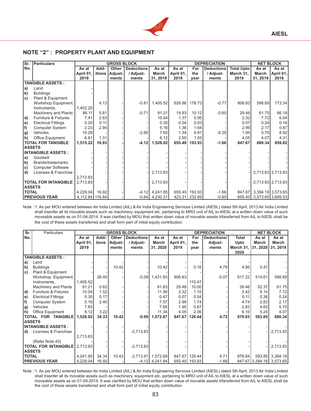

#### **NOTE "2" : PROPERTY PLANT AND EQUIPMENT**

| Sr.          | <b>Particulars</b>          |                 |        | <b>GROSS BLOCK</b> |                   |                  |           |                 | <b>DEPRECIATION</b> |                   | <b>NET BLOCK</b>         |                   |
|--------------|-----------------------------|-----------------|--------|--------------------|-------------------|------------------|-----------|-----------------|---------------------|-------------------|--------------------------|-------------------|
| lNo.         |                             | As at           | Add-   | Other              | <b>Deductions</b> | As at            | As at     | For             | <b>Deductions</b>   | <b>Total Upto</b> | As at                    | As at             |
|              |                             | April 01,       | itions | Adjust-            | / Adjust-         | March            | April 01, | the             | / Adjust-           | March 31.         | March                    | April 01,         |
|              |                             | 2018            |        | ments              | ments             | 31, 2019         | 2018      | vear            | ments               | 2019              | 31, 2019                 | 2018              |
|              | <b>TANGIBLE ASSETS:</b>     |                 |        |                    |                   |                  |           |                 |                     |                   |                          |                   |
| la)          | Land                        |                 |        |                    |                   |                  |           |                 |                     |                   |                          |                   |
| b)           | <b>Buildings</b>            |                 |        |                    |                   |                  |           |                 |                     |                   |                          |                   |
| lc)          | Plant & Equipment           |                 |        |                    |                   |                  |           |                 |                     |                   |                          |                   |
|              | Workshop Equipment,         |                 | 4.13   |                    | $-0.81$           | 1,405.52         |           | 628.86 178.73   | $-0.77$             | 806.83            | 598.69                   | 773.34            |
|              | Instruments.                | 1,402.20        |        |                    |                   |                  |           |                 |                     |                   |                          |                   |
|              | Machinery and Plants        | 86.11           | 5.81   |                    | $-0.71$           | 91.21            | 19.93     | 10.12           | $-0.60$             | 29.46             | 61.75                    | 66.18             |
| d)           | Furniture & Fixtures        | 7.41            | 2.63   |                    |                   | 10.04            | 1.37      | 0.95            |                     | 2.32              | 7.72                     | 6.04              |
| le)          | <b>Electrical Fittings</b>  | 0.20            | 0.11   |                    |                   | 0.30             | 0.04      | 0.03            |                     | 0.07              | 0.24                     | 0.16              |
| f)           | Computer System             | 2.23            | 2.94   |                    |                   | 5.16             | 1.36      | 1.64            |                     | 2.99              | 2.17                     | 0.87              |
| g)           | <b>Vehicles</b>             | 10.26           |        |                    | $-2.60$           | 7.65             | 1.34      | 0.91            | $-0.29$             | 1.95              | 5.70                     | 8.92              |
| h)           | Office Equipment            | 6.81            | 1.31   |                    |                   | 8.12             | 2.50      | 1.55            |                     | 4.05              | 4.07                     | 4.31              |
|              | <b>TOTAL FOR TANGIBLE</b>   | 1,515.22        | 16.93  |                    | $-4.12$           | 1,528.02         | 655.40    | 193.93          | $-1.66$             | 847.67            | 680.34                   | 859.82            |
|              | <b>ASSETS</b>               |                 |        |                    |                   |                  |           |                 |                     |                   |                          |                   |
|              | <b>INTANGIBLE ASSETS :</b>  |                 |        |                    |                   |                  |           |                 |                     |                   |                          |                   |
| la)          | Goodwill                    |                 |        |                    |                   |                  |           |                 |                     |                   |                          |                   |
| b)           | Brands/trademarks           |                 |        |                    |                   |                  |           |                 |                     |                   |                          |                   |
| lc)          | <b>Computer Software</b>    |                 |        |                    |                   |                  |           |                 |                     |                   |                          |                   |
| d)           | Licenses & Franchise        |                 |        |                    |                   | 2,713.83         |           |                 |                     |                   |                          | 2,713.83 2,713.83 |
|              |                             | 2,713.83        |        |                    |                   |                  |           |                 |                     |                   |                          |                   |
|              | <b>TOTAL FOR INTANGIBLE</b> | 2,713.83        |        |                    |                   | 2,713.83         |           |                 |                     |                   |                          | 2,713.83 2,713.83 |
|              | <b>ASSETS</b>               |                 |        |                    |                   |                  |           |                 |                     |                   |                          |                   |
| <b>TOTAL</b> |                             | 4,229.04        | 16.92  |                    | $-4.12$           | 4,241.85         |           | 655.40   193.93 | $-1.66$             | 847.67            |                          | 3,394.18 3,573.65 |
|              | <b>PREVIOUS YEAR</b>        | 4,112.84 116.84 |        |                    |                   | $-0.64$ 4,230.31 |           | 423.31 232.69   | $-0.60$             |                   | 655.40 3,573.65 3,689.53 |                   |

Note : 1. As per MOU entered between Air India Limited (AIL) & Air India Engineering Services Limited (AIESL) dated 5th April, 2013 Air India Limited shall trasnfer all its movable assets such as machinery, equipment etc. pertaining to MRO unit of AIL to AIESL at a written down value of such moveable assets as on 01-04-2014. It was clarified by MOU that written down value of movable assets trfansferred from AIL to AIESL shall be the cost of these assets transferred and shall form part of initial equity contribution.

| Sr.          | <b>Particulars</b>            | <b>GROSS BLOCK</b><br><b>DEPRECIATION</b> |       |         |                      |                  |           | <b>NET BLOCK</b> |             |              |          |                          |
|--------------|-------------------------------|-------------------------------------------|-------|---------|----------------------|------------------|-----------|------------------|-------------|--------------|----------|--------------------------|
| No.          |                               | As at                                     | Addi- | Other   | <b>Deductions</b>    | As at            | As at     | For              | Deductions/ | <b>Total</b> | As at    | As at                    |
|              |                               | April 01,                                 | tions | Adjust- | / Adjust-            | March            | April 01, | the              | Adjust-     | Upto         | March    | March                    |
|              |                               | 2019                                      |       | ments   | ments                | 31, 2020         | 2019      | year             | ments       | March 31,    | 31, 2020 | 31, 2019                 |
|              |                               |                                           |       |         |                      |                  |           |                  |             | 2020         |          |                          |
|              | <b>TANGIBLE ASSETS:</b>       |                                           |       |         |                      |                  |           |                  |             |              |          |                          |
| la)          | Land                          |                                           |       |         |                      |                  |           |                  |             |              |          |                          |
| b)           | <b>Buildings</b>              |                                           |       | 10.42   |                      | 10.42            |           | 0.16             | 4.79        | 4.95         | 5.47     |                          |
| lc)          | Plant & Equipment             |                                           |       |         |                      |                  |           |                  |             |              |          |                          |
|              | Workshop Equipment,           |                                           | 26.40 |         | $-0.09$              | 1,431.83         | 806.83    |                  | $-0.07$     | 917.22       | 514.61   | 598.69                   |
|              | Instruments,                  | 1,405.52                                  |       |         |                      |                  |           | 110.47           |             |              |          |                          |
|              | Machinery and Plants          | 91.21                                     | 0.62  |         |                      | 91.83            | 29.46     | 10.00            |             | 39.46        | 52.37    | 61.75                    |
| d)           | Furniture & Fixtures          | 10.04                                     | 1.52  |         |                      | 11.56            | 2.32      | 1.10             |             | 3.42         | 8.14     | 7.72                     |
| le)          | <b>Electrical Fittings</b>    | 0.30                                      | 0.17  |         |                      | 0.47             | 0.07      | 0.04             |             | 0.11         | 0.36     | 0.24                     |
| f)           | <b>Computer System</b>        | 5.16                                      | 2.40  |         |                      | 7.57             | 2.99      | 1.74             |             | 4.74         | 2.83     | 2.17                     |
| lg)          | Vehicles                      | 7.65                                      |       |         |                      | 7.65             | 1.95      | 0.87             |             | 2.83         | 4.83     | 5.70                     |
| h)           | Office Equipment              | 8.12                                      | 3.22  |         |                      | 11.34            | 4.05      | 2.06             |             | 6.10         | 5.24     | 4.07                     |
|              | TOTAL FOR TANGIBLE 1,528.02   |                                           | 34.33 | 10.42   | $-0.09$              | 1,572.67         | 847.67    | 126.44           | 4.72        | 978.83       | 593.85   | 680.34                   |
|              | <b>ASSETS</b>                 |                                           |       |         |                      |                  |           |                  |             |              |          |                          |
|              | <b>INTANGIBLE ASSETS :</b>    |                                           |       |         |                      |                  |           |                  |             |              |          |                          |
| d)           | Licenses & Franchise          |                                           |       |         | $-2,713.83$          |                  |           |                  |             |              |          | 2,713.83                 |
|              |                               | 2,713.83                                  |       |         |                      |                  |           |                  |             |              |          |                          |
|              | (Refer Note 43)               |                                           |       |         |                      |                  |           |                  |             |              |          |                          |
|              | TOTAL FOR INTANGIBLE 2,713.83 |                                           |       |         | $-2,713.83$          |                  |           |                  |             |              |          | 2,713.83                 |
|              | <b>ASSETS</b>                 |                                           |       |         |                      |                  |           |                  |             |              |          |                          |
| <b>TOTAL</b> |                               | 4,241.85                                  | 34.34 | 10.42   | -2,713.91   1,572.69 |                  |           | 847.67 126.44    | 4.71        | 978.84       |          | 593.85 3.394.18          |
|              | <b>PREVIOUS YEAR</b>          | 4,229.04                                  | 16.92 |         |                      | $-4.12$ 4,241.84 |           | 655.40   193.93  | $-1.66$     |              |          | 847.67 3,394.18 3,573.65 |

Note : 1. As per MOU entered between Air India Limited (AIL) & Air India Engineering Services Limited (AIESL) dated 5th April, 2013 Air India Limited shall trasnfer all its movable assets such as machinery, equipment etc. pertaining to MRO unit of AIL to AIESL at a written down value of such moveable assets as on 01-04-2014. It was clarified by MOU that written down value of movable assets trfansferred from AIL to AIESL shall be the cost of these assets transferred and shall form part of initial equity contribution.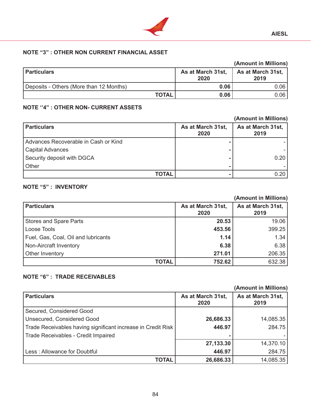

# **NOTE "3" : OTHER NON CURRENT FINANCIAL ASSET**

|                                         |                           | (Amount in Millions)      |
|-----------------------------------------|---------------------------|---------------------------|
| <b>Particulars</b>                      | As at March 31st,<br>2020 | As at March 31st,<br>2019 |
| Deposits - Others (More than 12 Months) | 0.06                      | 0.06'                     |
| <b>TOTAL</b>                            | 0.06                      | 0.06                      |

### **NOTE ''4" : OTHER NON- CURRENT ASSETS**

|                                      |                           | (Amount in Millions)      |
|--------------------------------------|---------------------------|---------------------------|
| <b>Particulars</b>                   | As at March 31st,<br>2020 | As at March 31st,<br>2019 |
| Advances Recoverable in Cash or Kind |                           |                           |
| <b>Capital Advances</b>              |                           |                           |
| Security deposit with DGCA           |                           | 0.201                     |
| Other                                |                           |                           |
| <b>TOTAL</b>                         |                           | 0.20                      |

### **NOTE "5" : INVENTORY**

|                                     |       |                           | (Amount in Millions)      |
|-------------------------------------|-------|---------------------------|---------------------------|
| <b>Particulars</b>                  |       | As at March 31st,<br>2020 | As at March 31st,<br>2019 |
| <b>Stores and Spare Parts</b>       |       | 20.53                     | 19.06                     |
| Loose Tools                         |       | 453.56                    | 399.25                    |
| Fuel, Gas, Coal, Oil and lubricants |       | 1.14                      | 1.34                      |
| Non-Aircraft Inventory              |       | 6.38                      | 6.38                      |
| Other Inventory                     |       | 271.01                    | 206.35                    |
|                                     | TOTAL | 752.62                    | 632.38                    |

# **NOTE "6" : TRADE RECEIVABLES**

| (Amount in Millions) |  |  |
|----------------------|--|--|
|----------------------|--|--|

| <b>Particulars</b>                                           | As at March 31st,<br>2020 | As at March 31st,<br>2019 |
|--------------------------------------------------------------|---------------------------|---------------------------|
| Secured, Considered Good                                     |                           |                           |
| Unsecured, Considered Good                                   | 26,686.33                 | 14,085.35                 |
| Trade Receivables having significant increase in Credit Risk | 446.97                    | 284.75                    |
| Trade Receivables - Credit Impaired                          |                           |                           |
|                                                              | 27,133.30                 | 14,370.10                 |
| Less: Allowance for Doubtful                                 | 446.97                    | 284.75                    |
| <b>TOTAL</b>                                                 | 26,686.33                 | 14,085.35                 |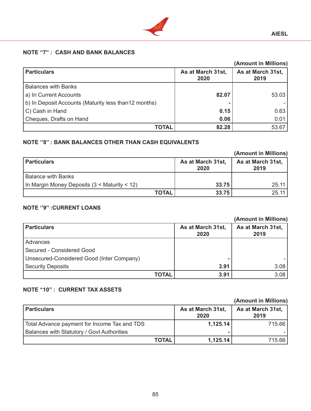

# **NOTE "7" : CASH AND BANK BALANCES**

|                                                       |                           | (Amount in Millions)      |
|-------------------------------------------------------|---------------------------|---------------------------|
| <b>Particulars</b>                                    | As at March 31st,<br>2020 | As at March 31st,<br>2019 |
| <b>Balances with Banks</b>                            |                           |                           |
| a) In Current Accounts                                | 82.07                     | 53.03                     |
| b) In Deposit Accounts (Maturity less than 12 months) |                           |                           |
| C) Cash in Hand                                       | 0.15                      | 0.63                      |
| Cheques, Drafts on Hand                               | 0.06                      | 0.01                      |
| <b>TOTAL</b>                                          | 82.28                     | 53.67                     |

# **NOTE ''8'' : BANK BALANCES OTHER THAN CASH EQUIVALENTS**

|                                                    | (Amount in Millions)      |                           |
|----------------------------------------------------|---------------------------|---------------------------|
| <b>Particulars</b>                                 | As at March 31st,<br>2020 | As at March 31st,<br>2019 |
| <b>Balance with Banks</b>                          |                           |                           |
| In Margin Money Deposits $(3 \lt Maturity \lt 12)$ | 33.75                     | 25.11                     |
| <b>TOTAL</b>                                       | 33.75                     | 25.11                     |

### **NOTE ''9'' :CURRENT LOANS**

|                                           |                           | (Amount in Millions)      |
|-------------------------------------------|---------------------------|---------------------------|
| <b>Particulars</b>                        | As at March 31st,<br>2020 | As at March 31st,<br>2019 |
| Advances                                  |                           |                           |
| Secured - Considered Good                 |                           |                           |
| Unsecured-Considered Good (Inter Company) |                           |                           |
| <b>Security Deposits</b>                  | 3.91                      | 3.08                      |
| <b>TOTAL</b>                              | 3.91                      | 3.08                      |

### **NOTE "10" : CURRENT TAX ASSETS**

|                                              |                           | (Amount in Millions)      |
|----------------------------------------------|---------------------------|---------------------------|
| <b>Particulars</b>                           | As at March 31st,<br>2020 | As at March 31st,<br>2019 |
| Total Advance payment for Income Tax and TDS | 1,125.14                  | 715.66                    |
| Balances with Statutory / Govt Authorities   |                           |                           |
| <b>TOTAL</b>                                 | 1,125.14                  | 715.66                    |

# **(Amount in Millions)**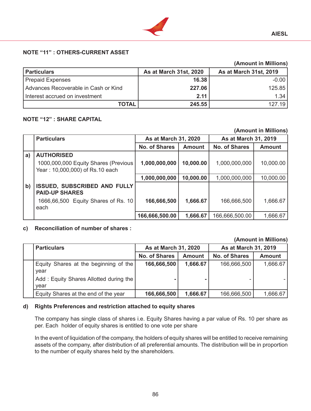

# **NOTE "11" : OTHERS-CURRENT ASSET**

|                                      |                        | (Amount in Millions)          |
|--------------------------------------|------------------------|-------------------------------|
| <b>Particulars</b>                   | As at March 31st, 2020 | <b>As at March 31st, 2019</b> |
| <b>Prepaid Expenses</b>              | 16.38                  | $-0.00$                       |
| Advances Recoverable in Cash or Kind | 227.06                 | 125.85                        |
| Interest accrued on investment       | 2.11                   | 1.34                          |
| <b>TOTAL</b>                         | 245.55                 | 127.19                        |

### **NOTE "12" : SHARE CAPITAL**

|              | (Amount in Millions)                                                    |                      |               |                      |               |
|--------------|-------------------------------------------------------------------------|----------------------|---------------|----------------------|---------------|
|              | <b>Particulars</b>                                                      | As at March 31, 2020 |               | As at March 31, 2019 |               |
|              |                                                                         | <b>No. of Shares</b> | <b>Amount</b> | <b>No. of Shares</b> | <b>Amount</b> |
| a)           | <b>AUTHORISED</b>                                                       |                      |               |                      |               |
|              | 1000,000,000 Equity Shares (Previous<br>Year: 10,000,000) of Rs.10 each | 1,000,000,000        | 10,000.00     | 1,000,000,000        | 10,000.00     |
|              |                                                                         | 1,000,000,000        | 10,000.00     | 1,000,000,000        | 10,000.00     |
| $\mathbf{b}$ | <b>ISSUED, SUBSCRIBED AND FULLY</b><br><b>PAID-UP SHARES</b>            |                      |               |                      |               |
|              | 1666,66,500 Equity Shares of Rs. 10<br>each                             | 166,666,500          | 1,666.67      | 166,666,500          | 1,666.67      |
|              |                                                                         | 166,666,500.00       | 1,666.67      | 166,666,500.00       | 1,666.67      |

### **c) Reconciliation of number of shares :**

#### **(Amount in Millions)**

| <b>Particulars</b>                                                                              | As at March 31, 2020 |               | As at March 31, 2019 |               |
|-------------------------------------------------------------------------------------------------|----------------------|---------------|----------------------|---------------|
|                                                                                                 | <b>No. of Shares</b> | <b>Amount</b> | <b>No. of Shares</b> | <b>Amount</b> |
| Equity Shares at the beginning of the<br>year<br>Add: Equity Shares Allotted during the<br>vear | 166,666,500          | 1,666.67      | 166,666,500          | 1,666.67      |
| Equity Shares at the end of the year                                                            | 166,666,500          | 1,666.67      | 166,666,500          | 1,666.67      |

### **d) Rights Preferences and restriction attached to equity shares**

The company has single class of shares i.e. Equity Shares having a par value of Rs. 10 per share as per. Each holder of equity shares is entitled to one vote per share

In the event of liquidation of the company, the holders of equity shares will be entitled to receive remaining assets of the company, after distribution of all preferential amounts. The distribution will be in proportion to the number of equity shares held by the shareholders.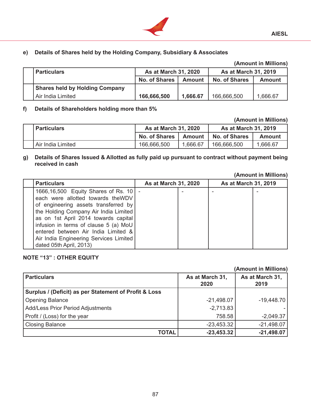

### **e) Details of Shares held by the Holding Company, Subsidiary & Associates**

| (Amount in Millions) |                                       |                      |               |                             |               |
|----------------------|---------------------------------------|----------------------|---------------|-----------------------------|---------------|
|                      | <b>Particulars</b>                    | As at March 31, 2020 |               | <b>As at March 31, 2019</b> |               |
|                      |                                       | <b>No. of Shares</b> | <b>Amount</b> | <b>No. of Shares</b>        | <b>Amount</b> |
|                      | <b>Shares held by Holding Company</b> |                      |               |                             |               |
|                      | Air India Limited                     | 166,666,500          | 1,666.67      | 166,666,500                 | 1,666.67      |

### **f) Details of Shareholders holding more than 5%**

| (Amount in Millions) |                             |               |                             |               |  |
|----------------------|-----------------------------|---------------|-----------------------------|---------------|--|
| <b>Particulars</b>   | <b>As at March 31, 2020</b> |               | <b>As at March 31, 2019</b> |               |  |
|                      | <b>No. of Shares</b>        | <b>Amount</b> | <b>No. of Shares</b>        | <b>Amount</b> |  |
| Air India Limited    | 166,666,500                 | 1.666.67      | 166,666,500                 | 1,666.67      |  |

## **g) Details of Shares Issued & Allotted as fully paid up pursuant to contract without payment being received in cash**

# **(Amount in Millions)**

| <b>Particulars</b>                                                                                                                                                                                                                                                                       | As at March 31, 2020 | As at March 31, 2019 |  |
|------------------------------------------------------------------------------------------------------------------------------------------------------------------------------------------------------------------------------------------------------------------------------------------|----------------------|----------------------|--|
| 1666, 16, 500 Equity Shares of Rs. 10   -<br>each were allotted towards the WDV<br>of engineering assets transferred by<br>the Holding Company Air India Limited<br>as on 1st April 2014 towards capital<br>infusion in terms of clause 5 (a) MoU<br>entered between Air India Limited & |                      |                      |  |
| Air India Engineering Services Limited<br>dated 05th April, 2013)                                                                                                                                                                                                                        |                      |                      |  |

### **NOTE "13" : OTHER EQUITY**

|                                                       |                         | (Amount in Millions)    |
|-------------------------------------------------------|-------------------------|-------------------------|
| <b>Particulars</b>                                    | As at March 31,<br>2020 | As at March 31,<br>2019 |
| Surplus / (Deficit) as per Statement of Profit & Loss |                         |                         |
| <b>Opening Balance</b>                                | $-21,498.07$            | $-19,448.70$            |
| Add/Less Prior Period Adjustments                     | $-2,713.83$             |                         |
| Profit / (Loss) for the year                          | 758.58                  | $-2,049.37$             |
| <b>Closing Balance</b>                                | $-23,453.32$            | $-21,498.07$            |
| <b>TOTAL</b>                                          | $-23,453.32$            | $-21,498.07$            |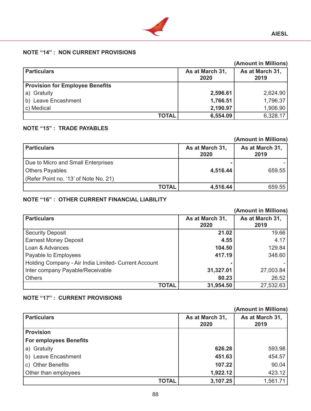

# **NOTE "14" : NON CURRENT PROVISIONS**

|                                        |              |                         | (Amount in Millions)    |
|----------------------------------------|--------------|-------------------------|-------------------------|
| <b>Particulars</b>                     |              | As at March 31,<br>2020 | As at March 31,<br>2019 |
| <b>Provision for Employee Benefits</b> |              |                         |                         |
| a) Gratuity                            |              | 2,596.61                | 2,624.90                |
| b) Leave Encashment                    |              | 1,766.51                | 1,796.37                |
| c) Medical                             |              | 2,190.97                | 1,906.90                |
|                                        | <b>TOTAL</b> | 6,554.09                | 6,328.17                |

### **NOTE "15" : TRADE PAYABLES**

#### **(Amount in Millions) Particulars As at March 31, As at March 31, 2020 As at March 31, 2019**  Due to Micro and Small Enterprises **Fig. 2018 -**  $\blacksquare$ Others Payables 659.55 (Refer Point no. '13' of Note No. 21) **TOTAL** 4,516.44 659.55

# **NOTE "16" : OTHER CURRENT FINANCIAL LIABILITY**

|                                                      |                 | (Amount in Millions) |
|------------------------------------------------------|-----------------|----------------------|
| <b>Particulars</b>                                   | As at March 31, | As at March 31,      |
|                                                      | 2020            | 2019                 |
| <b>Security Deposit</b>                              | 21.02           | 19.66                |
| <b>Earnest Money Deposit</b>                         | 4.55            | 4.17                 |
| Loan & Advances                                      | 104.50          | 129.84               |
| Payable to Employees                                 | 417.19          | 348.60               |
| Holding Company - Air India Limited- Current Account |                 |                      |
| Inter company Payable/Receivable                     | 31,327.01       | 27,003.84            |
| <b>Others</b>                                        | 80.23           | 26.52                |
| <b>TOTAL</b>                                         | 31,954.50       | 27,532.63            |

# **NOTE "17" : CURRENT PROVISIONS**

|                               |              |                         | (Amount in Millions)    |
|-------------------------------|--------------|-------------------------|-------------------------|
| <b>Particulars</b>            |              | As at March 31,<br>2020 | As at March 31,<br>2019 |
| <b>Provision</b>              |              |                         |                         |
| <b>For employees Benefits</b> |              |                         |                         |
| a) Gratuity                   |              | 626.28                  | 593.98                  |
| b) Leave Encashment           |              | 451.63                  | 454.57                  |
| c) Other Benefits             |              | 107.22                  | 90.04                   |
| Other than employees          |              | 1,922.12                | 423.12                  |
|                               | <b>TOTAL</b> | 3,107.25                | 1,561.71                |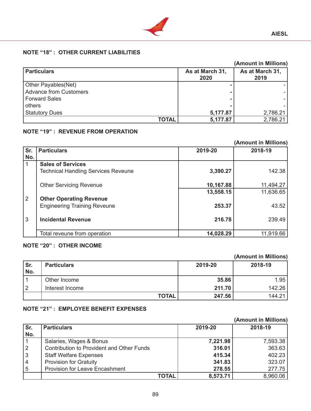

# **NOTE "18" : OTHER CURRENT LIABILITIES**

|                               |              |                         | (Amount in Millions)    |
|-------------------------------|--------------|-------------------------|-------------------------|
| <b>Particulars</b>            |              | As at March 31,<br>2020 | As at March 31,<br>2019 |
| Other Payables (Net)          |              |                         |                         |
| <b>Advance from Customers</b> |              |                         |                         |
| <b>Forward Sales</b>          |              |                         |                         |
| others                        |              |                         |                         |
| <b>Statutory Dues</b>         |              | 5,177.87                | 2,786.21                |
|                               | <b>TOTAL</b> | 5,177.87                | 2,786.21                |

### **NOTE "19" : REVENUE FROM OPERATION**

|           |                                            |           | (Amount in Millions) |
|-----------|--------------------------------------------|-----------|----------------------|
| Sr.       | <b>Particulars</b>                         | 2019-20   | 2018-19              |
| No.       |                                            |           |                      |
| $\vert$ 1 | <b>Sales of Services</b>                   |           |                      |
|           | <b>Technical Handling Services Reveune</b> | 3,390.27  | 142.38               |
|           | <b>Other Servicing Revenue</b>             | 10,167.88 | 11,494.27            |
|           |                                            | 13,558.15 | 11,636.65            |
| $\vert$ 2 | <b>Other Operating Revenue</b>             |           |                      |
|           | <b>Engineering Training Reveune</b>        | 253.37    | 43.52                |
| l 3       | <b>Incidental Revenue</b>                  | 216.78    | 239.49               |
|           | Total reveune from operation               | 14,028.29 | 11,919.66            |

### **NOTE "20" : OTHER INCOME**

|            |                    |         | (Amount in Millions) |
|------------|--------------------|---------|----------------------|
| Sr.<br>No. | <b>Particulars</b> | 2019-20 | 2018-19              |
|            | Other Income       | 35.86   | 1.95                 |
| 2          | Interest Income    | 211.70  | 142.26               |
|            | <b>TOTAL</b>       | 247.56  | 144.21               |

### **NOTE "21" : EMPLOYEE BENEFIT EXPENSES**

|                |                                           |              |          | (Amount in Millions) |
|----------------|-------------------------------------------|--------------|----------|----------------------|
| l Sr.          | <b>Particulars</b>                        |              | 2019-20  | 2018-19              |
| No.            |                                           |              |          |                      |
|                | Salaries, Wages & Bonus                   |              | 7,221.98 | 7,593.38             |
| $\overline{2}$ | Contribution to Provident and Other Funds |              | 316.01   | 363.63               |
| 3              | <b>Staff Welfare Expenses</b>             |              | 415.34   | 402.23               |
| $\overline{4}$ | <b>Provision for Gratuity</b>             |              | 341.83   | 323.07               |
| 5              | <b>Provision for Leave Encashment</b>     |              | 278.55   | 277.75               |
|                |                                           | <b>TOTAL</b> | 8,573.71 | 8,960.06             |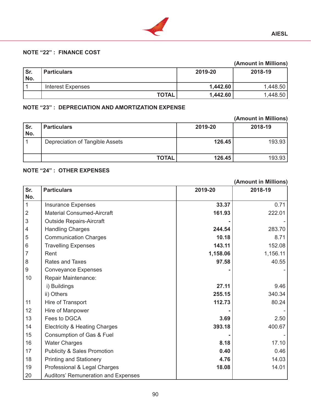

# **NOTE "22" : FINANCE COST**

|     |                          |          | (Amount in Millions) |
|-----|--------------------------|----------|----------------------|
| Sr. | <b>Particulars</b>       | 2019-20  | 2018-19              |
| No. |                          |          |                      |
|     | <b>Interest Expenses</b> | 1,442.60 | 1,448.50             |
|     | <b>TOTAL</b>             | 1,442.60 | 1,448.50             |

### **NOTE "23" : DEPRECIATION AND AMORTIZATION EXPENSE**

|             |                                 |         | (Amount in Millions) |
|-------------|---------------------------------|---------|----------------------|
| ∣Sr.<br>No. | <b>Particulars</b>              | 2019-20 | 2018-19              |
|             | Depreciation of Tangible Assets | 126.45  | 193.93               |
|             | <b>TOTAL</b>                    | 126.45  | 193.93               |

### **NOTE "24" : OTHER EXPENSES**

|                  |                                          |          | (Amount in Millions) |
|------------------|------------------------------------------|----------|----------------------|
| Sr.<br>No.       | <b>Particulars</b>                       | 2019-20  | 2018-19              |
| $\mathbf{1}$     | <b>Insurance Expenses</b>                | 33.37    | 0.71                 |
| $\overline{2}$   | <b>Material Consumed-Aircraft</b>        | 161.93   | 222.01               |
| $\sqrt{3}$       | <b>Outside Repairs-Aircraft</b>          |          |                      |
| 4                | <b>Handling Charges</b>                  | 244.54   | 283.70               |
| 5                | <b>Communication Charges</b>             | 10.18    | 8.71                 |
| $6\,$            | <b>Travelling Expenses</b>               | 143.11   | 152.08               |
| $\overline{7}$   | Rent                                     | 1,158.06 | 1,156.11             |
| 8                | Rates and Taxes                          | 97.58    | 40.55                |
| $\boldsymbol{9}$ | <b>Conveyance Expenses</b>               |          |                      |
| 10               | Repair Maintenance:                      |          |                      |
|                  | i) Buildings                             | 27.11    | 9.46                 |
|                  | ii) Others                               | 255.15   | 340.34               |
| 11               | Hire of Transport                        | 112.73   | 80.24                |
| 12               | Hire of Manpower                         |          |                      |
| 13               | Fees to DGCA                             | 3.69     | 2.50                 |
| 14               | <b>Electricity &amp; Heating Charges</b> | 393.18   | 400.67               |
| 15               | Consumption of Gas & Fuel                |          |                      |
| 16               | <b>Water Charges</b>                     | 8.18     | 17.10                |
| 17               | <b>Publicity &amp; Sales Promotion</b>   | 0.40     | 0.46                 |
| 18               | <b>Printing and Stationery</b>           | 4.76     | 14.03                |
| 19               | Professional & Legal Charges             | 18.08    | 14.01                |
| 20               | Auditors' Remuneration and Expenses      |          |                      |

**AIESL**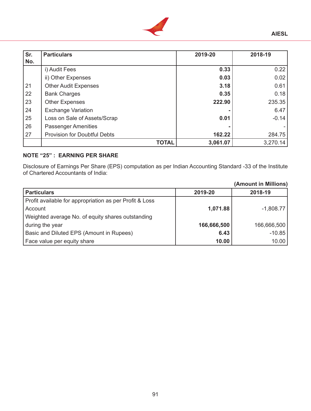

| Sr.<br>No. | <b>Particulars</b>                  | 2019-20  | 2018-19  |
|------------|-------------------------------------|----------|----------|
|            | i) Audit Fees                       | 0.33     | 0.22     |
|            | ii) Other Expenses                  | 0.03     | 0.02     |
| 21         | <b>Other Audit Expenses</b>         | 3.18     | 0.61     |
| 22         | <b>Bank Charges</b>                 | 0.35     | 0.18     |
| 23         | <b>Other Expenses</b>               | 222.90   | 235.35   |
| 24         | <b>Exchange Variation</b>           |          | 6.47     |
| 25         | Loss on Sale of Assets/Scrap        | 0.01     | $-0.14$  |
| 26         | <b>Passenger Amenities</b>          |          |          |
| 27         | <b>Provision for Doubtful Debts</b> | 162.22   | 284.75   |
|            | <b>TOTAL</b>                        | 3,061.07 | 3,270.14 |

### **NOTE "25" : EARNING PER SHARE**

Disclosure of Earnings Per Share (EPS) computation as per Indian Accounting Standard -33 of the Institute of Chartered Accountants of India:

|                                                         |             | (AIIIUUIIL III MIIIIUIIS) |
|---------------------------------------------------------|-------------|---------------------------|
| <b>Particulars</b>                                      | 2019-20     | 2018-19                   |
| Profit available for appropriation as per Profit & Loss |             |                           |
| Account                                                 | 1,071.88    | $-1,808.77$               |
| Weighted average No. of equity shares outstanding       |             |                           |
| during the year                                         | 166,666,500 | 166,666,500               |
| Basic and Diluted EPS (Amount in Rupees)                | 6.43        | $-10.85$                  |
| Face value per equity share                             | 10.00       | 10.00                     |

# **(Amount in Millions)**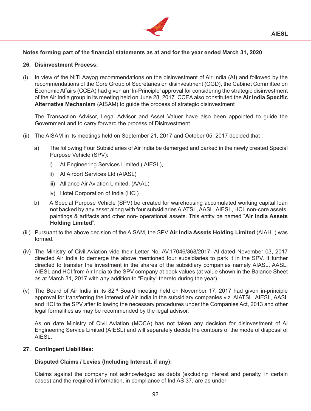

### **Notes forming part of the financial statements as at and for the year ended March 31, 2020**

### **26. Disinvestment Process:**

(i) In view of the NITI Aayog recommendations on the disinvestment of Air India (AI) and followed by the recommendations of the Core Group of Secretaries on disinvestment (CGD), the Cabinet Committee on Economic Affairs (CCEA) had given an 'In-Principle' approval for considering the strategic disinvestment of the Air India group in its meeting held on June 28, 2017. CCEA also constituted the **Air India Specific Alternative Mechanism** (AISAM) to guide the process of strategic disinvestment

 The Transaction Advisor, Legal Advisor and Asset Valuer have also been appointed to guide the Government and to carry forward the process of Disinvestment.

- (ii) The AISAM in its meetings held on September 21, 2017 and October 05, 2017 decided that :
	- a) The following Four Subsidiaries of Air India be demerged and parked in the newly created Special Purpose Vehicle (SPV):
		- i) AI Engineering Services Limited (AIESL),
		- ii) AI Airport Services Ltd (AIASL)
		- iii) Alliance Air Aviation Limited, (AAAL)
		- iv) Hotel Corporation of India (HCI)
	- b) A Special Purpose Vehicle (SPV) be created for warehousing accumulated working capital loan not backed by any asset along with four subsidiaries AIATSL, AASL, AIESL, HCI, non-core assets, paintings & artifacts and other non- operational assets. This entity be named "**Air India Assets Holding Limited**".
- (iii) Pursuant to the above decision of the AISAM, the SPV **Air India Assets Holding Limited** (AIAHL) was formed.
- (iv) The Ministry of Civil Aviation vide their Letter No. AV.17046/368/2017- Al dated November 03, 2017 directed Air India to demerge the above mentioned four subsidiaries to park it in the SPV. It further directed to transfer the investment in the shares of the subsidiary companies namely AIASL, AASL, AIESL and HCI from Air India to the SPV company at book values (at value shown in the Balance Sheet as at March 31, 2017 with any addition to "Equity" thereto during the year)
- (v) The Board of Air India in its 82nd Board meeting held on November 17, 2017 had given in-principle approval for transferring the interest of Air India in the subsidiary companies viz. AIATSL, AIESL, AASL and HCI to the SPV after following the necessary procedures under the Companies Act, 2013 and other legal formalities as may be recommended by the legal advisor.

 As on date Ministry of Civil Aviation (MOCA) has not taken any decision for disinvestment of AI Engineering Service Limited (AIESL) and will separately decide the contours of the mode of disposal of AIESL.

#### **27. Contingent Liabilities:**

### **Disputed Claims / Levies (Including Interest, if any):**

Claims against the company not acknowledged as debts (excluding interest and penalty, in certain cases) and the required information, in compliance of Ind AS 37, are as under: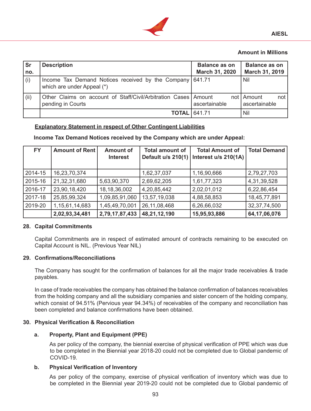

#### **Amount in Millions**

| <b>Sr</b><br>no. | <b>Description</b>                                                                     | <b>Balance as on</b><br>March 31, 2020 | <b>Balance as on</b><br>March 31, 2019 |
|------------------|----------------------------------------------------------------------------------------|----------------------------------------|----------------------------------------|
| (i)              | Income Tax Demand Notices received by the Company 641.71<br>which are under Appeal (*) |                                        | Nil                                    |
| (ii)             | Other Claims on account of Staff/Civil/Arbitration Cases   Amount<br>pending in Courts | ascertainable                          | not   Amount<br>not<br>ascertainable   |
|                  | <b>TOTAL</b> 641.71                                                                    |                                        | Nil                                    |

### **Explanatory Statement in respect of Other Contingent Liabilities**

### **Income Tax Demand Notices received by the Company which are under Appeal:**

| <b>FY</b> | <b>Amount of Rent</b> | <b>Amount of</b><br><b>Interest</b> | <b>Total amount of</b><br>Default u/s 210(1) | <b>Total Amount of</b><br>Interest u/s 210(1A) | <b>Total Demand</b> |
|-----------|-----------------------|-------------------------------------|----------------------------------------------|------------------------------------------------|---------------------|
| 2014-15   | 16,23,70,374          |                                     | 1,62,37,037                                  | 1,16,90,666                                    | 2,79,27,703         |
| 2015-16   | 21,32,31,680          | 5,63,90,370                         | 2,69,62,205                                  | 1,61,77,323                                    | 4,31,39,528         |
| 2016-17   | 23,90,18,420          | 18,18,36,002                        | 4,20,85,442                                  | 2,02,01,012                                    | 6,22,86,454         |
| 2017-18   | 25,85,99,324          | 1,09,85,91,060                      | 13,57,19,038                                 | 4,88,58,853                                    | 18,45,77,891        |
| 2019-20   | 1,15,61,14,683        | 1,45,49,70,001                      | 26, 11, 08, 468                              | 6,26,66,032                                    | 32, 37, 74, 500     |
|           | 2,02,93,34,481        | 2,79,17,87,433                      | 48,21,12,190                                 | 15,95,93,886                                   | 64, 17, 06, 076     |

### **28. Capital Commitments**

Capital Commitments are in respect of estimated amount of contracts remaining to be executed on Capital Account is NIL. (Previous Year NIL)

### **29. Confirmations/Reconciliations**

 The Company has sought for the confirmation of balances for all the major trade receivables & trade payables.

 In case of trade receivables the company has obtained the balance confirmation of balances receivables from the holding company and all the subsidiary companies and sister concern of the holding company, which consist of 94.51% (Pervious year 94.34%) of receivables of the company and reconciliation has been completed and balance confirmations have been obtained.

### **30. Physical Verification & Reconciliation**

### **a. Property, Plant and Equipment (PPE)**

As per policy of the company, the biennial exercise of physical verification of PPE which was due to be completed in the Biennial year 2018-20 could not be completed due to Global pandemic of COVID-19.

### **b. Physical Verification of Inventory**

 As per policy of the company, exercise of physical verification of inventory which was due to be completed in the Biennial year 2019-20 could not be completed due to Global pandemic of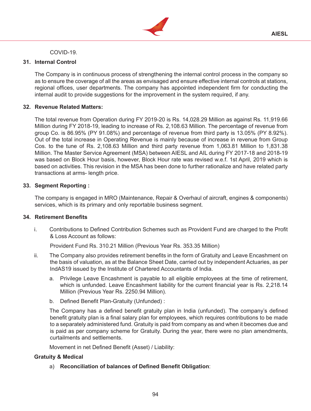

COVID-19.

### **31. Internal Control**

The Company is in continuous process of strengthening the internal control process in the company so as to ensure the coverage of all the areas as envisaged and ensure effective internal controls at stations, regional offices, user departments. The company has appointed independent firm for conducting the internal audit to provide suggestions for the improvement in the system required, if any.

### **32. Revenue Related Matters:**

The total revenue from Operation during FY 2019-20 is Rs. 14,028.29 Million as against Rs. 11,919.66 Million during FY 2018-19, leading to increase of Rs. 2,108.63 Million. The percentage of revenue from group Co. is 86.95% (PY 91.08%) and percentage of revenue from third party is 13.05% (PY 8.92%). Out of the total increase in Operating Revenue is mainly because of increase in revenue from Group Cos. to the tune of Rs. 2,108.63 Million and third party revenue from 1,063.81 Million to 1,831.38 Million. The Master Service Agreement (MSA) between AIESL and AIL during FY 2017-18 and 2018-19 was based on Block Hour basis, however, Block Hour rate was revised w.e.f. 1st April, 2019 which is based on activities. This revision in the MSA has been done to further rationalize and have related party transactions at arms- length price.

### **33. Segment Reporting :**

The company is engaged in MRO (Maintenance, Repair & Overhaul of aircraft, engines & components) services, which is its primary and only reportable business segment.

### **34. Retirement Benefits**

i. Contributions to Defined Contribution Schemes such as Provident Fund are charged to the Profit & Loss Account as follows:

 Provident Fund Rs. 310.21 Million (Previous Year Rs. 353.35 Million)

- ii. The Company also provides retirement benefits in the form of Gratuity and Leave Encashment on the basis of valuation, as at the Balance Sheet Date, carried out by independent Actuaries, as per IndAS19 issued by the Institute of Chartered Accountants of India.
	- a. Privilege Leave Encashment is payable to all eligible employees at the time of retirement, which is unfunded. Leave Encashment liability for the current financial year is Rs. 2,218.14 Million (Previous Year Rs. 2250.94 Million).
	- b. Defined Benefit Plan-Gratuity (Unfunded):

 The Company has a defined benefit gratuity plan in India (unfunded). The company's defined benefit gratuity plan is a final salary plan for employees, which requires contributions to be made to a separately administered fund. Gratuity is paid from company as and when it becomes due and is paid as per company scheme for Gratuity. During the year, there were no plan amendments, curtailments and settlements.

Movement in net Defined Benefit (Asset) / Liability:

### **Gratuity & Medical**

a) **Reconciliation of balances of Defined Benefit Obligation**: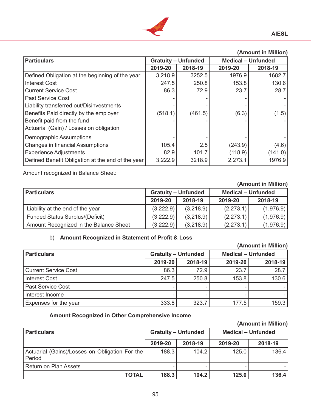

|                                                   |         |                            |         | (Amount in Million)       |  |
|---------------------------------------------------|---------|----------------------------|---------|---------------------------|--|
| <b>Particulars</b>                                |         | <b>Gratuity - Unfunded</b> |         | <b>Medical - Unfunded</b> |  |
|                                                   | 2019-20 | 2018-19                    | 2019-20 | 2018-19                   |  |
| Defined Obligation at the beginning of the year   | 3,218.9 | 3252.5                     | 1976.9  | 1682.7                    |  |
| Interest Cost                                     | 247.5   | 250.8                      | 153.8   | 130.6                     |  |
| <b>Current Service Cost</b>                       | 86.3    | 72.9                       | 23.7    | 28.7                      |  |
| <b>Past Service Cost</b>                          |         |                            |         |                           |  |
| Liability transferred out/Disinvestments          |         |                            |         |                           |  |
| Benefits Paid directly by the employer            | (518.1) | (461.5)                    | (6.3)   | (1.5)                     |  |
| Benefit paid from the fund                        |         |                            |         |                           |  |
| Actuarial (Gain) / Losses on obligation           |         |                            |         |                           |  |
| Demographic Assumptions                           |         |                            |         |                           |  |
| Changes in financial Assumptions                  | 105.4   | 2.5                        | (243.9) | (4.6)                     |  |
| <b>Experience Adjustments</b>                     | 82.9    | 101.7                      | (118.9) | (141.0)                   |  |
| Defined Benefit Obligation at the end of the year | 3,222.9 | 3218.9                     | 2,273.1 | 1976.9                    |  |

Amount recognized in Balance Sheet:

# **(Amount in Million)**

| <b>Particulars</b>                     | <b>Gratuity - Unfunded</b> |           | <b>Medical - Unfunded</b> |           |
|----------------------------------------|----------------------------|-----------|---------------------------|-----------|
|                                        | 2019-20                    | 2018-19   | 2019-20                   | 2018-19   |
| Liability at the end of the year       | (3,222.9)                  | (3,218.9) | (2,273.1)                 | (1,976.9) |
| Funded Status Surplus/(Deficit)        | (3,222.9)                  | (3,218.9) | (2,273.1)                 | (1,976.9) |
| Amount Recognized in the Balance Sheet | (3,222.9)                  | (3,218.9) | (2,273.1)                 | (1,976.9) |

# b) **Amount Recognized in Statement of Profit & Loss**

### **(Amount in Million)**

| <b>Particulars</b>          | <b>Gratuity - Unfunded</b> |         | <b>Medical - Unfunded</b> |         |
|-----------------------------|----------------------------|---------|---------------------------|---------|
|                             | 2019-20                    | 2018-19 | 2019-20                   | 2018-19 |
| <b>Current Service Cost</b> | 86.3                       | 72.9    | 23.7                      | 28.7    |
| <b>Interest Cost</b>        | 247.5                      | 250.8   | 153.8                     | 130.6   |
| <b>Past Service Cost</b>    |                            |         |                           |         |
| Interest Income             |                            |         |                           |         |
| Expenses for the year       | 333.8                      | 323.7   | 177.5                     | 159.3   |

# **Amount Recognized in Other Comprehensive Income**

|                                                          |                            |         |                           | (Amount in Million) |
|----------------------------------------------------------|----------------------------|---------|---------------------------|---------------------|
| <b>Particulars</b>                                       | <b>Gratuity - Unfunded</b> |         | <b>Medical - Unfunded</b> |                     |
|                                                          | 2019-20                    | 2018-19 | 2019-20                   | 2018-19             |
| Actuarial (Gains)/Losses on Obligation For the<br>Period | 188.3                      | 104.2   | 125.0                     | 136.4               |
| <b>Return on Plan Assets</b>                             |                            |         |                           |                     |
| <b>TOTAL</b>                                             | 188.3                      | 104.2   | 125.0                     | 136.4               |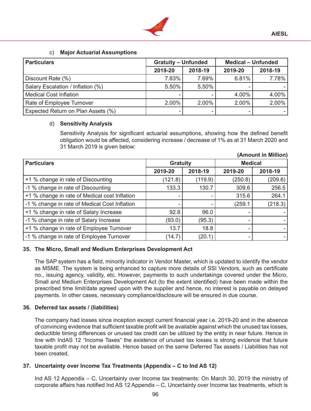## c) **Major Actuarial Assumptions**

| <b>Particulars</b>                 |         | <b>Gratuity - Unfunded</b> |         | <b>Medical - Unfunded</b> |  |
|------------------------------------|---------|----------------------------|---------|---------------------------|--|
|                                    | 2019-20 | 2018-19                    | 2019-20 | 2018-19                   |  |
| Discount Rate (%)                  | 7.83%   | 7.69%                      | 6.81%   | 7.78%                     |  |
| Salary Escalation / Inflation (%)  | 5.50%   | 5.50%                      |         |                           |  |
| <b>Medical Cost Inflation</b>      |         |                            | 4.00%   | 4.00%                     |  |
| Rate of Employee Turnover          | 2.00%   | 2.00%                      | 2.00%   | 2.00%                     |  |
| Expected Return on Plan Assets (%) |         |                            |         |                           |  |

### d) **Sensitivity Analysis**

 Sensitivity Analysis for significant actuarial assumptions, showing how the defined benefit obligation would be affected, considering increase / decrease of 1% as at 31 March 2020 and 31 March 2019 is given below:

|                                               |                 |         |         | (Amount in Million) |  |
|-----------------------------------------------|-----------------|---------|---------|---------------------|--|
| <b>Particulars</b>                            | <b>Gratuity</b> |         |         | <b>Medical</b>      |  |
|                                               | 2019-20         | 2018-19 | 2019-20 | 2018-19             |  |
| +1 % change in rate of Discounting            | (121.8)         | (119.9) | (250.8) | (209.6)             |  |
| -1 % change in rate of Discounting            | 133.3           | 130.7   | 309.6   | 256.5               |  |
| +1 % change in rate of Medical cost Inflation |                 |         | 315.6   | 264.1               |  |
| -1 % change in rate of Medical Cost Inflation |                 |         | (259.1  | (218.3)             |  |
| +1 % change in rate of Salary Increase        | 92.8            | 96.0    |         |                     |  |
| -1 % change in rate of Salary Increase        | (93.0)          | (95.3)  |         |                     |  |
| +1 % change in rate of Employee Turnover      | 13.7            | 18.8    |         |                     |  |
| -1 % change in rate of Employee Turnover      | (14.7)          | (20.1)  |         |                     |  |

# **35. The Micro, Small and Medium Enterprises Development Act**

 The SAP system has a field, minority indicator in Vendor Master, which is updated to identify the vendor as MSME. The system is being enhanced to capture more details of SSI Vendors, such as certificate no., issuing agency, validity, etc. However, payments to such undertakings covered under the Micro, Small and Medium Enterprises Development Act (to the extent identified) have been made within the prescribed time limit/date agreed upon with the supplier and hence, no interest is payable on delayed payments. In other cases, necessary compliance/disclosure will be ensured in due course.

# **36. Deferred tax assets / (liabilities)**

 The company had losses since inception except current financial year i.e. 2019-20 and in the absence of convincing evidence that sufficient taxable profit will be available against which the unused tax losses, deductible timing differences or unused tax credit can be utilized by the entity in near future. Hence in line with IndAS 12 "Income Taxes" the existence of unused tax losses is strong evidence that future taxable profit may not be available. Hence based on the same Deferred Tax assets / Liabilities has not been created.

# **37. Uncertainty over Income Tax Treatments (Appendix – C to Ind AS 12)**

 Ind AS 12 Appendix – C, Uncertainty over Income tax treatments: On March 30, 2019 the ministry of corporate affairs has notified Ind AS 12 Appendix – C, Uncertainty over Income tax treatments, which is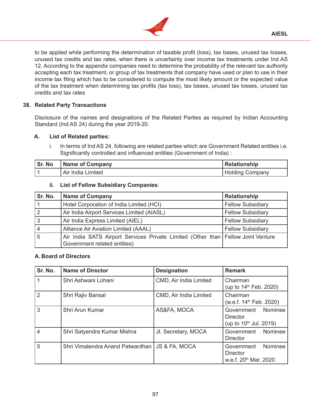

to be applied while performing the determination of taxable profit (loss), tax bases, unused tax losses, unused tax credits and tax rates, when there is uncertainty over income tax treatments under Ind AS 12. According to the appendix companies need to determine the probability of the relevant tax authority accepting each tax treatment, or group of tax treatments that company have used or plan to use in their income tax filing which has to be considered to compute the most likely amount or the expected value of the tax treatment when determining tax profits (tax loss), tax bases, unused tax losses, unused tax credits and tax rates

### **38. Related Party Transactions**

Disclosure of the names and designations of the Related Parties as required by Indian Accounting Standard (Ind AS 24) during the year 2019-20.

#### **A. List of Related parties:**

i. In terms of Ind AS 24, following are related parties which are Government Related entities i.e. Significantly controlled and influenced entities (Government of India) :

| Sr. No | <b>Name of Company</b> | <b>Relationship</b>    |
|--------|------------------------|------------------------|
|        | Air India Limited      | <b>Holding Company</b> |

#### **ii. List of Fellow Subsidiary Companies**:

| Sr. No.        | Name of Company                                                                                                  | <b>Relationship</b>      |
|----------------|------------------------------------------------------------------------------------------------------------------|--------------------------|
|                | Hotel Corporation of India Limited (HCI)                                                                         | <b>Fellow Subsidiary</b> |
| $\overline{2}$ | Air India Airport Services Limited (AIASL)                                                                       | <b>Fellow Subsidiary</b> |
| 3              | Air India Express Limited (AIEL)                                                                                 | <b>Fellow Subsidiary</b> |
| 4              | Alliance Air Aviation Limited (AAAL)                                                                             | <b>Fellow Subsidiary</b> |
| 5              | Air India SATS Airport Services Private Limited (Other than Fellow Joint Venture<br>Government related entities) |                          |

#### **A. Board of Directors**

| Sr. No.        | <b>Name of Director</b>          | <b>Designation</b>     | <b>Remark</b>                                                                 |
|----------------|----------------------------------|------------------------|-------------------------------------------------------------------------------|
|                | Shri Ashwani Lohani              | CMD, Air India Limited | Chairman<br>(up to 14 <sup>th</sup> Feb. 2020)                                |
| $\overline{2}$ | Shri Rajiv Bansal                | CMD, Air India Limited | Chairman<br>(w.e.f. 14 <sup>th</sup> Feb. 2020)                               |
| 3              | Shri Arun Kumar                  | AS&FA, MOCA            | Nominee<br>Government<br><b>Director</b><br>(up to $10^{th}$ Jul. 2019)       |
| 4              | Shri Satyendra Kumar Mishra      | Jt. Secretary, MOCA    | Nominee<br>Government<br><b>Director</b>                                      |
| 5              | Shri Vimalendra Anand Patwardhan | JS & FA, MOCA          | Nominee<br>Government<br><b>Director</b><br>w.e.f. 20 <sup>th</sup> Mar. 2020 |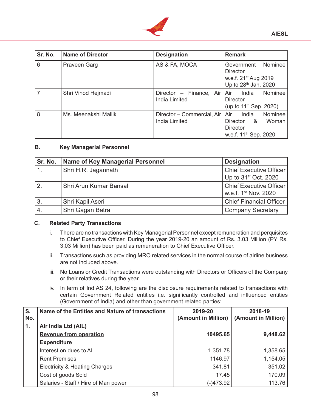

| Sr. No.        | <b>Name of Director</b> | <b>Designation</b>                                  | <b>Remark</b>                                                                                                    |
|----------------|-------------------------|-----------------------------------------------------|------------------------------------------------------------------------------------------------------------------|
| 6              | Praveen Garg            | AS & FA, MOCA                                       | Nominee<br>Government<br><b>Director</b><br>w.e.f. 21 <sup>st</sup> Aug 2019<br>Up to 28 <sup>th</sup> Jan. 2020 |
| $\overline{7}$ | Shri Vinod Hejmadi      | Director - Finance, Air Air<br><b>India Limited</b> | India<br>Nominee<br><b>Director</b><br>(up to 11 <sup>th</sup> Sep. 2020)                                        |
| 8              | Ms. Meenakshi Mallik    | Director - Commercial, Air<br><b>India Limited</b>  | Air India<br>Nominee<br>&<br><b>Director</b><br>Woman<br><b>Director</b><br>w.e.f. 11 <sup>th</sup> Sep. 2020    |

### **B. Key Managerial Personnel**

| Sr. No. | Name of Key Managerial Personnel | <b>Designation</b>               |
|---------|----------------------------------|----------------------------------|
|         | Shri H.R. Jagannath              | <b>Chief Executive Officer</b>   |
|         |                                  | Up to $31st$ Oct. 2020           |
| 2.      | Shri Arun Kumar Bansal           | <b>Chief Executive Officer</b>   |
|         |                                  | w.e.f. 1 <sup>st</sup> Nov. 2020 |
| 3.      | Shri Kapil Aseri                 | <b>Chief Financial Officer</b>   |
|         | Shri Gagan Batra                 | <b>Company Secretary</b>         |

### **C. Related Party Transactions**

- i. There are no transactions with Key Managerial Personnel except remuneration and perquisites to Chief Executive Officer. During the year 2019-20 an amount of Rs. 3.03 Million (PY Rs. 3.03 Million) has been paid as remuneration to Chief Executive Officer.
- ii. Transactions such as providing MRO related services in the normal course of airline business are not included above.
- iii. No Loans or Credit Transactions were outstanding with Directors or Officers of the Company or their relatives during the year.
- iv. In term of Ind AS 24, following are the disclosure requirements related to transactions with certain Government Related entities i.e. significantly controlled and influenced entities (Government of India) and other than government related parties:

| S.  | Name of the Entities and Nature of transactions | 2019-20             | 2018-19             |  |
|-----|-------------------------------------------------|---------------------|---------------------|--|
| No. |                                                 | (Amount in Million) | (Amount in Million) |  |
| 1.  | Air India Ltd (AIL)                             |                     |                     |  |
|     | <b>Revenue from operation</b>                   | 10495.65            | 9,448.62            |  |
|     | <b>Expenditure</b>                              |                     |                     |  |
|     | Interest on dues to AI                          | 1,351.78            | 1,358.65            |  |
|     | <b>Rent Premises</b>                            | 1146.97             | 1,154.05            |  |
|     | <b>Electricity &amp; Heating Charges</b>        | 341.81              | 351.02              |  |
|     | Cost of goods Sold                              | 17.45               | 170.09              |  |
|     | Salaries - Staff / Hire of Man power            | (-)473.92           | 113.76              |  |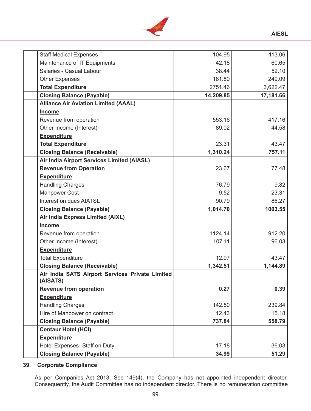

| <b>Staff Medical Expenses</b>                               | 104.95    | 113.06    |
|-------------------------------------------------------------|-----------|-----------|
| Maintenance of IT Equipments                                | 42.18     | 60.65     |
| Salaries - Casual Labour                                    | 38.44     | 52.10     |
| <b>Other Expenses</b>                                       | 181.80    | 249.09    |
| <b>Total Expenditure</b>                                    | 2751.46   | 3,622.47  |
| <b>Closing Balance (Payable)</b>                            | 14,209.85 | 17,181.66 |
| <b>Alliance Air Aviation Limited (AAAL)</b>                 |           |           |
| <b>Income</b>                                               |           |           |
| Revenue from operation                                      | 553.16    | 417.16    |
| Other Income (Interest)                                     | 89.02     | 44.58     |
| <b>Expenditure</b>                                          |           |           |
| <b>Total Expenditure</b>                                    | 23.31     | 43.47     |
| <b>Closing Balance (Receivable)</b>                         | 1,310.24  | 757.11    |
| Air India Airport Services Limited (AIASL)                  |           |           |
| <b>Revenue from Operation</b>                               | 23.67     | 77.48     |
| <b>Expenditure</b>                                          |           |           |
| <b>Handling Charges</b>                                     | 76.79     | 9.82      |
| <b>Manpower Cost</b>                                        | 9.52      | 23.31     |
| Interest on dues AIATSL                                     | 90.79     | 86.27     |
| <b>Closing Balance (Payable)</b>                            | 1,014.70  | 1003.55   |
| Air India Express Limited (AIXL)                            |           |           |
| <b>Income</b>                                               |           |           |
| Revenue from operation                                      | 1124.14   | 912.20    |
| Other Income (Interest)                                     | 107.11    | 96.03     |
| <b>Expenditure</b>                                          |           |           |
| <b>Total Expenditure</b>                                    | 12.97     | 43.47     |
| <b>Closing Balance (Receivable)</b>                         | 1,342.51  | 1,144.89  |
| Air India SATS Airport Services Private Limited<br>(AISATS) |           |           |
| <b>Revenue from operation</b>                               | 0.27      | 0.39      |
| <b>Expenditure</b>                                          |           |           |
| <b>Handling Charges</b>                                     | 142.50    | 239.84    |
| Hire of Manpower on contract                                | 12.43     | 15.18     |
| <b>Closing Balance (Payable)</b>                            | 737.84    | 558.79    |
| <b>Centaur Hotel (HCI)</b>                                  |           |           |
| <b>Expenditure</b>                                          |           |           |
| Hotel Expenses- Staff on Duty                               | 17.18     | 36.03     |
| <b>Closing Balance (Payable)</b>                            | 34.99     | 51.29     |
|                                                             |           |           |

# **39. Corporate Compliance**

As per Companies Act 2013, Sec 149(4), the Company has not appointed independent director. Consequently, the Audit Committee has no independent director. There is no remuneration committee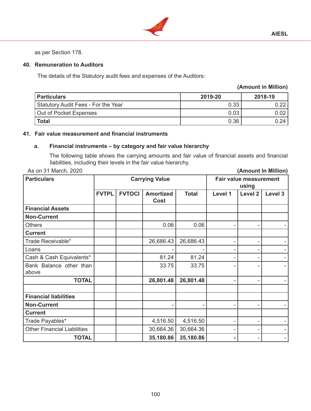

as per Section 178.

### **40. Remuneration to Auditors**

The details of the Statutory audit fees and expenses of the Auditors:

**(Amount in Million)**

| Particulars                         | 2019-20 | 2018-19 |
|-------------------------------------|---------|---------|
| Statutory Audit Fees - For the Year | 0.33    | 0.22    |
| Out of Pocket Expenses              | 0.03    | 0.02    |
| <b>Total</b>                        | 0.36    | 0.24 l  |

### **41. Fair value measurement and financial instruments**

### **a. Financial instruments – by category and fair value hierarchy**

The following table shows the carrying amounts and fair value of financial assets and financial liabilities, including their levels in the fair value hierarchy.

As on 31 March, 2020 **(Amount In Million)**

| <b>Particulars</b>                 | <b>Carrying Value</b> |               |                          | <b>Fair value measurement</b><br>using |         |         |         |
|------------------------------------|-----------------------|---------------|--------------------------|----------------------------------------|---------|---------|---------|
|                                    | <b>FVTPL</b>          | <b>FVTOCI</b> | <b>Amortized</b><br>Cost | <b>Total</b>                           | Level 1 | Level 2 | Level 3 |
| <b>Financial Assets</b>            |                       |               |                          |                                        |         |         |         |
| <b>Non-Current</b>                 |                       |               |                          |                                        |         |         |         |
| <b>Others</b>                      |                       |               | 0.06                     | 0.06                                   |         |         |         |
| <b>Current</b>                     |                       |               |                          |                                        |         |         |         |
| Trade Receivable*                  |                       |               | 26,686.43                | 26,686.43                              |         |         |         |
| Loans                              |                       |               |                          |                                        |         |         |         |
| Cash & Cash Equivalents*           |                       |               | 81.24                    | 81.24                                  |         |         |         |
| Bank Balance other than<br>above   |                       |               | 33.75                    | 33.75                                  |         |         |         |
| <b>TOTAL</b>                       |                       |               | 26,801.48                | 26,801.48                              |         |         |         |
|                                    |                       |               |                          |                                        |         |         |         |
| <b>Financial liabilities</b>       |                       |               |                          |                                        |         |         |         |
| <b>Non-Current</b>                 |                       |               |                          |                                        |         |         |         |
| <b>Current</b>                     |                       |               |                          |                                        |         |         |         |
| Trade Payables*                    |                       |               | 4,516.50                 | 4,516.50                               |         |         |         |
| <b>Other Financial Liabilities</b> |                       |               | 30,664.36                | 30,664.36                              |         |         |         |
| <b>TOTAL</b>                       |                       |               | 35,180.86                | 35,180.86                              |         |         |         |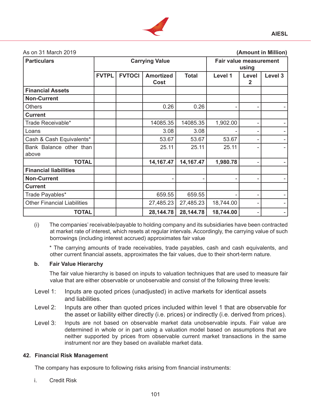

| As on 31 March 2019                | (Amount in Million) |                       |                          |              |                                        |                       |         |  |
|------------------------------------|---------------------|-----------------------|--------------------------|--------------|----------------------------------------|-----------------------|---------|--|
| <b>Particulars</b>                 |                     | <b>Carrying Value</b> |                          |              | <b>Fair value measurement</b><br>using |                       |         |  |
|                                    | <b>FVTPL</b>        | <b>FVTOCI</b>         | <b>Amortized</b><br>Cost | <b>Total</b> | Level 1                                | Level<br>$\mathbf{2}$ | Level 3 |  |
| <b>Financial Assets</b>            |                     |                       |                          |              |                                        |                       |         |  |
| <b>Non-Current</b>                 |                     |                       |                          |              |                                        |                       |         |  |
| <b>Others</b>                      |                     |                       | 0.26                     | 0.26         |                                        |                       |         |  |
| <b>Current</b>                     |                     |                       |                          |              |                                        |                       |         |  |
| Trade Receivable*                  |                     |                       | 14085.35                 | 14085.35     | 1,902.00                               |                       |         |  |
| Loans                              |                     |                       | 3.08                     | 3.08         |                                        |                       |         |  |
| Cash & Cash Equivalents*           |                     |                       | 53.67                    | 53.67        | 53.67                                  |                       |         |  |
| Bank Balance other than<br>above   |                     |                       | 25.11                    | 25.11        | 25.11                                  |                       |         |  |
| <b>TOTAL</b>                       |                     |                       | 14, 167. 47              | 14, 167. 47  | 1,980.78                               |                       |         |  |
| <b>Financial liabilities</b>       |                     |                       |                          |              |                                        |                       |         |  |
| <b>Non-Current</b>                 |                     |                       |                          |              |                                        |                       |         |  |
| <b>Current</b>                     |                     |                       |                          |              |                                        |                       |         |  |
| Trade Payables*                    |                     |                       | 659.55                   | 659.55       |                                        |                       |         |  |
| <b>Other Financial Liabilities</b> |                     |                       | 27,485.23                | 27,485.23    | 18,744.00                              |                       |         |  |
| <b>TOTAL</b>                       |                     |                       | 28,144.78                | 28,144.78    | 18,744.00                              |                       |         |  |

(i) The companies' receivable/payable to holding company and its subsidiaries have been contracted at market rate of interest, which resets at regular intervals. Accordingly, the carrying value of such borrowings (including interest accrued) approximates fair value

\* The carrying amounts of trade receivables, trade payables, cash and cash equivalents, and other current financial assets, approximates the fair values, due to their short-term nature.

### **b. Fair Value Hierarchy**

The fair value hierarchy is based on inputs to valuation techniques that are used to measure fair value that are either observable or unobservable and consist of the following three levels:

- Level 1: Inputs are quoted prices (unadjusted) in active markets for identical assets and liabilities.
- Level 2: Inputs are other than quoted prices included within level 1 that are observable for the asset or liability either directly (i.e. prices) or indirectly (i.e. derived from prices).
- Level 3: Inputs are not based on observable market data unobservable inputs. Fair value are determined in whole or in part using a valuation model based on assumptions that are neither supported by prices from observable current market transactions in the same instrument nor are they based on available market data.

### **42. Financial Risk Management**

The company has exposure to following risks arising from financial instruments:

i. Credit Risk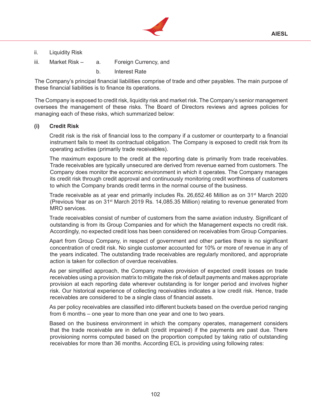

- ii. Liquidity Risk
- iii. Market Risk a. Foreign Currency, and
	- b. Interest Rate

 The Company's principal financial liabilities comprise of trade and other payables. The main purpose of these financial liabilities is to finance its operations.

The Company is exposed to credit risk, liquidity risk and market risk. The Company's senior management oversees the management of these risks. The Board of Directors reviews and agrees policies for managing each of these risks, which summarized below:

#### **(i) Credit Risk**

Credit risk is the risk of financial loss to the company if a customer or counterparty to a financial instrument fails to meet its contractual obligation. The Company is exposed to credit risk from its operating activities (primarily trade receivables).

The maximum exposure to the credit at the reporting date is primarily from trade receivables. Trade receivables are typically unsecured are derived from revenue earned from customers. The Company does monitor the economic environment in which it operates. The Company manages its credit risk through credit approval and continuously monitoring credit worthiness of customers to which the Company brands credit terms in the normal course of the business.

Trade receivable as at year end primarily includes Rs. 26,652.46 Million as on 31<sup>st</sup> March 2020 (Previous Year as on 31st March 2019 Rs. 14,085.35 Million) relating to revenue generated from MRO services.

 Trade receivables consist of number of customers from the same aviation industry. Significant of outstanding is from its Group Companies and for which the Management expects no credit risk. Accordingly, no expected credit loss has been considered on receivables from Group Companies.

 Apart from Group Company, in respect of government and other parties there is no significant concentration of credit risk. No single customer accounted for 10% or more of revenue in any of the years indicated. The outstanding trade receivables are regularly monitored, and appropriate action is taken for collection of overdue receivables.

 As per simplified approach, the Company makes provision of expected credit losses on trade receivables using a provision matrix to mitigate the risk of default payments and makes appropriate provision at each reporting date wherever outstanding is for longer period and involves higher risk. Our historical experience of collecting receivables indicates a low credit risk. Hence, trade receivables are considered to be a single class of financial assets.

 As per policy receivables are classified into different buckets based on the overdue period ranging from 6 months – one year to more than one year and one to two years.

Based on the business environment in which the company operates, management considers that the trade receivable are in default (credit impaired) if the payments are past due. There provisioning norms computed based on the proportion computed by taking ratio of outstanding receivables for more than 36 months. According ECL is providing using following rates: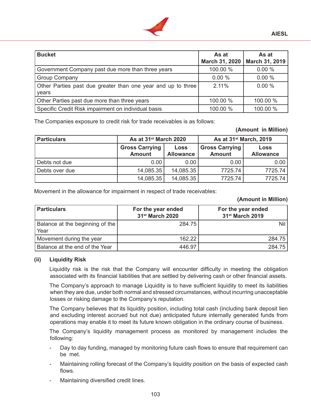

| <b>Bucket</b>                                                         | As at<br>March 31, 2020 | As at<br>March 31, 2019 |
|-----------------------------------------------------------------------|-------------------------|-------------------------|
| Government Company past due more than three years                     | 100.00 %                | 0.00%                   |
| <b>Group Company</b>                                                  | 0.00%                   | 0.00%                   |
| Other Parties past due greater than one year and up to three<br>vears | 2.11%                   | 0.00%                   |
| Other Parties past due more than three years                          | 100.00 %                | 100.00 %                |
| Specific Credit Risk impairment on individual basis                   | 100.00 %                | 100.00 %                |

The Companies exposure to credit risk for trade receivables is as follows:

#### **(Amount in Million)**

| <b>Particulars</b> | As at 31 <sup>st</sup> March 2020      |                          | As at 31 <sup>st</sup> March, 2019     |                          |  |
|--------------------|----------------------------------------|--------------------------|----------------------------------------|--------------------------|--|
|                    | <b>Gross Carrying</b><br><b>Amount</b> | Loss<br><b>Allowance</b> | <b>Gross Carrying</b><br><b>Amount</b> | Loss<br><b>Allowance</b> |  |
| Debts not due      | 0.00                                   | 0.00                     | 0.00                                   | 0.00                     |  |
| Debts over due     | 14,085.35                              | 14,085.35                | 7725.74                                | 7725.74                  |  |
|                    | 14,085.35                              | 14,085.35                | 7725.74                                | 7725.74                  |  |

Movement in the allowance for impairment in respect of trade receivables:

#### **(Amount in Million)**

| <b>Particulars</b>                      | For the year ended<br>31 <sup>st</sup> March 2020 | For the year ended<br>31 <sup>st</sup> March 2019 |
|-----------------------------------------|---------------------------------------------------|---------------------------------------------------|
| Balance at the beginning of the<br>Year | 284.75                                            | Nil I                                             |
| Movement during the year                | 162.22                                            | 284.75                                            |
| Balance at the end of the Year          | 446.97                                            | 284.75                                            |

#### **(ii) Liquidity Risk**

Liquidity risk is the risk that the Company will encounter difficulty in meeting the obligation associated with its financial liabilities that are settled by delivering cash or other financial assets.

 The Company's approach to manage Liquidity is to have sufficient liquidity to meet its liabilities when they are due, under both normal and stressed circumstances, without incurring unacceptable losses or risking damage to the Company's reputation.

The Company believes that its liquidity position, including total cash (including bank deposit lien and excluding interest accrued but not due) anticipated future internally generated funds from operations may enable it to meet its future known obligation in the ordinary course of business.

The Company's liquidity management process as monitored by management includes the following:

- Day to day funding, managed by monitoring future cash flows to ensure that requirement can be met.
- Maintaining rolling forecast of the Company's liquidity position on the basis of expected cash flows.
- Maintaining diversified credit lines.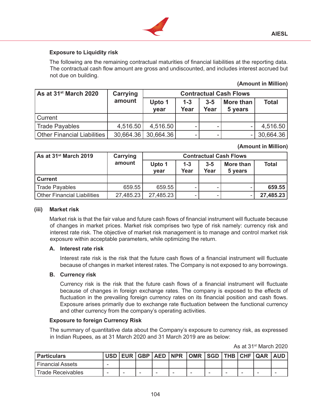

### **Exposure to Liquidity risk**

 The following are the remaining contractual maturities of financial liabilities at the reporting data. The contractual cash flow amount are gross and undiscounted, and includes interest accrued but not due on building.

#### **(Amount in Million)**

| As at 31 <sup>st</sup> March 2020 | Carrying  | <b>Contractual Cash Flows</b> |                 |                 |                      |              |  |
|-----------------------------------|-----------|-------------------------------|-----------------|-----------------|----------------------|--------------|--|
|                                   | amount    | Upto 1<br>vear                | $1 - 3$<br>Year | $3 - 5$<br>Year | More than<br>5 years | <b>Total</b> |  |
| Current                           |           |                               |                 |                 |                      |              |  |
| Trade Payables                    | 4,516.50  | 4,516.50                      |                 |                 |                      | 4,516.50     |  |
| Other Financial Liabilities       | 30,664.36 | 30,664.36                     |                 |                 |                      | 30,664.36    |  |

### **(Amount in Million)**

| As at 31 <sup>st</sup> March 2019  | Carrying  | <b>Contractual Cash Flows</b> |                 |                 |                      |              |  |  |  |
|------------------------------------|-----------|-------------------------------|-----------------|-----------------|----------------------|--------------|--|--|--|
|                                    | amount    | Upto 1<br>vear                | $1 - 3$<br>Year | $3 - 5$<br>Year | More than<br>5 years | <b>Total</b> |  |  |  |
| <b>Current</b>                     |           |                               |                 |                 |                      |              |  |  |  |
| <b>Trade Payables</b>              | 659.55    | 659.55                        |                 |                 |                      | 659.55       |  |  |  |
| <b>Other Financial Liabilities</b> | 27,485.23 | 27,485.23                     |                 |                 |                      | 27,485.23    |  |  |  |

#### **(iii) Market risk**

Market risk is that the fair value and future cash flows of financial instrument will fluctuate because of changes in market prices. Market risk comprises two type of risk namely: currency risk and interest rate risk. The objective of market risk management is to manage and control market risk exposure within acceptable parameters, while optimizing the return.

#### **A. Interest rate risk**

 Interest rate risk is the risk that the future cash flows of a financial instrument will fluctuate because of changes in market interest rates. The Company is not exposed to any borrowings.

#### **B. Currency risk**

 Currency risk is the risk that the future cash flows of a financial instrument will fluctuate because of changes in foreign exchange rates. The company is exposed to the effects of fluctuation in the prevailing foreign currency rates on its financial position and cash flows. Exposure arises primarily due to exchange rate fluctuation between the functional currency and other currency from the company's operating activities.

#### **Exposure to foreign Currency Risk**

The summary of quantitative data about the Company's exposure to currency risk, as expressed in Indian Rupees, as at 31 March 2020 and 31 March 2019 are as below:

As at 31st March 2020

| ' Particulars            | <b>USD</b> |   |  | EUR   GBP   AED   NPR   OMR   SGD   THB   CHF   QAR   AUD |   |   |  |  |
|--------------------------|------------|---|--|-----------------------------------------------------------|---|---|--|--|
| <b>Financial Assets</b>  |            |   |  |                                                           |   |   |  |  |
| <b>Trade Receivables</b> |            | - |  |                                                           | - | - |  |  |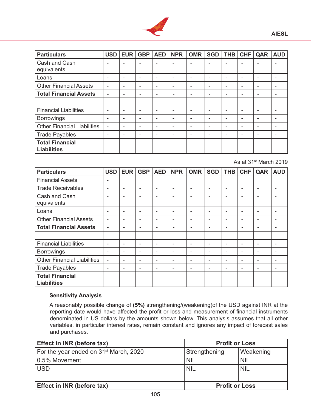

| <b>Particulars</b>                           | <b>USD</b>               | <b>EUR</b>               | <b>GBP</b> | <b>AED</b> | <b>NPR</b>               | <b>OMR</b>               | <b>SGD</b>               | <b>THB</b>               | <b>CHF</b> | QAR                      | <b>AUD</b> |
|----------------------------------------------|--------------------------|--------------------------|------------|------------|--------------------------|--------------------------|--------------------------|--------------------------|------------|--------------------------|------------|
| Cash and Cash<br>equivalents                 | ۰                        |                          |            |            |                          |                          |                          | ۰                        |            |                          |            |
| Loans                                        | ۰                        | $\overline{\phantom{0}}$ |            |            |                          |                          | -                        | $\overline{\phantom{0}}$ |            |                          |            |
| <b>Other Financial Assets</b>                | $\overline{\phantom{a}}$ | -                        | -          | -          | ۰                        | ٠                        | ٠                        | ۰                        | ۰          |                          |            |
| <b>Total Financial Assets</b>                | $\blacksquare$           | $\blacksquare$           | ۰          |            | -                        | -                        | $\blacksquare$           | $\blacksquare$           |            | $\blacksquare$           |            |
|                                              |                          |                          |            |            |                          |                          |                          |                          |            |                          |            |
| <b>Financial Liabilities</b>                 | ۰                        | -                        |            |            |                          |                          | -                        | $\overline{\phantom{0}}$ |            |                          |            |
| <b>Borrowings</b>                            | ۰                        | -                        | -          | -          |                          | ٠                        | $\overline{\phantom{0}}$ | ۰                        |            |                          |            |
| <b>Other Financial Liabilities</b>           | $\overline{\phantom{a}}$ | -                        | -          | -          | ٠                        | ٠                        | -                        | ۰                        | ۰          | $\overline{\phantom{0}}$ |            |
| <b>Trade Payables</b>                        | -                        | -                        | -          | -          | $\overline{\phantom{a}}$ | $\overline{\phantom{0}}$ | -                        | $\overline{\phantom{0}}$ |            |                          |            |
| <b>Total Financial</b><br><b>Liabilities</b> |                          |                          |            |            |                          |                          |                          |                          |            |                          |            |

As at 31<sup>st</sup> March 2019

| <b>Particulars</b>                           | <b>USD</b>               | <b>EUR</b> | <b>GBP</b> | <b>AED</b> | <b>NPR</b> | <b>OMR</b> | <b>SGD</b>               | <b>THB</b>               | <b>CHF</b> | QAR                      | <b>AUD</b> |
|----------------------------------------------|--------------------------|------------|------------|------------|------------|------------|--------------------------|--------------------------|------------|--------------------------|------------|
| <b>Financial Assets</b>                      |                          |            |            |            |            |            |                          |                          |            |                          |            |
| <b>Trade Receivables</b>                     | $\overline{\phantom{0}}$ |            |            |            |            |            |                          | $\overline{\phantom{0}}$ |            |                          |            |
| Cash and Cash<br>equivalents                 | ۰                        |            |            |            |            |            | ۰                        | $\overline{\phantom{0}}$ |            |                          |            |
| Loans                                        | $\overline{\phantom{0}}$ |            | -          |            | -          | ۰          | $\overline{\phantom{0}}$ | $\overline{\phantom{0}}$ |            |                          |            |
| <b>Other Financial Assets</b>                | $\overline{\phantom{a}}$ |            | -          |            | ٠          | ۰          | ٠                        | ۰                        |            |                          |            |
| <b>Total Financial Assets</b>                | $\blacksquare$           |            |            |            |            |            |                          |                          |            |                          |            |
|                                              |                          |            |            |            |            |            |                          |                          |            |                          |            |
| <b>Financial Liabilities</b>                 | $\overline{\phantom{0}}$ |            | -          |            | -          | -          |                          | $\overline{\phantom{a}}$ |            |                          |            |
| <b>Borrowings</b>                            | $\overline{\phantom{0}}$ |            | ۰          |            |            |            | $\overline{\phantom{0}}$ | $\overline{\phantom{0}}$ |            |                          |            |
| <b>Other Financial Liabilities</b>           | $\overline{\phantom{a}}$ | ۰          | -          |            | ٠          | ۰          | ٠                        | $\overline{\phantom{a}}$ | ۰          | $\overline{\phantom{a}}$ |            |
| <b>Trade Payables</b>                        | ۰                        |            |            |            | ۰          | -          | ٠                        | $\overline{\phantom{a}}$ |            |                          |            |
| <b>Total Financial</b><br><b>Liabilities</b> |                          |            |            |            |            |            |                          |                          |            |                          |            |

# **Sensitivity Analysis**

A reasonably possible change of **(5%)** strengthening/(weakening)of the USD against INR at the reporting date would have affected the profit or loss and measurement of financial instruments denominated in US dollars by the amounts shown below. This analysis assumes that all other variables, in particular interest rates, remain constant and ignores any impact of forecast sales and purchases.

| Effect in INR (before tax)                         | <b>Profit or Loss</b> |            |  |  |
|----------------------------------------------------|-----------------------|------------|--|--|
| For the year ended on 31 <sup>st</sup> March, 2020 | Strengthening         | Weakening  |  |  |
| 0.5% Movement                                      | <b>NIL</b>            | <b>NIL</b> |  |  |
| <b>USD</b>                                         | <b>NIL</b>            | <b>NIL</b> |  |  |
|                                                    |                       |            |  |  |
| Effect in INR (before tax)                         | <b>Profit or Loss</b> |            |  |  |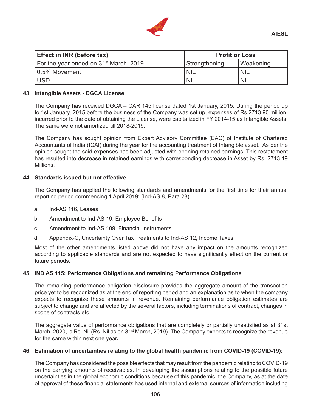

| <b>Effect in INR (before tax)</b>                  | <b>Profit or Loss</b> |            |  |  |  |
|----------------------------------------------------|-----------------------|------------|--|--|--|
| For the year ended on 31 <sup>st</sup> March, 2019 | Strengthening         | Weakening  |  |  |  |
| 0.5% Movement                                      | `NIL                  | <b>NIL</b> |  |  |  |
| <b>USD</b>                                         | <b>NIL</b>            | <b>NIL</b> |  |  |  |

### **43. Intangible Assets - DGCA License**

 The Company has received DGCA – CAR 145 license dated 1st January, 2015. During the period up to 1st January, 2015 before the business of the Company was set up, expenses of Rs.2713.90 million, incurred prior to the date of obtaining the License, were capitalized in FY 2014-15 as Intangible Assets. The same were not amortized till 2018-2019.

The Company has sought opinion from Expert Advisory Committee (EAC) of Institute of Chartered Accountants of India (ICAI) during the year for the accounting treatment of Intangible asset. As per the opinion sought the said expenses has been adjusted with opening retained earnings. This restatement has resulted into decrease in retained earnings with corresponding decrease in Asset by Rs. 2713.19 Millions.

## **44. Standards issued but not effective**

The Company has applied the following standards and amendments for the first time for their annual reporting period commencing 1 April 2019: (Ind-AS 8, Para 28)

- a. Ind-AS 116, Leases
- b. Amendment to Ind-AS 19, Employee Benefits
- c. Amendment to Ind-AS 109, Financial Instruments
- d. Appendix-C, Uncertainty Over Tax Treatments to Ind-AS 12, Income Taxes

 Most of the other amendments listed above did not have any impact on the amounts recognized according to applicable standards and are not expected to have significantly effect on the current or future periods.

### **45. IND AS 115: Performance Obligations and remaining Performance Obligations**

The remaining performance obligation disclosure provides the aggregate amount of the transaction price yet to be recognized as at the end of reporting period and an explanation as to when the company expects to recognize these amounts in revenue. Remaining performance obligation estimates are subject to change and are affected by the several factors, including terminations of contract, changes in scope of contracts etc.

 The aggregate value of performance obligations that are completely or partially unsatisfied as at 31st March, 2020, is Rs. Nil (Rs. Nil as on 31<sup>st</sup> March, 2019). The Company expects to recognize the revenue for the same within next one year**.**

### **46. Estimation of uncertainties relating to the global health pandemic from COVID-19 (COVID-19):**

The Company has considered the possible effects that may result from the pandemic relating to COVID-19 on the carrying amounts of receivables. In developing the assumptions relating to the possible future uncertainties in the global economic conditions because of this pandemic, the Company, as at the date of approval of these financial statements has used internal and external sources of information including